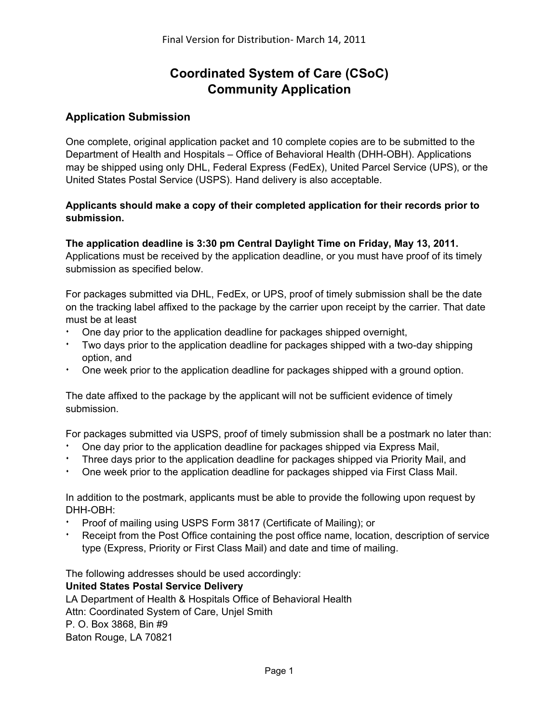# **Coordinated System of Care (CSoC) Community Application**

## **Application Submission**

One complete, original application packet and 10 complete copies are to be submitted to the Department of Health and Hospitals – Office of Behavioral Health (DHH-OBH). Applications may be shipped using only DHL, Federal Express (FedEx), United Parcel Service (UPS), or the United States Postal Service (USPS). Hand delivery is also acceptable.

## **Applicants should make a copy of their completed application for their records prior to submission.**

## **The application deadline is 3:30 pm Central Daylight Time on Friday, May 13, 2011.**  Applications must be received by the application deadline, or you must have proof of its timely

submission as specified below.

For packages submitted via DHL, FedEx, or UPS, proof of timely submission shall be the date on the tracking label affixed to the package by the carrier upon receipt by the carrier. That date must be at least

- One day prior to the application deadline for packages shipped overnight,
- \* Two days prior to the application deadline for packages shipped with a two-day shipping option, and
- One week prior to the application deadline for packages shipped with a ground option.

The date affixed to the package by the applicant will not be sufficient evidence of timely submission.

For packages submitted via USPS, proof of timely submission shall be a postmark no later than:

- One day prior to the application deadline for packages shipped via Express Mail,
- Three days prior to the application deadline for packages shipped via Priority Mail, and
- One week prior to the application deadline for packages shipped via First Class Mail.

In addition to the postmark, applicants must be able to provide the following upon request by DHH-OBH:

- Proof of mailing using USPS Form 3817 (Certificate of Mailing); or
- Receipt from the Post Office containing the post office name, location, description of service type (Express, Priority or First Class Mail) and date and time of mailing.

The following addresses should be used accordingly:

## **United States Postal Service Delivery**

LA Department of Health & Hospitals Office of Behavioral Health Attn: Coordinated System of Care, Unjel Smith P. O. Box 3868, Bin #9 Baton Rouge, LA 70821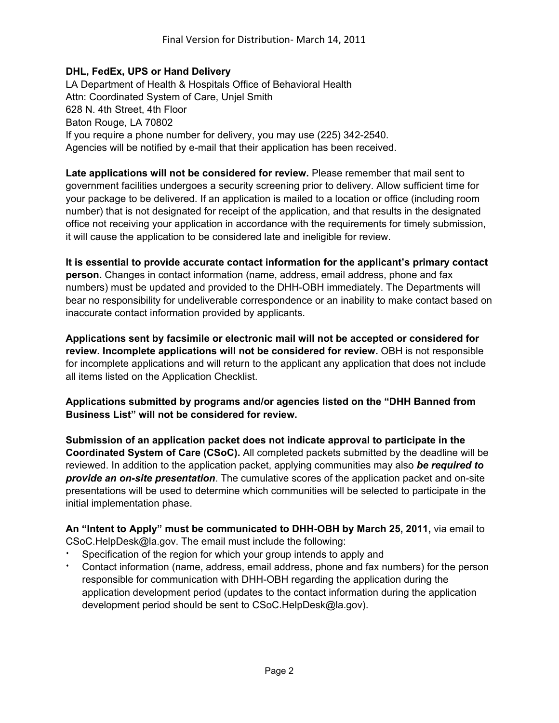#### **DHL, FedEx, UPS or Hand Delivery**

LA Department of Health & Hospitals Office of Behavioral Health Attn: Coordinated System of Care, Unjel Smith 628 N. 4th Street, 4th Floor Baton Rouge, LA 70802 If you require a phone number for delivery, you may use (225) 342-2540. Agencies will be notified by e-mail that their application has been received.

**Late applications will not be considered for review.** Please remember that mail sent to government facilities undergoes a security screening prior to delivery. Allow sufficient time for your package to be delivered. If an application is mailed to a location or office (including room number) that is not designated for receipt of the application, and that results in the designated office not receiving your application in accordance with the requirements for timely submission, it will cause the application to be considered late and ineligible for review.

**It is essential to provide accurate contact information for the applicant's primary contact person.** Changes in contact information (name, address, email address, phone and fax numbers) must be updated and provided to the DHH-OBH immediately. The Departments will bear no responsibility for undeliverable correspondence or an inability to make contact based on inaccurate contact information provided by applicants.

**Applications sent by facsimile or electronic mail will not be accepted or considered for review. Incomplete applications will not be considered for review.** OBH is not responsible for incomplete applications and will return to the applicant any application that does not include all items listed on the Application Checklist.

## **Applications submitted by programs and/or agencies listed on the "DHH Banned from Business List" will not be considered for review.**

**Submission of an application packet does not indicate approval to participate in the Coordinated System of Care (CSoC).** All completed packets submitted by the deadline will be reviewed. In addition to the application packet, applying communities may also *be required to provide an on-site presentation*. The cumulative scores of the application packet and on-site presentations will be used to determine which communities will be selected to participate in the initial implementation phase.

**An "Intent to Apply" must be communicated to DHH-OBH by March 25, 2011,** via email to CSoC.HelpDesk@la.gov. The email must include the following:

- Specification of the region for which your group intends to apply and
- Contact information (name, address, email address, phone and fax numbers) for the person responsible for communication with DHH-OBH regarding the application during the application development period (updates to the contact information during the application development period should be sent to CSoC.HelpDesk@la.gov).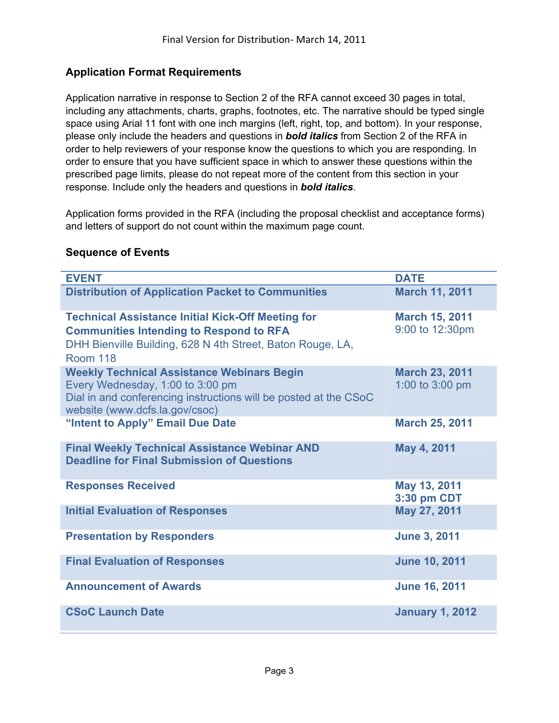## **Application Format Requirements**

Application narrative in response to Section 2 of the RFA cannot exceed 30 pages in total, including any attachments, charts, graphs, footnotes, etc. The narrative should be typed single space using Arial 11 font with one inch margins (left, right, top, and bottom). In your response, please only include the headers and questions in *bold italics* from Section 2 of the RFA in order to help reviewers of your response know the questions to which you are responding. In order to ensure that you have sufficient space in which to answer these questions within the prescribed page limits, please do not repeat more of the content from this section in your response. Include only the headers and questions in *bold italics*.

Application forms provided in the RFA (including the proposal checklist and acceptance forms) and letters of support do not count within the maximum page count.

| <b>EVENT</b>                                                                                                                                                                                | <b>DATE</b>                              |
|---------------------------------------------------------------------------------------------------------------------------------------------------------------------------------------------|------------------------------------------|
| <b>Distribution of Application Packet to Communities</b>                                                                                                                                    | <b>March 11, 2011</b>                    |
| <b>Technical Assistance Initial Kick-Off Meeting for</b><br><b>Communities Intending to Respond to RFA</b><br>DHH Bienville Building, 628 N 4th Street, Baton Rouge, LA,<br><b>Room 118</b> | <b>March 15, 2011</b><br>9:00 to 12:30pm |
| <b>Weekly Technical Assistance Webinars Begin</b><br>Every Wednesday, 1:00 to 3:00 pm<br>Dial in and conferencing instructions will be posted at the CSoC<br>website (www.dcfs.la.gov/csoc) | <b>March 23, 2011</b><br>1:00 to 3:00 pm |
| "Intent to Apply" Email Due Date                                                                                                                                                            | <b>March 25, 2011</b>                    |
| <b>Final Weekly Technical Assistance Webinar AND</b><br><b>Deadline for Final Submission of Questions</b>                                                                                   | May 4, 2011                              |
| <b>Responses Received</b>                                                                                                                                                                   | May 13, 2011<br>3:30 pm CDT              |
| <b>Initial Evaluation of Responses</b>                                                                                                                                                      | May 27, 2011                             |
| <b>Presentation by Responders</b>                                                                                                                                                           | <b>June 3, 2011</b>                      |
| <b>Final Evaluation of Responses</b>                                                                                                                                                        | <b>June 10, 2011</b>                     |
| <b>Announcement of Awards</b>                                                                                                                                                               | <b>June 16, 2011</b>                     |
| <b>CSoC Launch Date</b>                                                                                                                                                                     | <b>January 1, 2012</b>                   |

## **Sequence of Events**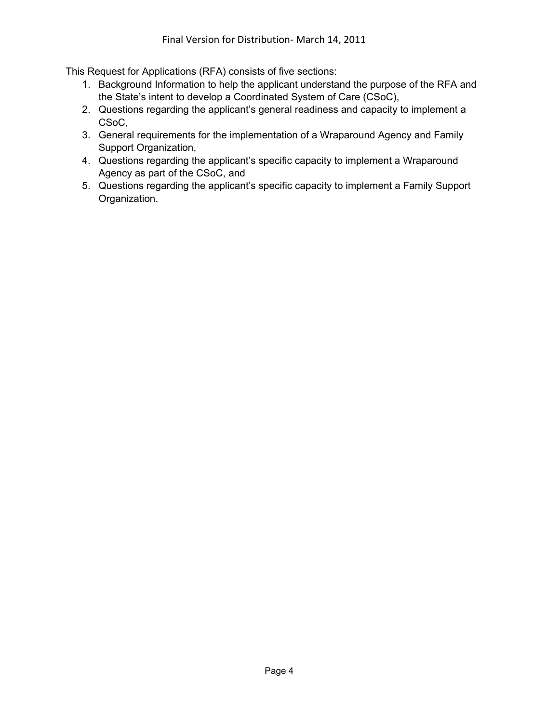This Request for Applications (RFA) consists of five sections:

- 1. Background Information to help the applicant understand the purpose of the RFA and the State's intent to develop a Coordinated System of Care (CSoC),
- 2. Questions regarding the applicant's general readiness and capacity to implement a CSoC,
- 3. General requirements for the implementation of a Wraparound Agency and Family Support Organization,
- 4. Questions regarding the applicant's specific capacity to implement a Wraparound Agency as part of the CSoC, and
- 5. Questions regarding the applicant's specific capacity to implement a Family Support Organization.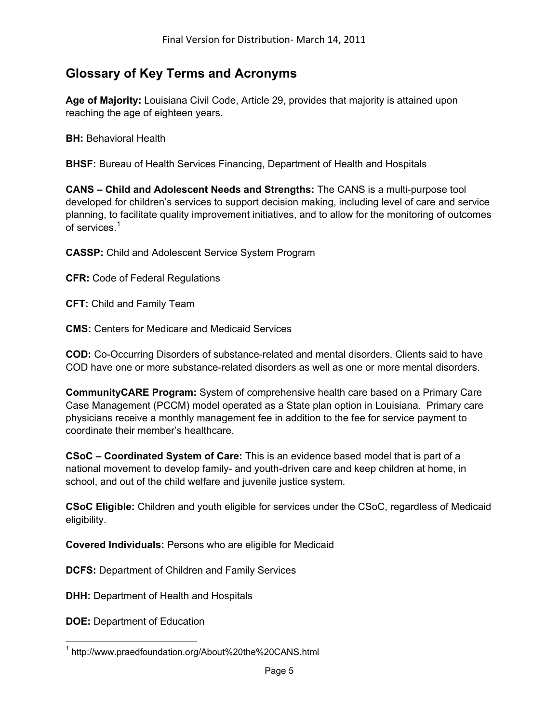# **Glossary of Key Terms and Acronyms**

**Age of Majority:** Louisiana Civil Code, Article 29, provides that majority is attained upon reaching the age of eighteen years.

**BH:** Behavioral Health

**BHSF:** Bureau of Health Services Financing, Department of Health and Hospitals

**CANS – Child and Adolescent Needs and Strengths:** The CANS is a multi-purpose tool developed for children's services to support decision making, including level of care and service planning, to facilitate quality improvement initiatives, and to allow for the monitoring of outcomes of services<sup>[1](#page-4-0)</sup>

**CASSP:** Child and Adolescent Service System Program

**CFR:** Code of Federal Regulations

**CFT:** Child and Family Team

**CMS:** Centers for Medicare and Medicaid Services

**COD:** Co-Occurring Disorders of substance-related and mental disorders. Clients said to have COD have one or more substance-related disorders as well as one or more mental disorders.

**CommunityCARE Program:** System of comprehensive health care based on a Primary Care Case Management (PCCM) model operated as a State plan option in Louisiana. Primary care physicians receive a monthly management fee in addition to the fee for service payment to coordinate their member's healthcare.

**CSoC – Coordinated System of Care:** This is an evidence based model that is part of a national movement to develop family- and youth-driven care and keep children at home, in school, and out of the child welfare and juvenile justice system.

**CSoC Eligible:** Children and youth eligible for services under the CSoC, regardless of Medicaid eligibility.

**Covered Individuals:** Persons who are eligible for Medicaid

**DCFS:** Department of Children and Family Services

**DHH:** Department of Health and Hospitals

**DOE: Department of Education** 

 $\overline{a}$ 

<span id="page-4-0"></span><sup>&</sup>lt;sup>1</sup> http://www.praedfoundation.org/About%20the%20CANS.html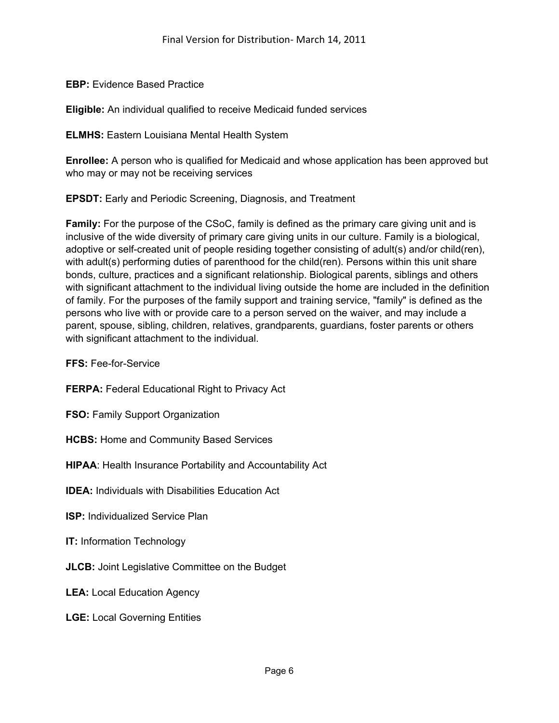**EBP:** Evidence Based Practice

**Eligible:** An individual qualified to receive Medicaid funded services

**ELMHS:** Eastern Louisiana Mental Health System

**Enrollee:** A person who is qualified for Medicaid and whose application has been approved but who may or may not be receiving services

**EPSDT:** Early and Periodic Screening, Diagnosis, and Treatment

**Family:** For the purpose of the CSoC, family is defined as the primary care giving unit and is inclusive of the wide diversity of primary care giving units in our culture. Family is a biological, adoptive or self-created unit of people residing together consisting of adult(s) and/or child(ren), with adult(s) performing duties of parenthood for the child(ren). Persons within this unit share bonds, culture, practices and a significant relationship. Biological parents, siblings and others with significant attachment to the individual living outside the home are included in the definition of family. For the purposes of the family support and training service, "family" is defined as the persons who live with or provide care to a person served on the waiver, and may include a parent, spouse, sibling, children, relatives, grandparents, guardians, foster parents or others with significant attachment to the individual.

**FFS:** Fee-for-Service

**FERPA:** Federal Educational Right to Privacy Act

**FSO: Family Support Organization** 

**HCBS:** Home and Community Based Services

**HIPAA**: Health Insurance Portability and Accountability Act

**IDEA:** Individuals with Disabilities Education Act

**ISP:** Individualized Service Plan

**IT:** Information Technology

**JLCB:** Joint Legislative Committee on the Budget

**LEA:** Local Education Agency

**LGE:** Local Governing Entities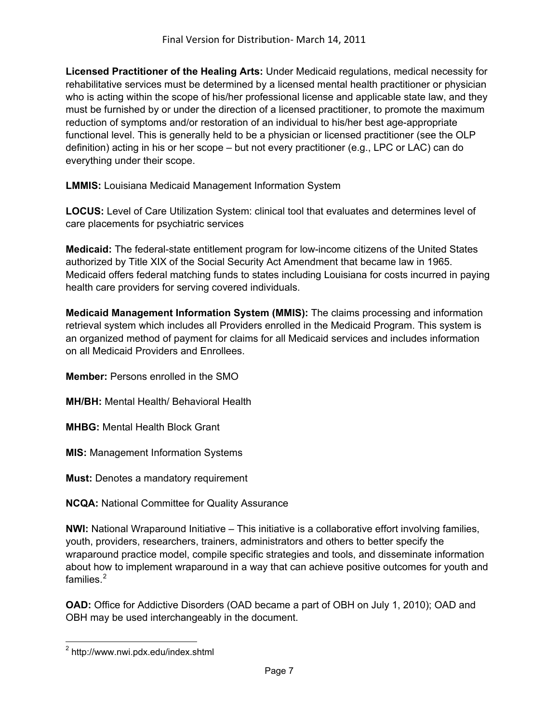**Licensed Practitioner of the Healing Arts:** Under Medicaid regulations, medical necessity for rehabilitative services must be determined by a licensed mental health practitioner or physician who is acting within the scope of his/her professional license and applicable state law, and they must be furnished by or under the direction of a licensed practitioner, to promote the maximum reduction of symptoms and/or restoration of an individual to his/her best age-appropriate functional level. This is generally held to be a physician or licensed practitioner (see the OLP definition) acting in his or her scope – but not every practitioner (e.g., LPC or LAC) can do everything under their scope.

**LMMIS:** Louisiana Medicaid Management Information System

**LOCUS:** Level of Care Utilization System: clinical tool that evaluates and determines level of care placements for psychiatric services

**Medicaid:** The federal-state entitlement program for low-income citizens of the United States authorized by Title XIX of the Social Security Act Amendment that became law in 1965. Medicaid offers federal matching funds to states including Louisiana for costs incurred in paying health care providers for serving covered individuals.

**Medicaid Management Information System (MMIS):** The claims processing and information retrieval system which includes all Providers enrolled in the Medicaid Program. This system is an organized method of payment for claims for all Medicaid services and includes information on all Medicaid Providers and Enrollees.

**Member:** Persons enrolled in the SMO

**MH/BH:** Mental Health/ Behavioral Health

**MHBG:** Mental Health Block Grant

**MIS:** Management Information Systems

**Must:** Denotes a mandatory requirement

**NCQA:** National Committee for Quality Assurance

**NWI:** National Wraparound Initiative – This initiative is a collaborative effort involving families, youth, providers, researchers, trainers, administrators and others to better specify the wraparound practice model, compile specific strategies and tools, and disseminate information about how to implement wraparound in a way that can achieve positive outcomes for youth and families $<sup>2</sup>$  $<sup>2</sup>$  $<sup>2</sup>$ </sup>

**OAD:** Office for Addictive Disorders (OAD became a part of OBH on July 1, 2010); OAD and OBH may be used interchangeably in the document.

<span id="page-6-0"></span> 2 http://www.nwi.pdx.edu/index.shtml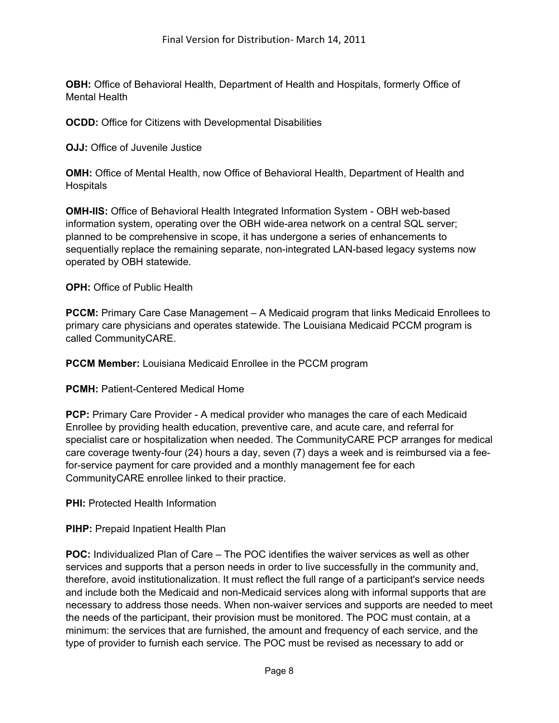**OBH:** Office of Behavioral Health, Department of Health and Hospitals, formerly Office of Mental Health

**OCDD:** Office for Citizens with Developmental Disabilities

**OJJ:** Office of Juvenile Justice

**OMH:** Office of Mental Health, now Office of Behavioral Health, Department of Health and **Hospitals** 

**OMH-IIS:** Office of Behavioral Health Integrated Information System - OBH web-based information system, operating over the OBH wide-area network on a central SQL server; planned to be comprehensive in scope, it has undergone a series of enhancements to sequentially replace the remaining separate, non-integrated LAN-based legacy systems now operated by OBH statewide.

**OPH:** Office of Public Health

**PCCM:** Primary Care Case Management – A Medicaid program that links Medicaid Enrollees to primary care physicians and operates statewide. The Louisiana Medicaid PCCM program is called CommunityCARE.

**PCCM Member:** Louisiana Medicaid Enrollee in the PCCM program

**PCMH:** Patient-Centered Medical Home

**PCP:** Primary Care Provider - A medical provider who manages the care of each Medicaid Enrollee by providing health education, preventive care, and acute care, and referral for specialist care or hospitalization when needed. The CommunityCARE PCP arranges for medical care coverage twenty-four (24) hours a day, seven (7) days a week and is reimbursed via a feefor-service payment for care provided and a monthly management fee for each CommunityCARE enrollee linked to their practice.

**PHI:** Protected Health Information

**PIHP:** Prepaid Inpatient Health Plan

**POC:** Individualized Plan of Care – The POC identifies the waiver services as well as other services and supports that a person needs in order to live successfully in the community and, therefore, avoid institutionalization. It must reflect the full range of a participant's service needs and include both the Medicaid and non-Medicaid services along with informal supports that are necessary to address those needs. When non-waiver services and supports are needed to meet the needs of the participant, their provision must be monitored. The POC must contain, at a minimum: the services that are furnished, the amount and frequency of each service, and the type of provider to furnish each service. The POC must be revised as necessary to add or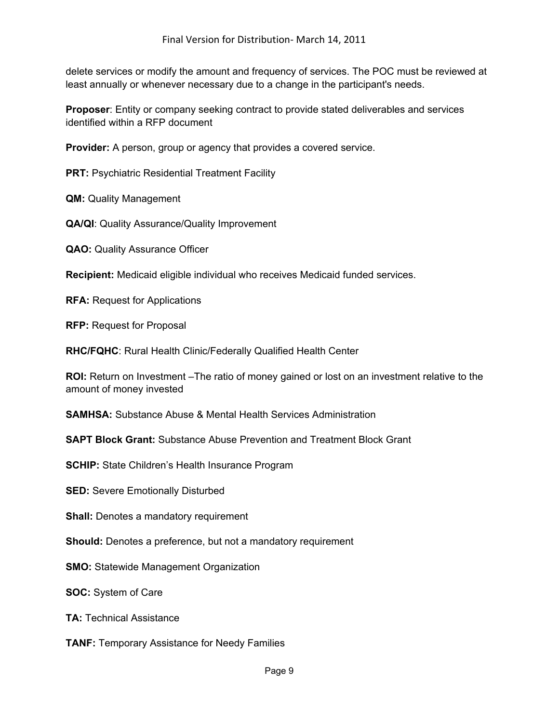delete services or modify the amount and frequency of services. The POC must be reviewed at least annually or whenever necessary due to a change in the participant's needs.

**Proposer**: Entity or company seeking contract to provide stated deliverables and services identified within a RFP document

**Provider:** A person, group or agency that provides a covered service.

**PRT: Psychiatric Residential Treatment Facility** 

**QM:** Quality Management

**QA/QI**: Quality Assurance/Quality Improvement

**QAO:** Quality Assurance Officer

**Recipient:** Medicaid eligible individual who receives Medicaid funded services.

**RFA:** Request for Applications

**RFP:** Request for Proposal

**RHC/FQHC**: Rural Health Clinic/Federally Qualified Health Center

**ROI:** Return on Investment –The ratio of money gained or lost on an investment relative to the amount of money invested

**SAMHSA:** Substance Abuse & Mental Health Services Administration

**SAPT Block Grant:** Substance Abuse Prevention and Treatment Block Grant

**SCHIP:** State Children's Health Insurance Program

**SED: Severe Emotionally Disturbed** 

**Shall:** Denotes a mandatory requirement

**Should:** Denotes a preference, but not a mandatory requirement

**SMO:** Statewide Management Organization

**SOC:** System of Care

**TA:** Technical Assistance

**TANF:** Temporary Assistance for Needy Families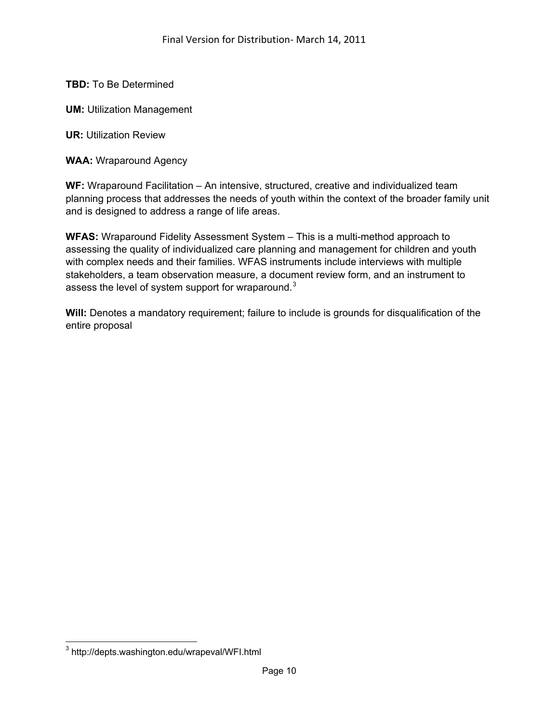**TBD:** To Be Determined

**UM: Utilization Management** 

**UR:** Utilization Review

**WAA:** Wraparound Agency

**WF:** Wraparound Facilitation – An intensive, structured, creative and individualized team planning process that addresses the needs of youth within the context of the broader family unit and is designed to address a range of life areas.

**WFAS:** Wraparound Fidelity Assessment System – This is a multi-method approach to assessing the quality of individualized care planning and management for children and youth with complex needs and their families. WFAS instruments include interviews with multiple stakeholders, a team observation measure, a document review form, and an instrument to assess the level of system support for wraparound.<sup>[3](#page-9-0)</sup>

**Will:** Denotes a mandatory requirement; failure to include is grounds for disqualification of the entire proposal

<span id="page-9-0"></span> 3 http://depts.washington.edu/wrapeval/WFI.html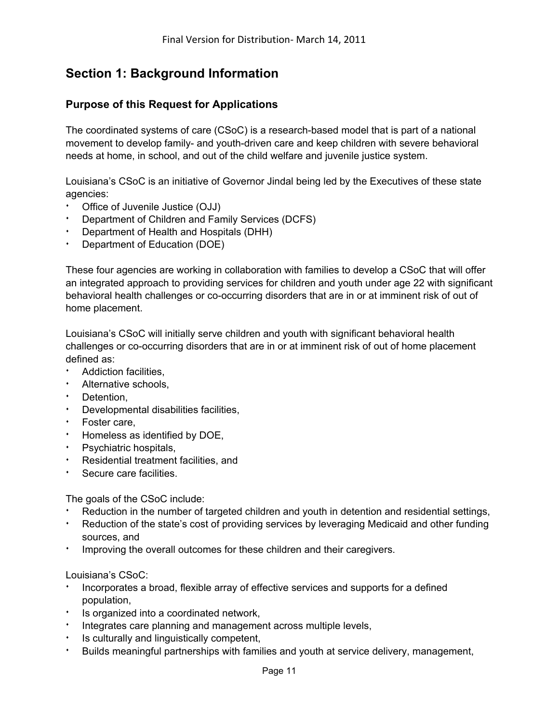# **Section 1: Background Information**

## **Purpose of this Request for Applications**

The coordinated systems of care (CSoC) is a research-based model that is part of a national movement to develop family- and youth-driven care and keep children with severe behavioral needs at home, in school, and out of the child welfare and juvenile justice system.

Louisiana's CSoC is an initiative of Governor Jindal being led by the Executives of these state agencies:

- Office of Juvenile Justice (OJJ)
- Department of Children and Family Services (DCFS)
- Department of Health and Hospitals (DHH)
- Department of Education (DOE)

These four agencies are working in collaboration with families to develop a CSoC that will offer an integrated approach to providing services for children and youth under age 22 with significant behavioral health challenges or co-occurring disorders that are in or at imminent risk of out of home placement.

Louisiana's CSoC will initially serve children and youth with significant behavioral health challenges or co-occurring disorders that are in or at imminent risk of out of home placement defined as:

- Addiction facilities,
- **EXECUTE:** Alternative schools,
- $\cdot$  Detention,
- Developmental disabilities facilities,
- **·** Foster care,
- Homeless as identified by DOE,
- **EXECUTE:** Psychiatric hospitals,
- Residential treatment facilities, and
- **Secure care facilities.**

The goals of the CSoC include:

- Reduction in the number of targeted children and youth in detention and residential settings,
- **EXED** Reduction of the state's cost of providing services by leveraging Medicaid and other funding sources, and
- i Improving the overall outcomes for these children and their caregivers.

Louisiana's CSoC:

- Incorporates a broad, flexible array of effective services and supports for a defined population,
- **i** Is organized into a coordinated network,
- Integrates care planning and management across multiple levels,
- Is culturally and linguistically competent,
- Builds meaningful partnerships with families and youth at service delivery, management,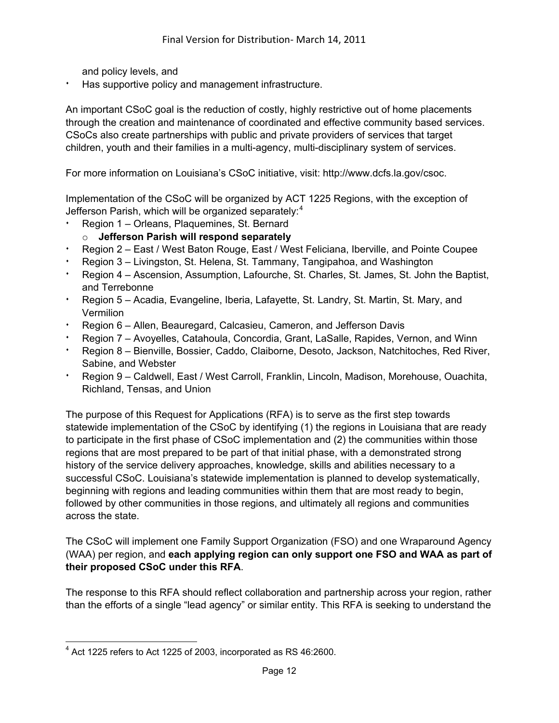and policy levels, and

Has supportive policy and management infrastructure.

An important CSoC goal is the reduction of costly, highly restrictive out of home placements through the creation and maintenance of coordinated and effective community based services. CSoCs also create partnerships with public and private providers of services that target children, youth and their families in a multi-agency, multi-disciplinary system of services.

For more information on Louisiana's CSoC initiative, visit: http://www.dcfs.la.gov/csoc.

Implementation of the CSoC will be organized by ACT 1225 Regions, with the exception of Jefferson Parish, which will be organized separately:<sup>[4](#page-11-0)</sup>

- Region 1 Orleans, Plaquemines, St. Bernard
- o **Jefferson Parish will respond separately**
- Region 2 East / West Baton Rouge, East / West Feliciana, Iberville, and Pointe Coupee
- <sup>i</sup> Region 3 Livingston, St. Helena, St. Tammany, Tangipahoa, and Washington
- **EXECT 4** Ascension, Assumption, Lafourche, St. Charles, St. James, St. John the Baptist, and Terrebonne
- Region 5 Acadia, Evangeline, Iberia, Lafayette, St. Landry, St. Martin, St. Mary, and **Vermilion**
- Region 6 Allen, Beauregard, Calcasieu, Cameron, and Jefferson Davis
- Region 7 Avoyelles, Catahoula, Concordia, Grant, LaSalle, Rapides, Vernon, and Winn
- Region 8 Bienville, Bossier, Caddo, Claiborne, Desoto, Jackson, Natchitoches, Red River, Sabine, and Webster
- Region 9 Caldwell, East / West Carroll, Franklin, Lincoln, Madison, Morehouse, Ouachita, Richland, Tensas, and Union

The purpose of this Request for Applications (RFA) is to serve as the first step towards statewide implementation of the CSoC by identifying (1) the regions in Louisiana that are ready to participate in the first phase of CSoC implementation and (2) the communities within those regions that are most prepared to be part of that initial phase, with a demonstrated strong history of the service delivery approaches, knowledge, skills and abilities necessary to a successful CSoC. Louisiana's statewide implementation is planned to develop systematically, beginning with regions and leading communities within them that are most ready to begin, followed by other communities in those regions, and ultimately all regions and communities across the state.

The CSoC will implement one Family Support Organization (FSO) and one Wraparound Agency (WAA) per region, and **each applying region can only support one FSO and WAA as part of their proposed CSoC under this RFA**.

The response to this RFA should reflect collaboration and partnership across your region, rather than the efforts of a single "lead agency" or similar entity. This RFA is seeking to understand the

<span id="page-11-0"></span> $\overline{a}$  $4$  Act 1225 refers to Act 1225 of 2003, incorporated as RS 46:2600.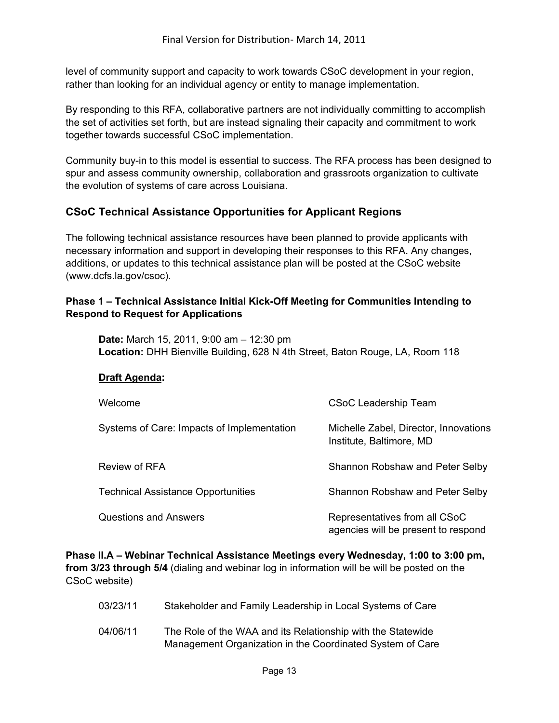level of community support and capacity to work towards CSoC development in your region, rather than looking for an individual agency or entity to manage implementation.

By responding to this RFA, collaborative partners are not individually committing to accomplish the set of activities set forth, but are instead signaling their capacity and commitment to work together towards successful CSoC implementation.

Community buy-in to this model is essential to success. The RFA process has been designed to spur and assess community ownership, collaboration and grassroots organization to cultivate the evolution of systems of care across Louisiana.

## **CSoC Technical Assistance Opportunities for Applicant Regions**

The following technical assistance resources have been planned to provide applicants with necessary information and support in developing their responses to this RFA. Any changes, additions, or updates to this technical assistance plan will be posted at the CSoC website (www.dcfs.la.gov/csoc).

### **Phase 1 – Technical Assistance Initial Kick-Off Meeting for Communities Intending to Respond to Request for Applications**

**Date:** March 15, 2011, 9:00 am – 12:30 pm **Location:** DHH Bienville Building, 628 N 4th Street, Baton Rouge, LA, Room 118

#### **Draft Agenda:**

| Welcome                                    | <b>CSoC Leadership Team</b>                                          |
|--------------------------------------------|----------------------------------------------------------------------|
| Systems of Care: Impacts of Implementation | Michelle Zabel, Director, Innovations<br>Institute, Baltimore, MD    |
| Review of RFA                              | Shannon Robshaw and Peter Selby                                      |
| <b>Technical Assistance Opportunities</b>  | Shannon Robshaw and Peter Selby                                      |
| <b>Questions and Answers</b>               | Representatives from all CSoC<br>agencies will be present to respond |

**Phase II.A – Webinar Technical Assistance Meetings every Wednesday, 1:00 to 3:00 pm, from 3/23 through 5/4** (dialing and webinar log in information will be will be posted on the CSoC website)

| 03/23/11 | Stakeholder and Family Leadership in Local Systems of Care |
|----------|------------------------------------------------------------|
|----------|------------------------------------------------------------|

04/06/11 The Role of the WAA and its Relationship with the Statewide Management Organization in the Coordinated System of Care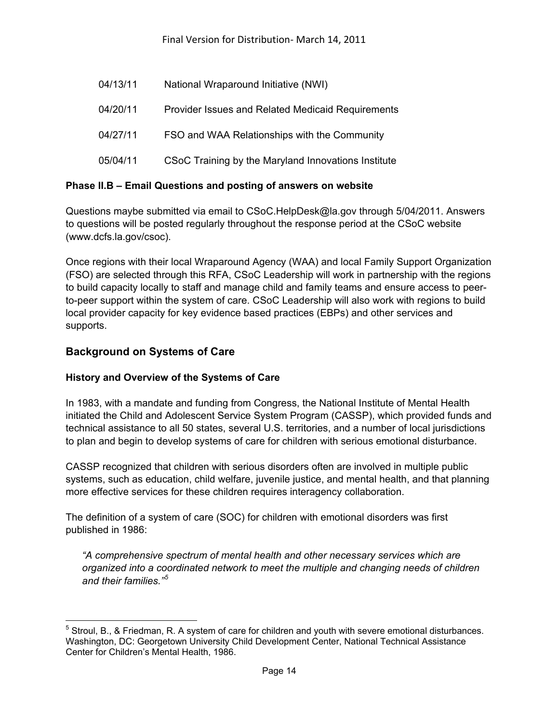| 04/13/11 | National Wraparound Initiative (NWI)                     |
|----------|----------------------------------------------------------|
| 04/20/11 | <b>Provider Issues and Related Medicaid Requirements</b> |
| 04/27/11 | FSO and WAA Relationships with the Community             |
| 05/04/11 | CSoC Training by the Maryland Innovations Institute      |

## **Phase II.B – Email Questions and posting of answers on website**

Questions maybe submitted via email to CSoC.HelpDesk@la.gov through 5/04/2011. Answers to questions will be posted regularly throughout the response period at the CSoC website (www.dcfs.la.gov/csoc).

Once regions with their local Wraparound Agency (WAA) and local Family Support Organization (FSO) are selected through this RFA, CSoC Leadership will work in partnership with the regions to build capacity locally to staff and manage child and family teams and ensure access to peerto-peer support within the system of care. CSoC Leadership will also work with regions to build local provider capacity for key evidence based practices (EBPs) and other services and supports.

## **Background on Systems of Care**

 $\overline{a}$ 

#### **History and Overview of the Systems of Care**

In 1983, with a mandate and funding from Congress, the National Institute of Mental Health initiated the Child and Adolescent Service System Program (CASSP), which provided funds and technical assistance to all 50 states, several U.S. territories, and a number of local jurisdictions to plan and begin to develop systems of care for children with serious emotional disturbance.

CASSP recognized that children with serious disorders often are involved in multiple public systems, such as education, child welfare, juvenile justice, and mental health, and that planning more effective services for these children requires interagency collaboration.

The definition of a system of care (SOC) for children with emotional disorders was first published in 1986:

*"A comprehensive spectrum of mental health and other necessary services which are organized into a coordinated network to meet the multiple and changing needs of children and their families."[5](#page-13-0)*

<span id="page-13-0"></span> $<sup>5</sup>$  Stroul, B., & Friedman, R. A system of care for children and youth with severe emotional disturbances.</sup> Washington, DC: Georgetown University Child Development Center, National Technical Assistance Center for Children's Mental Health, 1986.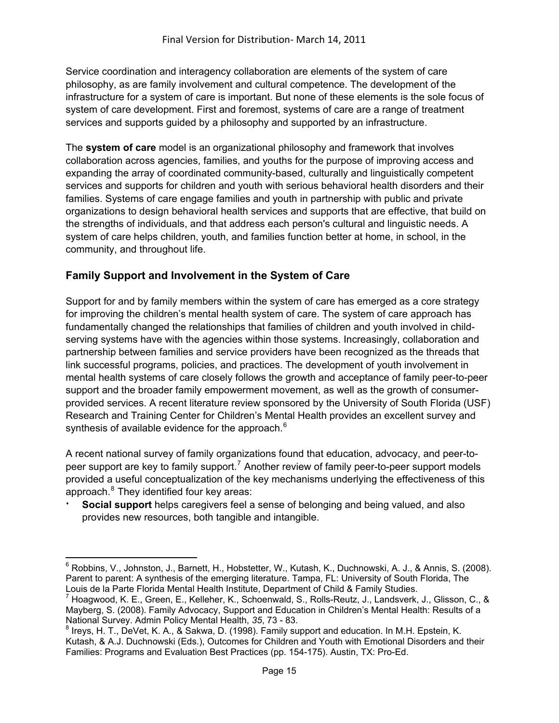Service coordination and interagency collaboration are elements of the system of care philosophy, as are family involvement and cultural competence. The development of the infrastructure for a system of care is important. But none of these elements is the sole focus of system of care development. First and foremost, systems of care are a range of treatment services and supports guided by a philosophy and supported by an infrastructure.

The **system of care** model is an organizational philosophy and framework that involves collaboration across agencies, families, and youths for the purpose of improving access and expanding the array of coordinated community-based, culturally and linguistically competent services and supports for children and youth with serious behavioral health disorders and their families. Systems of care engage families and youth in partnership with public and private organizations to design behavioral health services and supports that are effective, that build on the strengths of individuals, and that address each person's cultural and linguistic needs. A system of care helps children, youth, and families function better at home, in school, in the community, and throughout life.

## **Family Support and Involvement in the System of Care**

Support for and by family members within the system of care has emerged as a core strategy for improving the children's mental health system of care. The system of care approach has fundamentally changed the relationships that families of children and youth involved in childserving systems have with the agencies within those systems. Increasingly, collaboration and partnership between families and service providers have been recognized as the threads that link successful programs, policies, and practices. The development of youth involvement in mental health systems of care closely follows the growth and acceptance of family peer-to-peer support and the broader family empowerment movement, as well as the growth of consumerprovided services. A recent literature review sponsored by the University of South Florida (USF) Research and Training Center for Children's Mental Health provides an excellent survey and synthesis of available evidence for the approach.<sup>[6](#page-14-0)</sup>

A recent national survey of family organizations found that education, advocacy, and peer-to-peer support are key to family support.<sup>[7](#page-14-1)</sup> Another review of family peer-to-peer support models provided a useful conceptualization of the key mechanisms underlying the effectiveness of this approach.<sup>[8](#page-14-2)</sup> They identified four key areas:

**Social support** helps caregivers feel a sense of belonging and being valued, and also provides new resources, both tangible and intangible.

<span id="page-14-0"></span> $\overline{a}$ 6 Robbins, V., Johnston, J., Barnett, H., Hobstetter, W., Kutash, K., Duchnowski, A. J., & Annis, S. (2008). Parent to parent: A synthesis of the emerging literature. Tampa, FL: University of South Florida, The Louis de la Parte Florida Mental Health Institute, Department of Child & Family Studies.

<span id="page-14-1"></span><sup>&</sup>lt;sup>7</sup> Hoagwood, K. E., Green, E., Kelleher, K., Schoenwald, S., Rolls-Reutz, J., Landsverk, J., Glisson, C., & Mayberg, S. (2008). Family Advocacy, Support and Education in Children's Mental Health: Results of a National Survey. Admin Policy Mental Health, *35*, 73 - 83.

<span id="page-14-2"></span> $^8$  Ireys, H. T., DeVet, K. A., & Sakwa, D. (1998). Family support and education. In M.H. Epstein, K. Kutash, & A.J. Duchnowski (Eds.), Outcomes for Children and Youth with Emotional Disorders and their Families: Programs and Evaluation Best Practices (pp. 154-175). Austin, TX: Pro-Ed.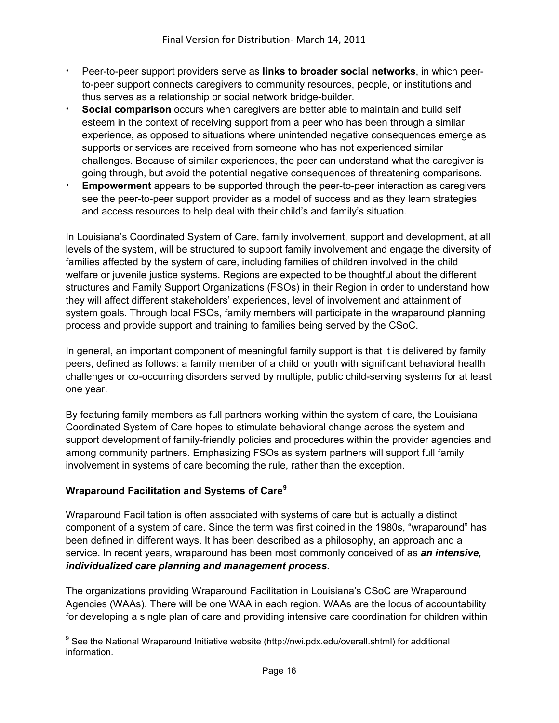- <sup>i</sup> Peer-to-peer support providers serve as **links to broader social networks**, in which peerto-peer support connects caregivers to community resources, people, or institutions and thus serves as a relationship or social network bridge-builder.
- **Social comparison** occurs when caregivers are better able to maintain and build self esteem in the context of receiving support from a peer who has been through a similar experience, as opposed to situations where unintended negative consequences emerge as supports or services are received from someone who has not experienced similar challenges. Because of similar experiences, the peer can understand what the caregiver is going through, but avoid the potential negative consequences of threatening comparisons.
- **Empowerment** appears to be supported through the peer-to-peer interaction as caregivers see the peer-to-peer support provider as a model of success and as they learn strategies and access resources to help deal with their child's and family's situation.

In Louisiana's Coordinated System of Care, family involvement, support and development, at all levels of the system, will be structured to support family involvement and engage the diversity of families affected by the system of care, including families of children involved in the child welfare or juvenile justice systems. Regions are expected to be thoughtful about the different structures and Family Support Organizations (FSOs) in their Region in order to understand how they will affect different stakeholders' experiences, level of involvement and attainment of system goals. Through local FSOs, family members will participate in the wraparound planning process and provide support and training to families being served by the CSoC.

In general, an important component of meaningful family support is that it is delivered by family peers, defined as follows: a family member of a child or youth with significant behavioral health challenges or co-occurring disorders served by multiple, public child-serving systems for at least one year.

By featuring family members as full partners working within the system of care, the Louisiana Coordinated System of Care hopes to stimulate behavioral change across the system and support development of family-friendly policies and procedures within the provider agencies and among community partners. Emphasizing FSOs as system partners will support full family involvement in systems of care becoming the rule, rather than the exception.

## **Wraparound Facilitation and Systems of Care[9](#page-15-0)**

Wraparound Facilitation is often associated with systems of care but is actually a distinct component of a system of care. Since the term was first coined in the 1980s, "wraparound" has been defined in different ways. It has been described as a philosophy, an approach and a service. In recent years, wraparound has been most commonly conceived of as *an intensive, individualized care planning and management process*.

The organizations providing Wraparound Facilitation in Louisiana's CSoC are Wraparound Agencies (WAAs). There will be one WAA in each region. WAAs are the locus of accountability for developing a single plan of care and providing intensive care coordination for children within

<span id="page-15-0"></span> 9 See the National Wraparound Initiative website (http://nwi.pdx.edu/overall.shtml) for additional information.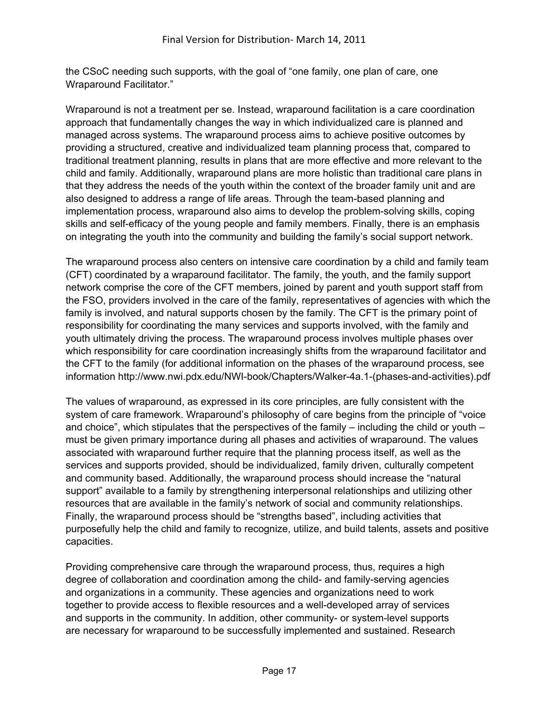the CSoC needing such supports, with the goal of "one family, one plan of care, one Wraparound Facilitator."

Wraparound is not a treatment per se. Instead, wraparound facilitation is a care coordination approach that fundamentally changes the way in which individualized care is planned and managed across systems. The wraparound process aims to achieve positive outcomes by providing a structured, creative and individualized team planning process that, compared to traditional treatment planning, results in plans that are more effective and more relevant to the child and family. Additionally, wraparound plans are more holistic than traditional care plans in that they address the needs of the youth within the context of the broader family unit and are also designed to address a range of life areas. Through the team-based planning and implementation process, wraparound also aims to develop the problem-solving skills, coping skills and self-efficacy of the young people and family members. Finally, there is an emphasis on integrating the youth into the community and building the family's social support network.

The wraparound process also centers on intensive care coordination by a child and family team (CFT) coordinated by a wraparound facilitator. The family, the youth, and the family support network comprise the core of the CFT members, joined by parent and youth support staff from the FSO, providers involved in the care of the family, representatives of agencies with which the family is involved, and natural supports chosen by the family. The CFT is the primary point of responsibility for coordinating the many services and supports involved, with the family and youth ultimately driving the process. The wraparound process involves multiple phases over which responsibility for care coordination increasingly shifts from the wraparound facilitator and the CFT to the family (for additional information on the phases of the wraparound process, see information http://www.nwi.pdx.edu/NWI-book/Chapters/Walker-4a.1-(phases-and-activities).pdf

The values of wraparound, as expressed in its core principles, are fully consistent with the system of care framework. Wraparound's philosophy of care begins from the principle of "voice and choice", which stipulates that the perspectives of the family – including the child or youth – must be given primary importance during all phases and activities of wraparound. The values associated with wraparound further require that the planning process itself, as well as the services and supports provided, should be individualized, family driven, culturally competent and community based. Additionally, the wraparound process should increase the "natural support" available to a family by strengthening interpersonal relationships and utilizing other resources that are available in the family's network of social and community relationships. Finally, the wraparound process should be "strengths based", including activities that purposefully help the child and family to recognize, utilize, and build talents, assets and positive capacities.

Providing comprehensive care through the wraparound process, thus, requires a high degree of collaboration and coordination among the child- and family-serving agencies and organizations in a community. These agencies and organizations need to work together to provide access to flexible resources and a well-developed array of services and supports in the community. In addition, other community- or system-level supports are necessary for wraparound to be successfully implemented and sustained. Research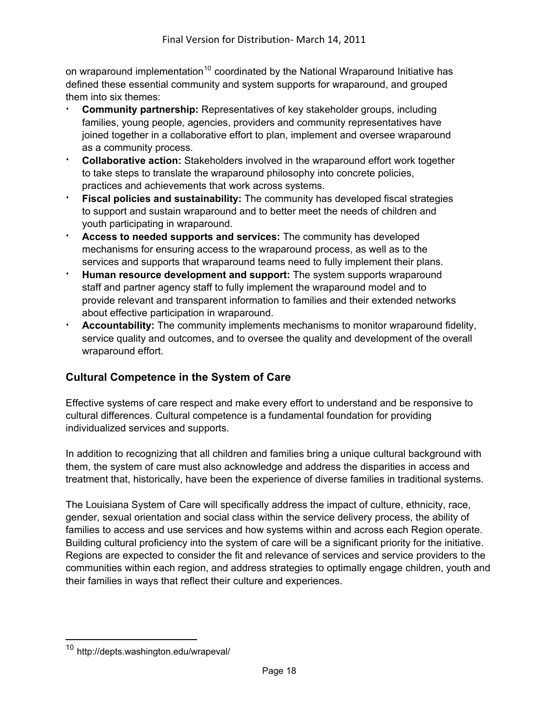on wraparound implementation<sup>[10](#page-17-0)</sup> coordinated by the National Wraparound Initiative has defined these essential community and system supports for wraparound, and grouped them into six themes:

- **Community partnership:** Representatives of key stakeholder groups, including families, young people, agencies, providers and community representatives have joined together in a collaborative effort to plan, implement and oversee wraparound as a community process.
- **Collaborative action:** Stakeholders involved in the wraparound effort work together to take steps to translate the wraparound philosophy into concrete policies, practices and achievements that work across systems.
- **Fiscal policies and sustainability:** The community has developed fiscal strategies to support and sustain wraparound and to better meet the needs of children and youth participating in wraparound.
- <sup>i</sup> **Access to needed supports and services:** The community has developed mechanisms for ensuring access to the wraparound process, as well as to the services and supports that wraparound teams need to fully implement their plans.
- Human resource development and support: The system supports wraparound staff and partner agency staff to fully implement the wraparound model and to provide relevant and transparent information to families and their extended networks about effective participation in wraparound.
- **Accountability:** The community implements mechanisms to monitor wraparound fidelity, service quality and outcomes, and to oversee the quality and development of the overall wraparound effort.

## **Cultural Competence in the System of Care**

Effective systems of care respect and make every effort to understand and be responsive to cultural differences. Cultural competence is a fundamental foundation for providing individualized services and supports.

In addition to recognizing that all children and families bring a unique cultural background with them, the system of care must also acknowledge and address the disparities in access and treatment that, historically, have been the experience of diverse families in traditional systems.

The Louisiana System of Care will specifically address the impact of culture, ethnicity, race, gender, sexual orientation and social class within the service delivery process, the ability of families to access and use services and how systems within and across each Region operate. Building cultural proficiency into the system of care will be a significant priority for the initiative. Regions are expected to consider the fit and relevance of services and service providers to the communities within each region, and address strategies to optimally engage children, youth and their families in ways that reflect their culture and experiences.

<span id="page-17-0"></span> $\overline{a}$ <sup>10</sup> http://depts.washington.edu/wrapeval/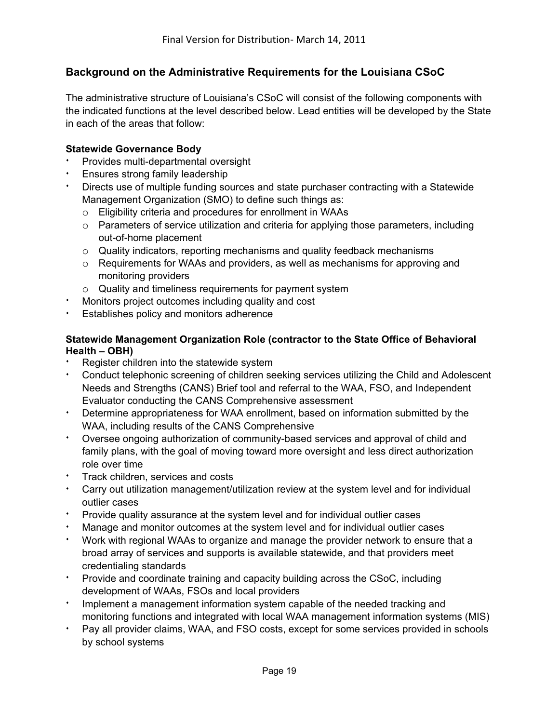## **Background on the Administrative Requirements for the Louisiana CSoC**

The administrative structure of Louisiana's CSoC will consist of the following components with the indicated functions at the level described below. Lead entities will be developed by the State in each of the areas that follow:

#### **Statewide Governance Body**

- Provides multi-departmental oversight
- Ensures strong family leadership
- Directs use of multiple funding sources and state purchaser contracting with a Statewide Management Organization (SMO) to define such things as:
	- o Eligibility criteria and procedures for enrollment in WAAs
	- o Parameters of service utilization and criteria for applying those parameters, including out-of-home placement
	- o Quality indicators, reporting mechanisms and quality feedback mechanisms
	- $\circ$  Requirements for WAAs and providers, as well as mechanisms for approving and monitoring providers
	- o Quality and timeliness requirements for payment system
- Monitors project outcomes including quality and cost
- Establishes policy and monitors adherence

### **Statewide Management Organization Role (contractor to the State Office of Behavioral Health – OBH)**

- Register children into the statewide system
- Conduct telephonic screening of children seeking services utilizing the Child and Adolescent Needs and Strengths (CANS) Brief tool and referral to the WAA, FSO, and Independent Evaluator conducting the CANS Comprehensive assessment
- Determine appropriateness for WAA enrollment, based on information submitted by the WAA, including results of the CANS Comprehensive
- Oversee ongoing authorization of community-based services and approval of child and family plans, with the goal of moving toward more oversight and less direct authorization role over time
- Track children, services and costs
- Carry out utilization management/utilization review at the system level and for individual outlier cases
- Provide quality assurance at the system level and for individual outlier cases
- Manage and monitor outcomes at the system level and for individual outlier cases
- Work with regional WAAs to organize and manage the provider network to ensure that a broad array of services and supports is available statewide, and that providers meet credentialing standards
- Provide and coordinate training and capacity building across the CSoC, including development of WAAs, FSOs and local providers
- <sup>i</sup> Implement a management information system capable of the needed tracking and monitoring functions and integrated with local WAA management information systems (MIS)
- Pay all provider claims, WAA, and FSO costs, except for some services provided in schools by school systems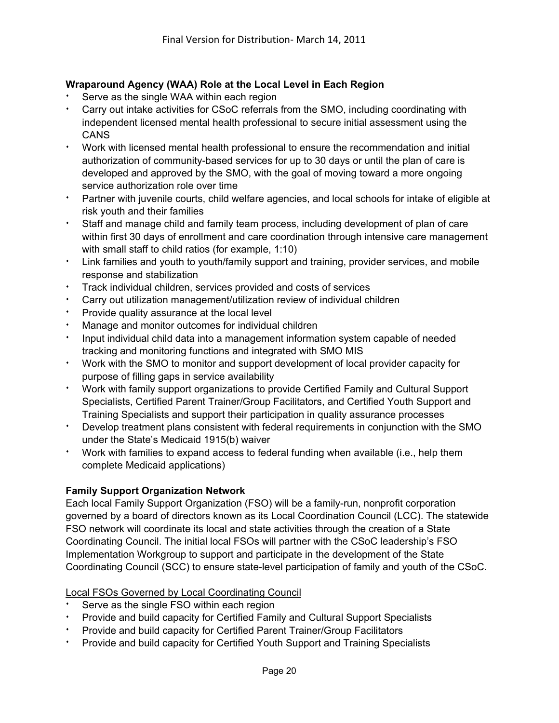## **Wraparound Agency (WAA) Role at the Local Level in Each Region**

- Serve as the single WAA within each region
- Carry out intake activities for CSoC referrals from the SMO, including coordinating with independent licensed mental health professional to secure initial assessment using the **CANS**
- <sup>i</sup> Work with licensed mental health professional to ensure the recommendation and initial authorization of community-based services for up to 30 days or until the plan of care is developed and approved by the SMO, with the goal of moving toward a more ongoing service authorization role over time
- Partner with juvenile courts, child welfare agencies, and local schools for intake of eligible at risk youth and their families
- Staff and manage child and family team process, including development of plan of care within first 30 days of enrollment and care coordination through intensive care management with small staff to child ratios (for example, 1:10)
- Link families and youth to youth/family support and training, provider services, and mobile response and stabilization
- **Track individual children, services provided and costs of services**
- Carry out utilization management/utilization review of individual children
- Provide quality assurance at the local level
- Manage and monitor outcomes for individual children
- <sup>i</sup> Input individual child data into a management information system capable of needed tracking and monitoring functions and integrated with SMO MIS
- <sup>i</sup> Work with the SMO to monitor and support development of local provider capacity for purpose of filling gaps in service availability
- <sup>i</sup> Work with family support organizations to provide Certified Family and Cultural Support Specialists, Certified Parent Trainer/Group Facilitators, and Certified Youth Support and Training Specialists and support their participation in quality assurance processes
- Develop treatment plans consistent with federal requirements in conjunction with the SMO under the State's Medicaid 1915(b) waiver
- Work with families to expand access to federal funding when available (i.e., help them complete Medicaid applications)

## **Family Support Organization Network**

Each local Family Support Organization (FSO) will be a family-run, nonprofit corporation governed by a board of directors known as its Local Coordination Council (LCC). The statewide FSO network will coordinate its local and state activities through the creation of a State Coordinating Council. The initial local FSOs will partner with the CSoC leadership's FSO Implementation Workgroup to support and participate in the development of the State Coordinating Council (SCC) to ensure state-level participation of family and youth of the CSoC.

## Local FSOs Governed by Local Coordinating Council

- Serve as the single FSO within each region
- Provide and build capacity for Certified Family and Cultural Support Specialists
- Provide and build capacity for Certified Parent Trainer/Group Facilitators
- Provide and build capacity for Certified Youth Support and Training Specialists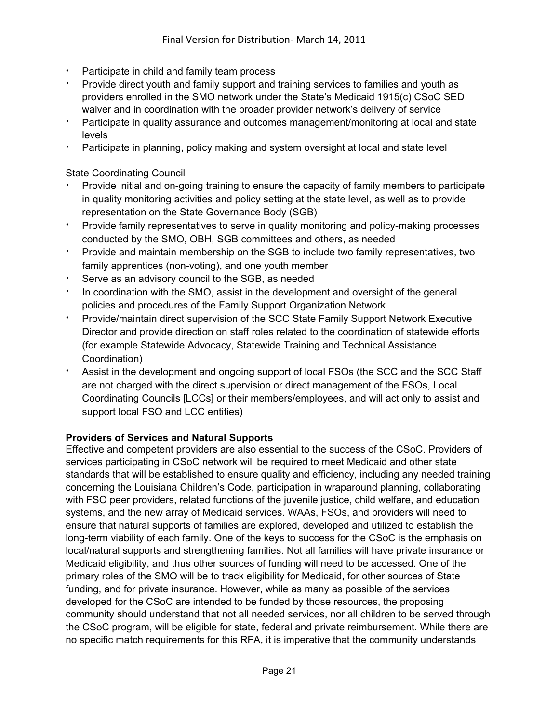- Participate in child and family team process
- Provide direct youth and family support and training services to families and youth as providers enrolled in the SMO network under the State's Medicaid 1915(c) CSoC SED waiver and in coordination with the broader provider network's delivery of service
- Participate in quality assurance and outcomes management/monitoring at local and state levels
- Participate in planning, policy making and system oversight at local and state level

#### **State Coordinating Council**

- Provide initial and on-going training to ensure the capacity of family members to participate in quality monitoring activities and policy setting at the state level, as well as to provide representation on the State Governance Body (SGB)
- Provide family representatives to serve in quality monitoring and policy-making processes conducted by the SMO, OBH, SGB committees and others, as needed
- <sup>i</sup> Provide and maintain membership on the SGB to include two family representatives, two family apprentices (non-voting), and one youth member
- Serve as an advisory council to the SGB, as needed
- In coordination with the SMO, assist in the development and oversight of the general policies and procedures of the Family Support Organization Network
- <sup>i</sup> Provide/maintain direct supervision of the SCC State Family Support Network Executive Director and provide direction on staff roles related to the coordination of statewide efforts (for example Statewide Advocacy, Statewide Training and Technical Assistance Coordination)
- Assist in the development and ongoing support of local FSOs (the SCC and the SCC Staff are not charged with the direct supervision or direct management of the FSOs, Local Coordinating Councils [LCCs] or their members/employees, and will act only to assist and support local FSO and LCC entities)

#### **Providers of Services and Natural Supports**

Effective and competent providers are also essential to the success of the CSoC. Providers of services participating in CSoC network will be required to meet Medicaid and other state standards that will be established to ensure quality and efficiency, including any needed training concerning the Louisiana Children's Code, participation in wraparound planning, collaborating with FSO peer providers, related functions of the juvenile justice, child welfare, and education systems, and the new array of Medicaid services. WAAs, FSOs, and providers will need to ensure that natural supports of families are explored, developed and utilized to establish the long-term viability of each family. One of the keys to success for the CSoC is the emphasis on local/natural supports and strengthening families. Not all families will have private insurance or Medicaid eligibility, and thus other sources of funding will need to be accessed. One of the primary roles of the SMO will be to track eligibility for Medicaid, for other sources of State funding, and for private insurance. However, while as many as possible of the services developed for the CSoC are intended to be funded by those resources, the proposing community should understand that not all needed services, nor all children to be served through the CSoC program, will be eligible for state, federal and private reimbursement. While there are no specific match requirements for this RFA, it is imperative that the community understands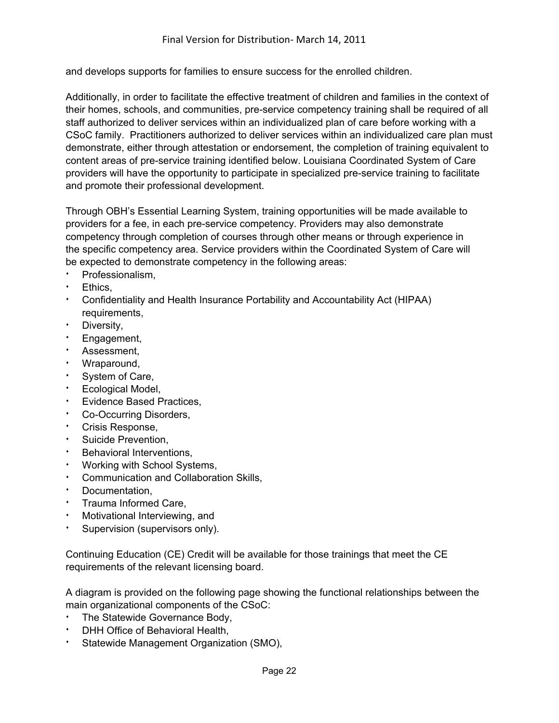and develops supports for families to ensure success for the enrolled children.

Additionally, in order to facilitate the effective treatment of children and families in the context of their homes, schools, and communities, pre-service competency training shall be required of all staff authorized to deliver services within an individualized plan of care before working with a CSoC family. Practitioners authorized to deliver services within an individualized care plan must demonstrate, either through attestation or endorsement, the completion of training equivalent to content areas of pre-service training identified below. Louisiana Coordinated System of Care providers will have the opportunity to participate in specialized pre-service training to facilitate and promote their professional development.

Through OBH's Essential Learning System, training opportunities will be made available to providers for a fee, in each pre-service competency. Providers may also demonstrate competency through completion of courses through other means or through experience in the specific competency area. Service providers within the Coordinated System of Care will be expected to demonstrate competency in the following areas:

- Professionalism.
- Ethics.
- <sup>i</sup> Confidentiality and Health Insurance Portability and Accountability Act (HIPAA) requirements,
- $\cdot$  Diversity,
- Engagement,
- Assessment.
- <sup>i</sup> Wraparound,
- System of Care,
- **Ecological Model,**
- Evidence Based Practices,
- Co-Occurring Disorders,
- **Crisis Response,**
- Suicide Prevention,
- Behavioral Interventions,
- Working with School Systems,
- Communication and Collaboration Skills,
- Documentation.
- Trauma Informed Care.
- Motivational Interviewing, and
- **Supervision (supervisors only).**

Continuing Education (CE) Credit will be available for those trainings that meet the CE requirements of the relevant licensing board.

A diagram is provided on the following page showing the functional relationships between the main organizational components of the CSoC:

- \* The Statewide Governance Body,
- DHH Office of Behavioral Health,
- Statewide Management Organization (SMO),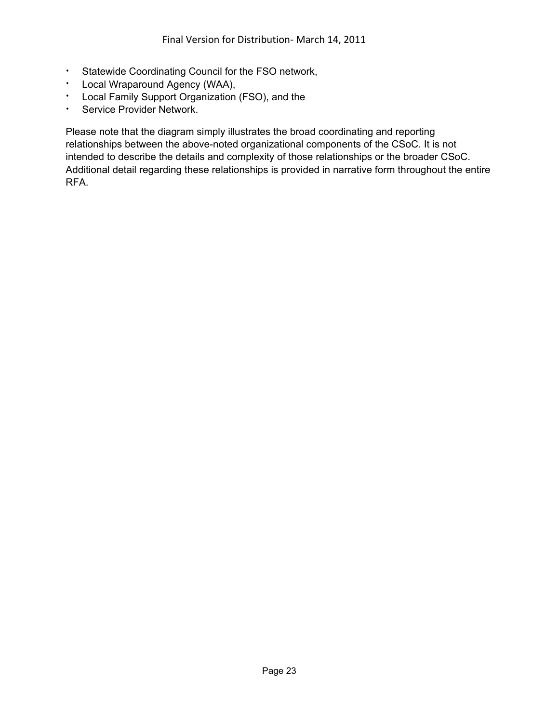- **:** Statewide Coordinating Council for the FSO network,
- **·** Local Wraparound Agency (WAA),
- **Local Family Support Organization (FSO), and the**
- **\*** Service Provider Network.

Please note that the diagram simply illustrates the broad coordinating and reporting relationships between the above-noted organizational components of the CSoC. It is not intended to describe the details and complexity of those relationships or the broader CSoC. Additional detail regarding these relationships is provided in narrative form throughout the entire RFA.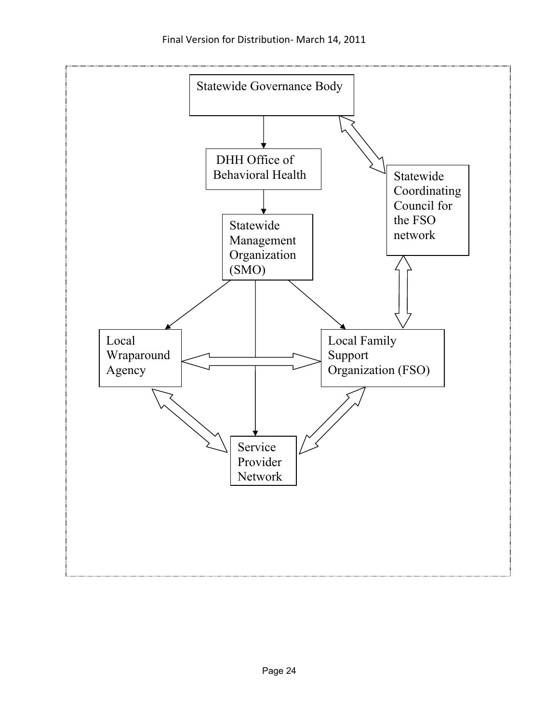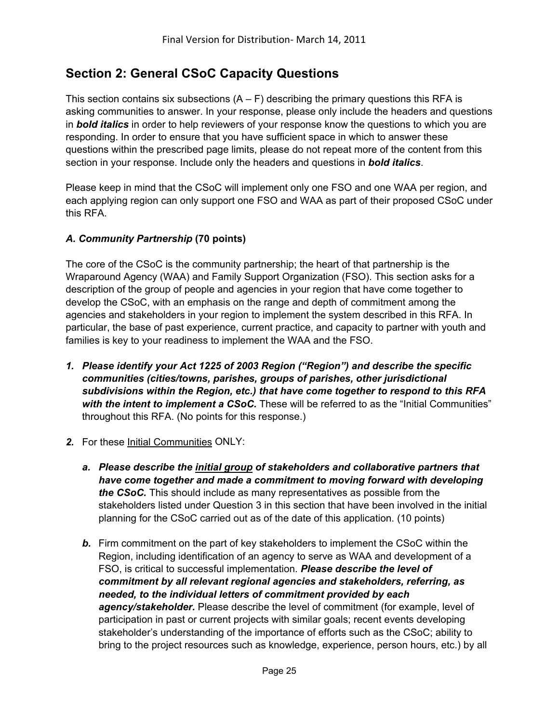# **Section 2: General CSoC Capacity Questions**

This section contains six subsections  $(A - F)$  describing the primary questions this RFA is asking communities to answer. In your response, please only include the headers and questions in *bold italics* in order to help reviewers of your response know the questions to which you are responding. In order to ensure that you have sufficient space in which to answer these questions within the prescribed page limits, please do not repeat more of the content from this section in your response. Include only the headers and questions in *bold italics*.

Please keep in mind that the CSoC will implement only one FSO and one WAA per region, and each applying region can only support one FSO and WAA as part of their proposed CSoC under this RFA.

## *A. Community Partnership* **(70 points)**

The core of the CSoC is the community partnership; the heart of that partnership is the Wraparound Agency (WAA) and Family Support Organization (FSO). This section asks for a description of the group of people and agencies in your region that have come together to develop the CSoC, with an emphasis on the range and depth of commitment among the agencies and stakeholders in your region to implement the system described in this RFA. In particular, the base of past experience, current practice, and capacity to partner with youth and families is key to your readiness to implement the WAA and the FSO.

- *1. Please identify your Act 1225 of 2003 Region ("Region") and describe the specific communities (cities/towns, parishes, groups of parishes, other jurisdictional subdivisions within the Region, etc.) that have come together to respond to this RFA with the intent to implement a CSoC.* These will be referred to as the "Initial Communities" throughout this RFA. (No points for this response.)
- *2.* For these Initial Communities ONLY:
	- *a. Please describe the initial group of stakeholders and collaborative partners that have come together and made a commitment to moving forward with developing the CSoC.* This should include as many representatives as possible from the stakeholders listed under Question 3 in this section that have been involved in the initial planning for the CSoC carried out as of the date of this application. (10 points)
	- *b.* Firm commitment on the part of key stakeholders to implement the CSoC within the Region, including identification of an agency to serve as WAA and development of a FSO, is critical to successful implementation. *Please describe the level of commitment by all relevant regional agencies and stakeholders, referring, as needed, to the individual letters of commitment provided by each agency/stakeholder.* Please describe the level of commitment (for example, level of participation in past or current projects with similar goals; recent events developing stakeholder's understanding of the importance of efforts such as the CSoC; ability to bring to the project resources such as knowledge, experience, person hours, etc.) by all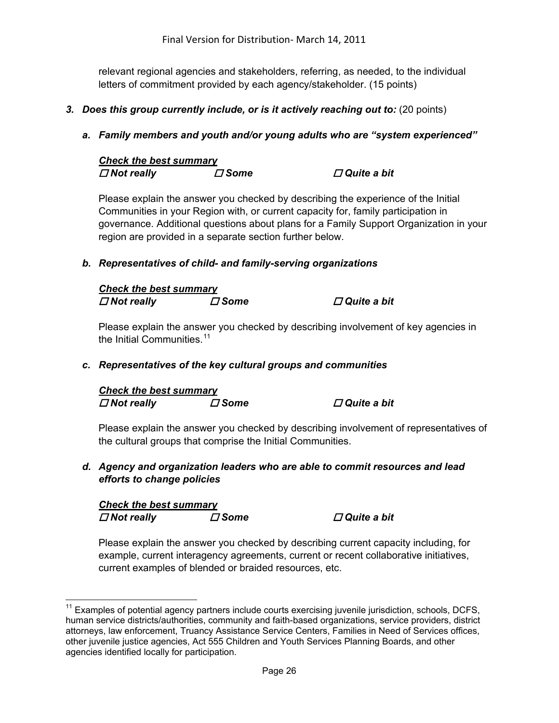relevant regional agencies and stakeholders, referring, as needed, to the individual letters of commitment provided by each agency/stakeholder. (15 points)

- *3. Does this group currently include, or is it actively reaching out to:* (20 points)
	- *a. Family members and youth and/or young adults who are "system experienced"*

| <b>Check the best summary</b> |             |                       |
|-------------------------------|-------------|-----------------------|
| $\Box$ Not really             | $\Box$ Some | $\square$ Quite a bit |

Please explain the answer you checked by describing the experience of the Initial Communities in your Region with, or current capacity for, family participation in governance. Additional questions about plans for a Family Support Organization in your region are provided in a separate section further below.

## *b. Representatives of child- and family-serving organizations*

| <b>Check the best summary</b> |               |                       |
|-------------------------------|---------------|-----------------------|
| $\Box$ Not really             | $\varPi$ Some | $\square$ Quite a bit |

Please explain the answer you checked by describing involvement of key agencies in the Initial Communities. $11$ 

#### *c. Representatives of the key cultural groups and communities*

# *Check the best summary*

 *Not really Some Quite a bit* 

Please explain the answer you checked by describing involvement of representatives of the cultural groups that comprise the Initial Communities.

*d. Agency and organization leaders who are able to commit resources and lead efforts to change policies* 

| <b>Check the best summary</b> |             |
|-------------------------------|-------------|
| $\Box$ Not really             | $\Box$ Some |

 $\overline{a}$ 

 *Not really Some Quite a bit* 

Please explain the answer you checked by describing current capacity including, for example, current interagency agreements, current or recent collaborative initiatives, current examples of blended or braided resources, etc.

<span id="page-25-0"></span> $11$  Examples of potential agency partners include courts exercising juvenile jurisdiction, schools, DCFS, human service districts/authorities, community and faith-based organizations, service providers, district attorneys, law enforcement, Truancy Assistance Service Centers, Families in Need of Services offices, other juvenile justice agencies, Act 555 Children and Youth Services Planning Boards, and other agencies identified locally for participation.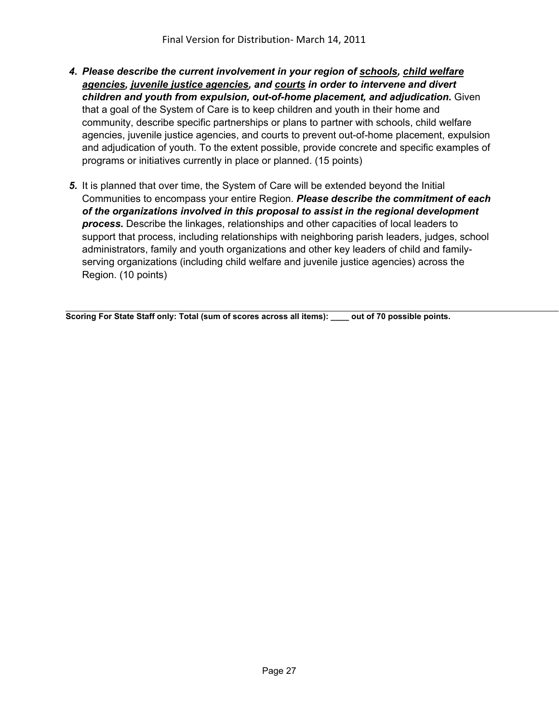- *4. Please describe the current involvement in your region of schools, child welfare agencies, juvenile justice agencies, and courts in order to intervene and divert children and youth from expulsion, out-of-home placement, and adjudication.* Given that a goal of the System of Care is to keep children and youth in their home and community, describe specific partnerships or plans to partner with schools, child welfare agencies, juvenile justice agencies, and courts to prevent out-of-home placement, expulsion and adjudication of youth. To the extent possible, provide concrete and specific examples of programs or initiatives currently in place or planned. (15 points)
- *5.* It is planned that over time, the System of Care will be extended beyond the Initial Communities to encompass your entire Region. *Please describe the commitment of each of the organizations involved in this proposal to assist in the regional development process.* Describe the linkages, relationships and other capacities of local leaders to support that process, including relationships with neighboring parish leaders, judges, school administrators, family and youth organizations and other key leaders of child and familyserving organizations (including child welfare and juvenile justice agencies) across the Region. (10 points)

**Scoring For State Staff only: Total (sum of scores across all items): \_\_\_\_ out of 70 possible points.**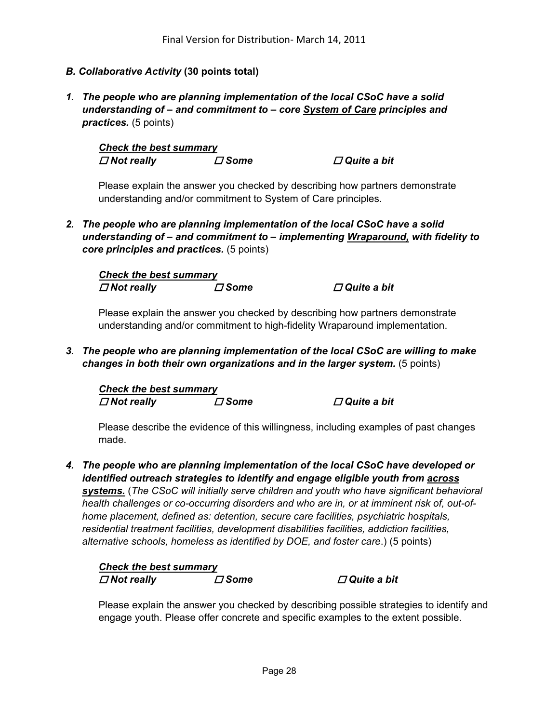#### *B. Collaborative Activity* **(30 points total)**

*1. The people who are planning implementation of the local CSoC have a solid understanding of – and commitment to – core System of Care principles and practices.* (5 points)

*Check the best summary Not really Some Quite a bit* 

Please explain the answer you checked by describing how partners demonstrate understanding and/or commitment to System of Care principles.

*2. The people who are planning implementation of the local CSoC have a solid understanding of – and commitment to – implementing Wraparound, with fidelity to core principles and practices.* (5 points)

*Check the best summary*  $\Box$  *Not really <i>D* **Some** *D* **Quite a bit** *D* 

Please explain the answer you checked by describing how partners demonstrate understanding and/or commitment to high-fidelity Wraparound implementation.

*3. The people who are planning implementation of the local CSoC are willing to make changes in both their own organizations and in the larger system.* (5 points)

*Check the best summary Not really Some Quite a bit* 

Please describe the evidence of this willingness, including examples of past changes made.

*4. The people who are planning implementation of the local CSoC have developed or identified outreach strategies to identify and engage eligible youth from across systems.* (*The CSoC will initially serve children and youth who have significant behavioral health challenges or co-occurring disorders and who are in, or at imminent risk of, out-ofhome placement, defined as: detention, secure care facilities, psychiatric hospitals, residential treatment facilities, development disabilities facilities, addiction facilities, alternative schools, homeless as identified by DOE, and foster care*.) (5 points)

*Check the best summary*  $\Box$  *Not really <i>D* **Some** *D* **Quite a bit** *D* 

Please explain the answer you checked by describing possible strategies to identify and engage youth. Please offer concrete and specific examples to the extent possible.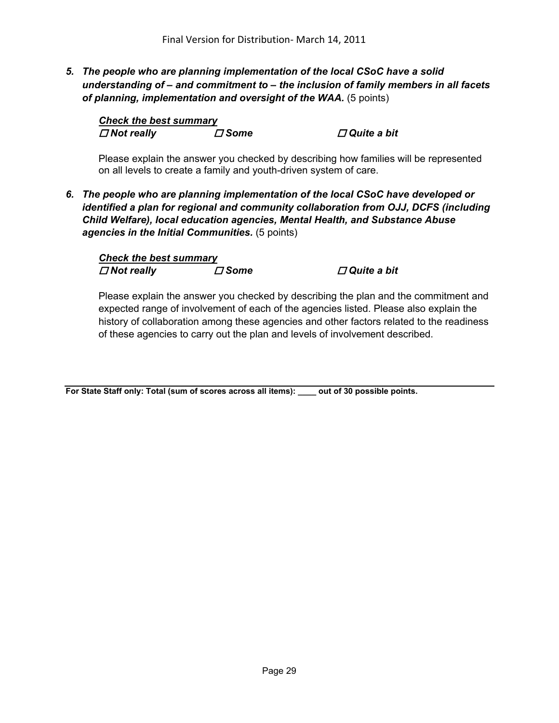*5. The people who are planning implementation of the local CSoC have a solid understanding of – and commitment to – the inclusion of family members in all facets of planning, implementation and oversight of the WAA.* (5 points)

| <b>Check the best summary</b> |             |
|-------------------------------|-------------|
| $\Box$ Not really             | $\Box$ Some |

*<i>D* Quite a bit

Please explain the answer you checked by describing how families will be represented on all levels to create a family and youth-driven system of care.

*6. The people who are planning implementation of the local CSoC have developed or identified a plan for regional and community collaboration from OJJ, DCFS (including Child Welfare), local education agencies, Mental Health, and Substance Abuse agencies in the Initial Communities.* (5 points)

| <b>Check the best summary</b> |             |                       |
|-------------------------------|-------------|-----------------------|
| $\Box$ Not really             | $\Box$ Some | $\square$ Quite a bit |

Please explain the answer you checked by describing the plan and the commitment and expected range of involvement of each of the agencies listed. Please also explain the history of collaboration among these agencies and other factors related to the readiness of these agencies to carry out the plan and levels of involvement described.

**For State Staff only: Total (sum of scores across all items): \_\_\_\_ out of 30 possible points.**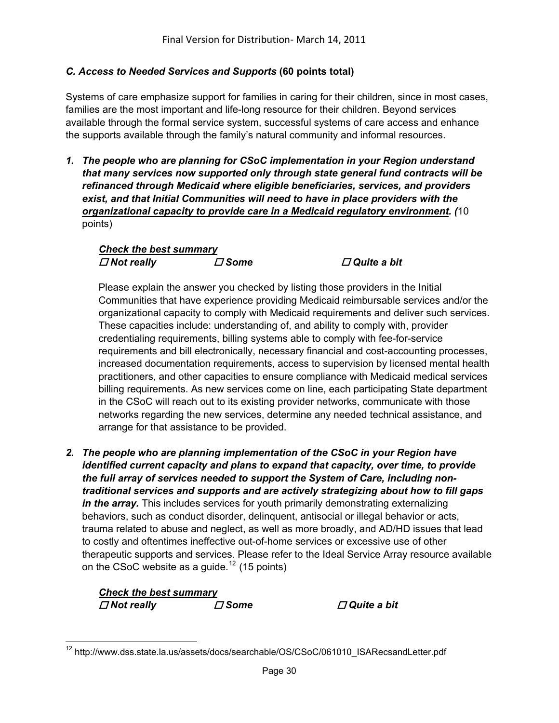## *C. Access to Needed Services and Supports* **(60 points total)**

Systems of care emphasize support for families in caring for their children, since in most cases, families are the most important and life-long resource for their children. Beyond services available through the formal service system, successful systems of care access and enhance the supports available through the family's natural community and informal resources.

*1. The people who are planning for CSoC implementation in your Region understand that many services now supported only through state general fund contracts will be refinanced through Medicaid where eligible beneficiaries, services, and providers exist, and that Initial Communities will need to have in place providers with the organizational capacity to provide care in a Medicaid regulatory environment. (*10 points)

## *Check the best summary Not really Some Quite a bit*

Please explain the answer you checked by listing those providers in the Initial Communities that have experience providing Medicaid reimbursable services and/or the organizational capacity to comply with Medicaid requirements and deliver such services. These capacities include: understanding of, and ability to comply with, provider credentialing requirements, billing systems able to comply with fee-for-service requirements and bill electronically, necessary financial and cost-accounting processes, increased documentation requirements, access to supervision by licensed mental health practitioners, and other capacities to ensure compliance with Medicaid medical services billing requirements. As new services come on line, each participating State department in the CSoC will reach out to its existing provider networks, communicate with those networks regarding the new services, determine any needed technical assistance, and arrange for that assistance to be provided.

*2. The people who are planning implementation of the CSoC in your Region have identified current capacity and plans to expand that capacity, over time, to provide the full array of services needed to support the System of Care, including nontraditional services and supports and are actively strategizing about how to fill gaps in the array.* This includes services for youth primarily demonstrating externalizing behaviors, such as conduct disorder, delinquent, antisocial or illegal behavior or acts, trauma related to abuse and neglect, as well as more broadly, and AD/HD issues that lead to costly and oftentimes ineffective out-of-home services or excessive use of other therapeutic supports and services. Please refer to the Ideal Service Array resource available on the CSoC website as a guide.<sup>[12](#page-29-0)</sup> (15 points)

## *Check the best summary*  $\Box$  *Not really <i>D* **Some** *D* **Quite a bit** *D*

<span id="page-29-0"></span> $\overline{a}$ <sup>12</sup> http://www.dss.state.la.us/assets/docs/searchable/OS/CSoC/061010\_ISARecsandLetter.pdf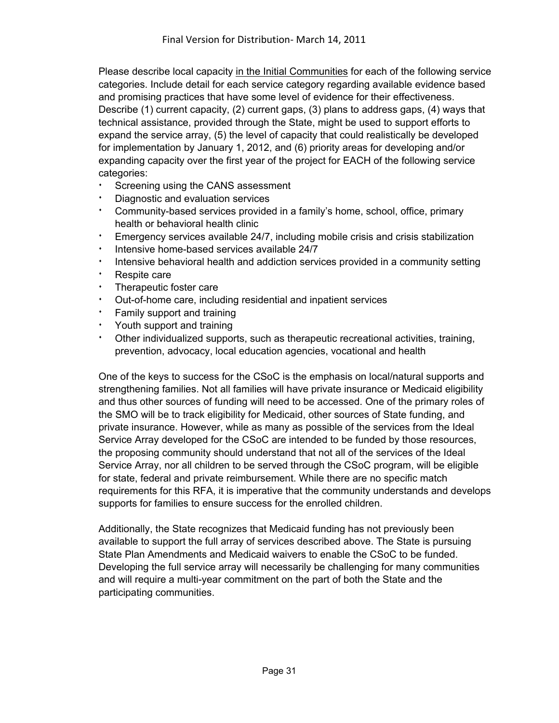Please describe local capacity in the Initial Communities for each of the following service categories. Include detail for each service category regarding available evidence based and promising practices that have some level of evidence for their effectiveness. Describe (1) current capacity, (2) current gaps, (3) plans to address gaps, (4) ways that technical assistance, provided through the State, might be used to support efforts to expand the service array, (5) the level of capacity that could realistically be developed for implementation by January 1, 2012, and (6) priority areas for developing and/or expanding capacity over the first year of the project for EACH of the following service categories:

- Screening using the CANS assessment
- Diagnostic and evaluation services
- <sup>i</sup> Community-based services provided in a family's home, school, office, primary health or behavioral health clinic
- <sup>i</sup> Emergency services available 24/7, including mobile crisis and crisis stabilization
- <sup>i</sup> Intensive home-based services available 24/7
- i Intensive behavioral health and addiction services provided in a community setting
- **·** Respite care
- **Therapeutic foster care**
- <sup>i</sup> Out-of-home care, including residential and inpatient services
- Family support and training
- $\cdot$  Youth support and training
- Other individualized supports, such as therapeutic recreational activities, training, prevention, advocacy, local education agencies, vocational and health

One of the keys to success for the CSoC is the emphasis on local/natural supports and strengthening families. Not all families will have private insurance or Medicaid eligibility and thus other sources of funding will need to be accessed. One of the primary roles of the SMO will be to track eligibility for Medicaid, other sources of State funding, and private insurance. However, while as many as possible of the services from the Ideal Service Array developed for the CSoC are intended to be funded by those resources, the proposing community should understand that not all of the services of the Ideal Service Array, nor all children to be served through the CSoC program, will be eligible for state, federal and private reimbursement. While there are no specific match requirements for this RFA, it is imperative that the community understands and develops supports for families to ensure success for the enrolled children.

Additionally, the State recognizes that Medicaid funding has not previously been available to support the full array of services described above. The State is pursuing State Plan Amendments and Medicaid waivers to enable the CSoC to be funded. Developing the full service array will necessarily be challenging for many communities and will require a multi-year commitment on the part of both the State and the participating communities.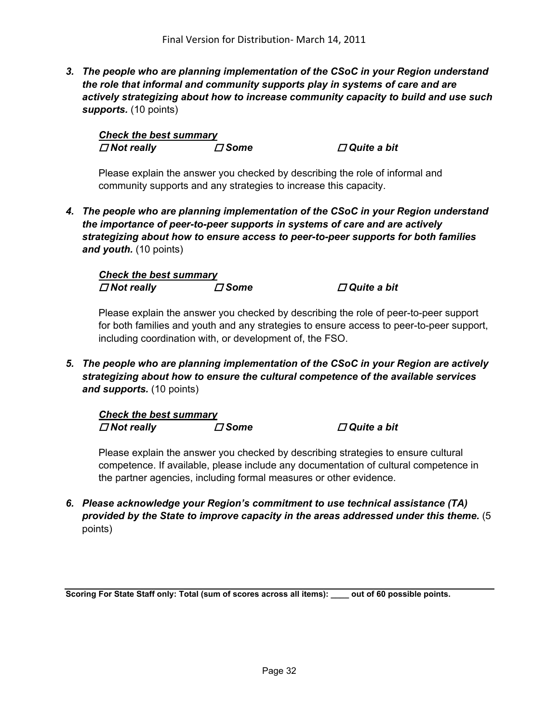*3. The people who are planning implementation of the CSoC in your Region understand the role that informal and community supports play in systems of care and are actively strategizing about how to increase community capacity to build and use such supports.* (10 points)

*Check the best summary Not really Some Quite a bit* 

Please explain the answer you checked by describing the role of informal and community supports and any strategies to increase this capacity.

*4. The people who are planning implementation of the CSoC in your Region understand the importance of peer-to-peer supports in systems of care and are actively strategizing about how to ensure access to peer-to-peer supports for both families and youth.* (10 points)

*Check the best summary Not really Some Quite a bit* 

Please explain the answer you checked by describing the role of peer-to-peer support for both families and youth and any strategies to ensure access to peer-to-peer support, including coordination with, or development of, the FSO.

*5. The people who are planning implementation of the CSoC in your Region are actively strategizing about how to ensure the cultural competence of the available services and supports.* (10 points)

| <b>Check the best summary</b> |             |                       |
|-------------------------------|-------------|-----------------------|
| $\Box$ Not really             | $\Box$ Some | $\square$ Quite a bit |

Please explain the answer you checked by describing strategies to ensure cultural competence. If available, please include any documentation of cultural competence in the partner agencies, including formal measures or other evidence.

*6. Please acknowledge your Region's commitment to use technical assistance (TA) provided by the State to improve capacity in the areas addressed under this theme.* (5 points)

**Scoring For State Staff only: Total (sum of scores across all items): \_\_\_\_ out of 60 possible points.**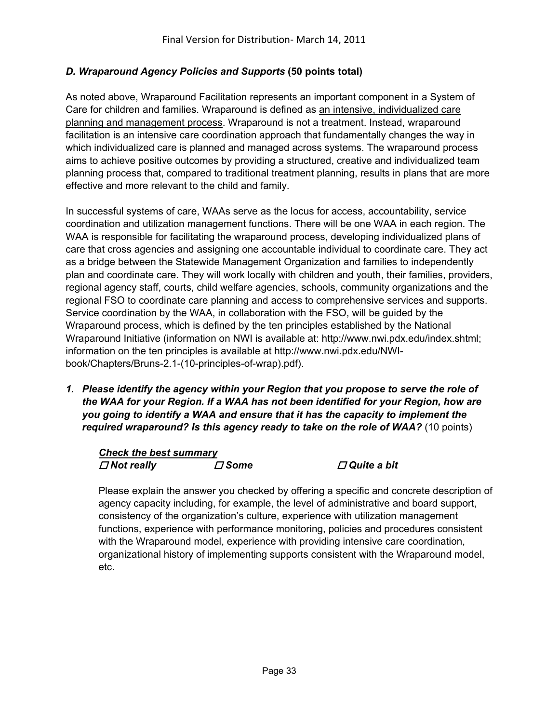## *D. Wraparound Agency Policies and Supports* **(50 points total)**

As noted above, Wraparound Facilitation represents an important component in a System of Care for children and families. Wraparound is defined as an intensive, individualized care planning and management process. Wraparound is not a treatment. Instead, wraparound facilitation is an intensive care coordination approach that fundamentally changes the way in which individualized care is planned and managed across systems. The wraparound process aims to achieve positive outcomes by providing a structured, creative and individualized team planning process that, compared to traditional treatment planning, results in plans that are more effective and more relevant to the child and family.

In successful systems of care, WAAs serve as the locus for access, accountability, service coordination and utilization management functions. There will be one WAA in each region. The WAA is responsible for facilitating the wraparound process, developing individualized plans of care that cross agencies and assigning one accountable individual to coordinate care. They act as a bridge between the Statewide Management Organization and families to independently plan and coordinate care. They will work locally with children and youth, their families, providers, regional agency staff, courts, child welfare agencies, schools, community organizations and the regional FSO to coordinate care planning and access to comprehensive services and supports. Service coordination by the WAA, in collaboration with the FSO, will be guided by the Wraparound process, which is defined by the ten principles established by the National Wraparound Initiative (information on NWI is available at: http://www.nwi.pdx.edu/index.shtml; information on the ten principles is available at http://www.nwi.pdx.edu/NWIbook/Chapters/Bruns-2.1-(10-principles-of-wrap).pdf).

*1. Please identify the agency within your Region that you propose to serve the role of the WAA for your Region. If a WAA has not been identified for your Region, how are you going to identify a WAA and ensure that it has the capacity to implement the required wraparound? Is this agency ready to take on the role of WAA?* (10 points)

## *Check the best summary Not really Some Quite a bit*

Please explain the answer you checked by offering a specific and concrete description of agency capacity including, for example, the level of administrative and board support, consistency of the organization's culture, experience with utilization management functions, experience with performance monitoring, policies and procedures consistent with the Wraparound model, experience with providing intensive care coordination, organizational history of implementing supports consistent with the Wraparound model, etc.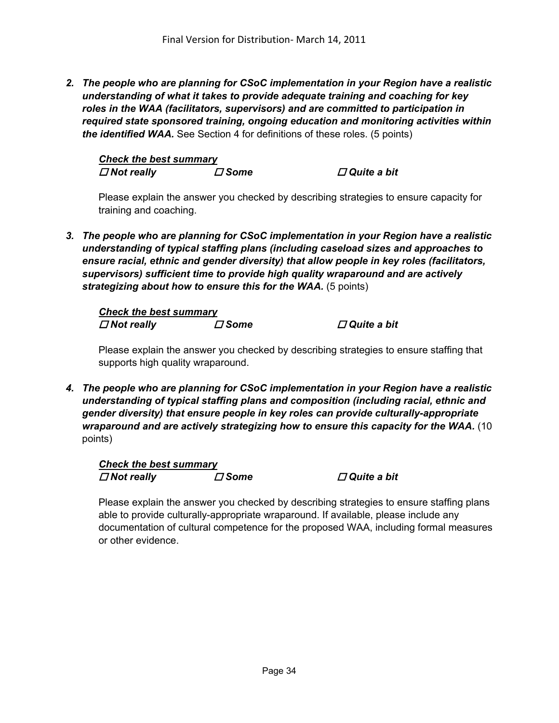*2. The people who are planning for CSoC implementation in your Region have a realistic understanding of what it takes to provide adequate training and coaching for key roles in the WAA (facilitators, supervisors) and are committed to participation in required state sponsored training, ongoing education and monitoring activities within the identified WAA.* See Section 4 for definitions of these roles. (5 points)

*Check the best summary Not really Some Quite a bit* 

Please explain the answer you checked by describing strategies to ensure capacity for training and coaching.

*3. The people who are planning for CSoC implementation in your Region have a realistic understanding of typical staffing plans (including caseload sizes and approaches to ensure racial, ethnic and gender diversity) that allow people in key roles (facilitators, supervisors) sufficient time to provide high quality wraparound and are actively strategizing about how to ensure this for the WAA.* (5 points)

*Check the best summary*  $\Box$  *Not really <i>D* **Some** *D* **Quite a bit** *D* 

Please explain the answer you checked by describing strategies to ensure staffing that supports high quality wraparound.

*4. The people who are planning for CSoC implementation in your Region have a realistic understanding of typical staffing plans and composition (including racial, ethnic and gender diversity) that ensure people in key roles can provide culturally-appropriate wraparound and are actively strategizing how to ensure this capacity for the WAA.* (10 points)

*Check the best summary*  $\Box$  *Not really <i>D* **Some** *D* **Quite a bit** *D* 

Please explain the answer you checked by describing strategies to ensure staffing plans able to provide culturally-appropriate wraparound. If available, please include any documentation of cultural competence for the proposed WAA, including formal measures or other evidence.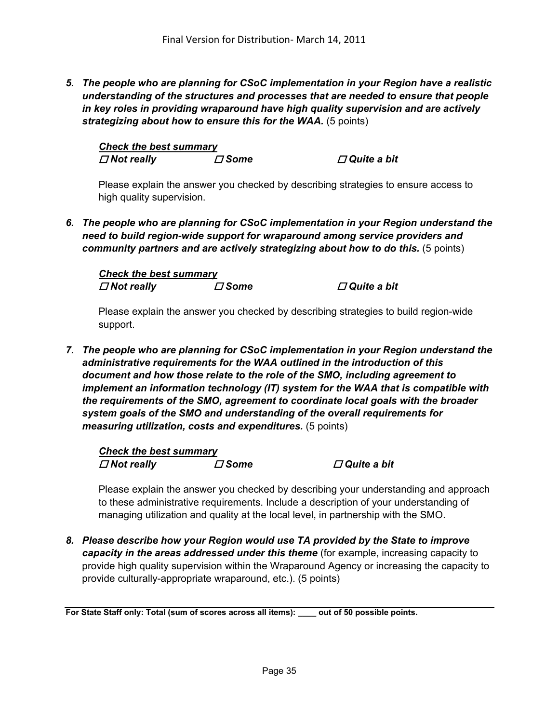*5. The people who are planning for CSoC implementation in your Region have a realistic understanding of the structures and processes that are needed to ensure that people in key roles in providing wraparound have high quality supervision and are actively strategizing about how to ensure this for the WAA.* (5 points)

*Check the best summary*  $\Box$  *Not really <i>D* **Some** *D* **Quite a bit** *D* 

Please explain the answer you checked by describing strategies to ensure access to high quality supervision.

*6. The people who are planning for CSoC implementation in your Region understand the need to build region-wide support for wraparound among service providers and community partners and are actively strategizing about how to do this.* (5 points)

*Check the best summary*  $\Box$  *Not really <i>D* **Some** *D* **Quite a bit** *D* 

Please explain the answer you checked by describing strategies to build region-wide support.

*7. The people who are planning for CSoC implementation in your Region understand the administrative requirements for the WAA outlined in the introduction of this document and how those relate to the role of the SMO, including agreement to implement an information technology (IT) system for the WAA that is compatible with the requirements of the SMO, agreement to coordinate local goals with the broader system goals of the SMO and understanding of the overall requirements for measuring utilization, costs and expenditures.* (5 points)

*Check the best summary Not really Some Quite a bit* 

Please explain the answer you checked by describing your understanding and approach to these administrative requirements. Include a description of your understanding of managing utilization and quality at the local level, in partnership with the SMO.

*8. Please describe how your Region would use TA provided by the State to improve capacity in the areas addressed under this theme* (for example, increasing capacity to provide high quality supervision within the Wraparound Agency or increasing the capacity to provide culturally-appropriate wraparound, etc.). (5 points)

**For State Staff only: Total (sum of scores across all items): \_\_\_\_ out of 50 possible points.**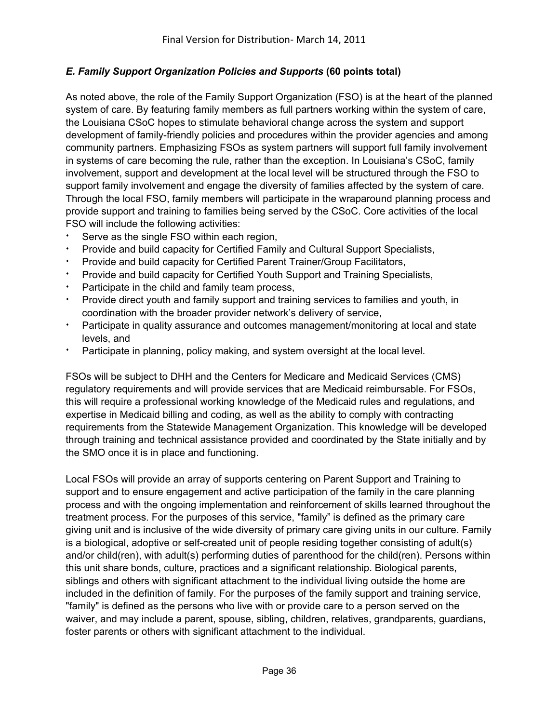## *E. Family Support Organization Policies and Supports* **(60 points total)**

As noted above, the role of the Family Support Organization (FSO) is at the heart of the planned system of care. By featuring family members as full partners working within the system of care, the Louisiana CSoC hopes to stimulate behavioral change across the system and support development of family-friendly policies and procedures within the provider agencies and among community partners. Emphasizing FSOs as system partners will support full family involvement in systems of care becoming the rule, rather than the exception. In Louisiana's CSoC, family involvement, support and development at the local level will be structured through the FSO to support family involvement and engage the diversity of families affected by the system of care. Through the local FSO, family members will participate in the wraparound planning process and provide support and training to families being served by the CSoC. Core activities of the local FSO will include the following activities:

- Serve as the single FSO within each region,
- Provide and build capacity for Certified Family and Cultural Support Specialists,
- Provide and build capacity for Certified Parent Trainer/Group Facilitators,
- Provide and build capacity for Certified Youth Support and Training Specialists,
- Participate in the child and family team process,
- Provide direct youth and family support and training services to families and youth, in coordination with the broader provider network's delivery of service,
- **EXECT A** Participate in quality assurance and outcomes management/monitoring at local and state levels, and
- Participate in planning, policy making, and system oversight at the local level.

FSOs will be subject to DHH and the Centers for Medicare and Medicaid Services (CMS) regulatory requirements and will provide services that are Medicaid reimbursable. For FSOs, this will require a professional working knowledge of the Medicaid rules and regulations, and expertise in Medicaid billing and coding, as well as the ability to comply with contracting requirements from the Statewide Management Organization. This knowledge will be developed through training and technical assistance provided and coordinated by the State initially and by the SMO once it is in place and functioning.

Local FSOs will provide an array of supports centering on Parent Support and Training to support and to ensure engagement and active participation of the family in the care planning process and with the ongoing implementation and reinforcement of skills learned throughout the treatment process. For the purposes of this service, "family" is defined as the primary care giving unit and is inclusive of the wide diversity of primary care giving units in our culture. Family is a biological, adoptive or self-created unit of people residing together consisting of adult(s) and/or child(ren), with adult(s) performing duties of parenthood for the child(ren). Persons within this unit share bonds, culture, practices and a significant relationship. Biological parents, siblings and others with significant attachment to the individual living outside the home are included in the definition of family. For the purposes of the family support and training service, "family" is defined as the persons who live with or provide care to a person served on the waiver, and may include a parent, spouse, sibling, children, relatives, grandparents, guardians, foster parents or others with significant attachment to the individual.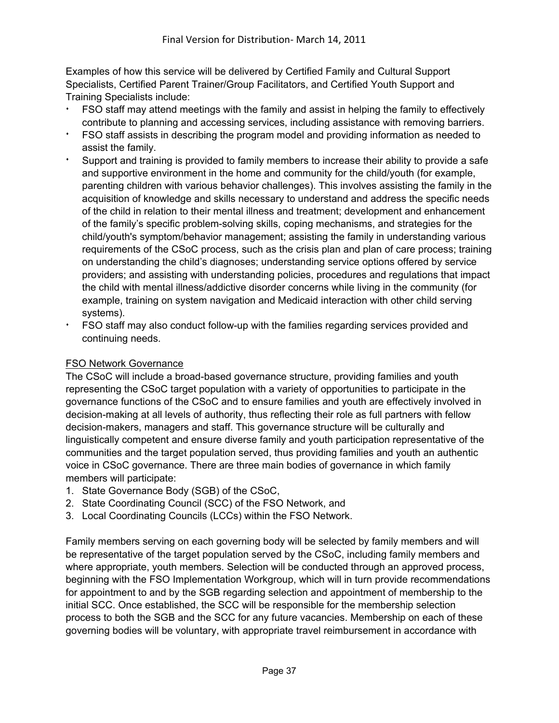Examples of how this service will be delivered by Certified Family and Cultural Support Specialists, Certified Parent Trainer/Group Facilitators, and Certified Youth Support and Training Specialists include:

- FSO staff may attend meetings with the family and assist in helping the family to effectively contribute to planning and accessing services, including assistance with removing barriers.
- FSO staff assists in describing the program model and providing information as needed to assist the family.
- Support and training is provided to family members to increase their ability to provide a safe and supportive environment in the home and community for the child/youth (for example, parenting children with various behavior challenges). This involves assisting the family in the acquisition of knowledge and skills necessary to understand and address the specific needs of the child in relation to their mental illness and treatment; development and enhancement of the family's specific problem-solving skills, coping mechanisms, and strategies for the child/youth's symptom/behavior management; assisting the family in understanding various requirements of the CSoC process, such as the crisis plan and plan of care process; training on understanding the child's diagnoses; understanding service options offered by service providers; and assisting with understanding policies, procedures and regulations that impact the child with mental illness/addictive disorder concerns while living in the community (for example, training on system navigation and Medicaid interaction with other child serving systems).
- FSO staff may also conduct follow-up with the families regarding services provided and continuing needs.

#### FSO Network Governance

The CSoC will include a broad-based governance structure, providing families and youth representing the CSoC target population with a variety of opportunities to participate in the governance functions of the CSoC and to ensure families and youth are effectively involved in decision-making at all levels of authority, thus reflecting their role as full partners with fellow decision-makers, managers and staff. This governance structure will be culturally and linguistically competent and ensure diverse family and youth participation representative of the communities and the target population served, thus providing families and youth an authentic voice in CSoC governance. There are three main bodies of governance in which family members will participate:

- 1. State Governance Body (SGB) of the CSoC,
- 2. State Coordinating Council (SCC) of the FSO Network, and
- 3. Local Coordinating Councils (LCCs) within the FSO Network.

Family members serving on each governing body will be selected by family members and will be representative of the target population served by the CSoC, including family members and where appropriate, youth members. Selection will be conducted through an approved process, beginning with the FSO Implementation Workgroup, which will in turn provide recommendations for appointment to and by the SGB regarding selection and appointment of membership to the initial SCC. Once established, the SCC will be responsible for the membership selection process to both the SGB and the SCC for any future vacancies. Membership on each of these governing bodies will be voluntary, with appropriate travel reimbursement in accordance with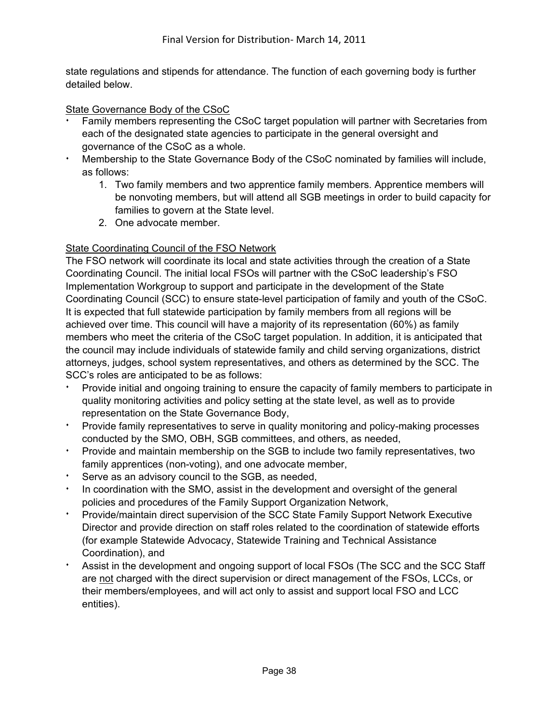state regulations and stipends for attendance. The function of each governing body is further detailed below.

#### State Governance Body of the CSoC

- Family members representing the CSoC target population will partner with Secretaries from each of the designated state agencies to participate in the general oversight and governance of the CSoC as a whole.
- Membership to the State Governance Body of the CSoC nominated by families will include, as follows:
	- 1. Two family members and two apprentice family members. Apprentice members will be nonvoting members, but will attend all SGB meetings in order to build capacity for families to govern at the State level.
	- 2. One advocate member.

## State Coordinating Council of the FSO Network

The FSO network will coordinate its local and state activities through the creation of a State Coordinating Council. The initial local FSOs will partner with the CSoC leadership's FSO Implementation Workgroup to support and participate in the development of the State Coordinating Council (SCC) to ensure state-level participation of family and youth of the CSoC. It is expected that full statewide participation by family members from all regions will be achieved over time. This council will have a majority of its representation (60%) as family members who meet the criteria of the CSoC target population. In addition, it is anticipated that the council may include individuals of statewide family and child serving organizations, district attorneys, judges, school system representatives, and others as determined by the SCC. The SCC's roles are anticipated to be as follows:

- Provide initial and ongoing training to ensure the capacity of family members to participate in quality monitoring activities and policy setting at the state level, as well as to provide representation on the State Governance Body,
- <sup>i</sup> Provide family representatives to serve in quality monitoring and policy-making processes conducted by the SMO, OBH, SGB committees, and others, as needed,
- <sup>i</sup> Provide and maintain membership on the SGB to include two family representatives, two family apprentices (non-voting), and one advocate member,
- Serve as an advisory council to the SGB, as needed,
- In coordination with the SMO, assist in the development and oversight of the general policies and procedures of the Family Support Organization Network,
- <sup>i</sup> Provide/maintain direct supervision of the SCC State Family Support Network Executive Director and provide direction on staff roles related to the coordination of statewide efforts (for example Statewide Advocacy, Statewide Training and Technical Assistance Coordination), and
- **EXECT Assist in the development and ongoing support of local FSOs (The SCC and the SCC Staff)** are not charged with the direct supervision or direct management of the FSOs, LCCs, or their members/employees, and will act only to assist and support local FSO and LCC entities).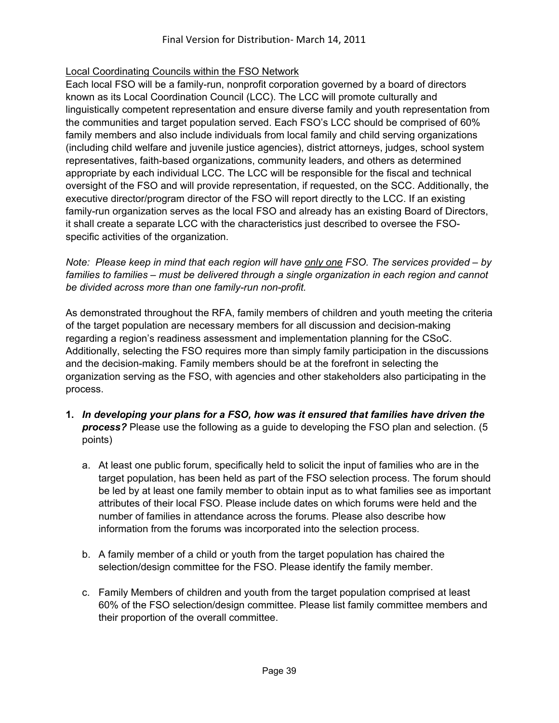## Local Coordinating Councils within the FSO Network

Each local FSO will be a family-run, nonprofit corporation governed by a board of directors known as its Local Coordination Council (LCC). The LCC will promote culturally and linguistically competent representation and ensure diverse family and youth representation from the communities and target population served. Each FSO's LCC should be comprised of 60% family members and also include individuals from local family and child serving organizations (including child welfare and juvenile justice agencies), district attorneys, judges, school system representatives, faith-based organizations, community leaders, and others as determined appropriate by each individual LCC. The LCC will be responsible for the fiscal and technical oversight of the FSO and will provide representation, if requested, on the SCC. Additionally, the executive director/program director of the FSO will report directly to the LCC. If an existing family-run organization serves as the local FSO and already has an existing Board of Directors, it shall create a separate LCC with the characteristics just described to oversee the FSOspecific activities of the organization.

*Note: Please keep in mind that each region will have only one FSO. The services provided – by*  families to families – must be delivered through a single organization in each region and cannot *be divided across more than one family-run non-profit.* 

As demonstrated throughout the RFA, family members of children and youth meeting the criteria of the target population are necessary members for all discussion and decision-making regarding a region's readiness assessment and implementation planning for the CSoC. Additionally, selecting the FSO requires more than simply family participation in the discussions and the decision-making. Family members should be at the forefront in selecting the organization serving as the FSO, with agencies and other stakeholders also participating in the process.

- **1.** *In developing your plans for a FSO, how was it ensured that families have driven the process?* Please use the following as a guide to developing the FSO plan and selection. (5 points)
	- a. At least one public forum, specifically held to solicit the input of families who are in the target population, has been held as part of the FSO selection process. The forum should be led by at least one family member to obtain input as to what families see as important attributes of their local FSO. Please include dates on which forums were held and the number of families in attendance across the forums. Please also describe how information from the forums was incorporated into the selection process.
	- b. A family member of a child or youth from the target population has chaired the selection/design committee for the FSO. Please identify the family member.
	- c. Family Members of children and youth from the target population comprised at least 60% of the FSO selection/design committee. Please list family committee members and their proportion of the overall committee.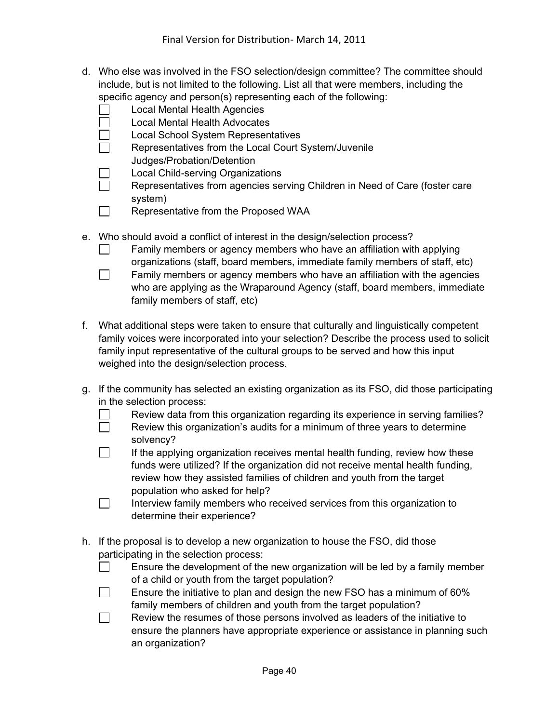- d. Who else was involved in the FSO selection/design committee? The committee should include, but is not limited to the following. List all that were members, including the specific agency and person(s) representing each of the following:
	- Local Mental Health Agencies
	- Local Mental Health Advocates
	- Local School System Representatives
	- Representatives from the Local Court System/Juvenile Judges/Probation/Detention
	- $\Box$  Local Child-serving Organizations
	- Representatives from agencies serving Children in Need of Care (foster care system)
	- $\Box$  Representative from the Proposed WAA
- e. Who should avoid a conflict of interest in the design/selection process?
	- $\Box$  Family members or agency members who have an affiliation with applying organizations (staff, board members, immediate family members of staff, etc)
	- $\Box$  Family members or agency members who have an affiliation with the agencies who are applying as the Wraparound Agency (staff, board members, immediate family members of staff, etc)
- f. What additional steps were taken to ensure that culturally and linguistically competent family voices were incorporated into your selection? Describe the process used to solicit family input representative of the cultural groups to be served and how this input weighed into the design/selection process.
- g. If the community has selected an existing organization as its FSO, did those participating in the selection process:
	- $\Box$  Review data from this organization regarding its experience in serving families?
	- $\Box$  Review this organization's audits for a minimum of three years to determine solvency?
	- $\Box$  If the applying organization receives mental health funding, review how these funds were utilized? If the organization did not receive mental health funding, review how they assisted families of children and youth from the target population who asked for help?
	- $\Box$  Interview family members who received services from this organization to determine their experience?
- h. If the proposal is to develop a new organization to house the FSO, did those participating in the selection process:
	- $\Box$  Ensure the development of the new organization will be led by a family member of a child or youth from the target population?
	- **Ensure the initiative to plan and design the new FSO has a minimum of 60%** family members of children and youth from the target population?
	- $\Box$  Review the resumes of those persons involved as leaders of the initiative to ensure the planners have appropriate experience or assistance in planning such an organization?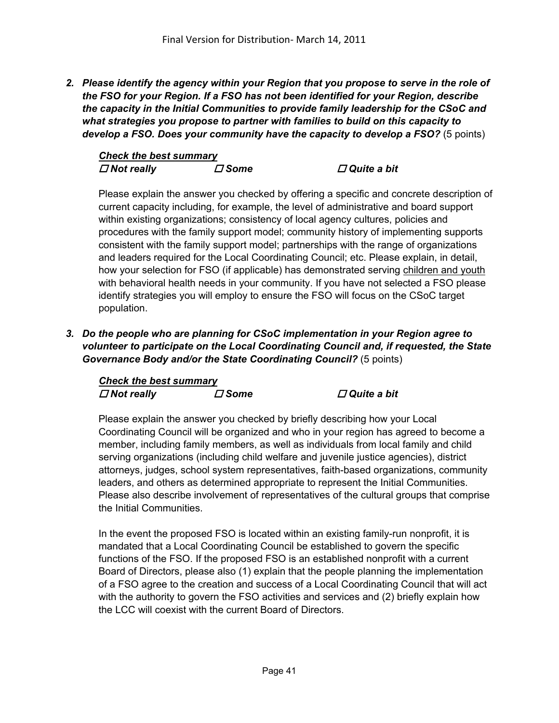*2. Please identify the agency within your Region that you propose to serve in the role of the FSO for your Region. If a FSO has not been identified for your Region, describe the capacity in the Initial Communities to provide family leadership for the CSoC and what strategies you propose to partner with families to build on this capacity to develop a FSO. Does your community have the capacity to develop a FSO?* (5 points)

| <b>Check the best summary</b> |               |                       |
|-------------------------------|---------------|-----------------------|
| $\Box$ Not really             | $\varPi$ Some | $\square$ Quite a bit |

Please explain the answer you checked by offering a specific and concrete description of current capacity including, for example, the level of administrative and board support within existing organizations; consistency of local agency cultures, policies and procedures with the family support model; community history of implementing supports consistent with the family support model; partnerships with the range of organizations and leaders required for the Local Coordinating Council; etc. Please explain, in detail, how your selection for FSO (if applicable) has demonstrated serving children and youth with behavioral health needs in your community. If you have not selected a FSO please identify strategies you will employ to ensure the FSO will focus on the CSoC target population.

*3. Do the people who are planning for CSoC implementation in your Region agree to volunteer to participate on the Local Coordinating Council and, if requested, the State Governance Body and/or the State Coordinating Council?* (5 points)

| <b>Check the best summary</b> |                                  |                      |
|-------------------------------|----------------------------------|----------------------|
| $\Box$ Not really             | $\boldsymbol{\vartriangle}$ Some | <b>□ Quite a bit</b> |

Please explain the answer you checked by briefly describing how your Local Coordinating Council will be organized and who in your region has agreed to become a member, including family members, as well as individuals from local family and child serving organizations (including child welfare and juvenile justice agencies), district attorneys, judges, school system representatives, faith-based organizations, community leaders, and others as determined appropriate to represent the Initial Communities. Please also describe involvement of representatives of the cultural groups that comprise the Initial Communities.

In the event the proposed FSO is located within an existing family-run nonprofit, it is mandated that a Local Coordinating Council be established to govern the specific functions of the FSO. If the proposed FSO is an established nonprofit with a current Board of Directors, please also (1) explain that the people planning the implementation of a FSO agree to the creation and success of a Local Coordinating Council that will act with the authority to govern the FSO activities and services and (2) briefly explain how the LCC will coexist with the current Board of Directors.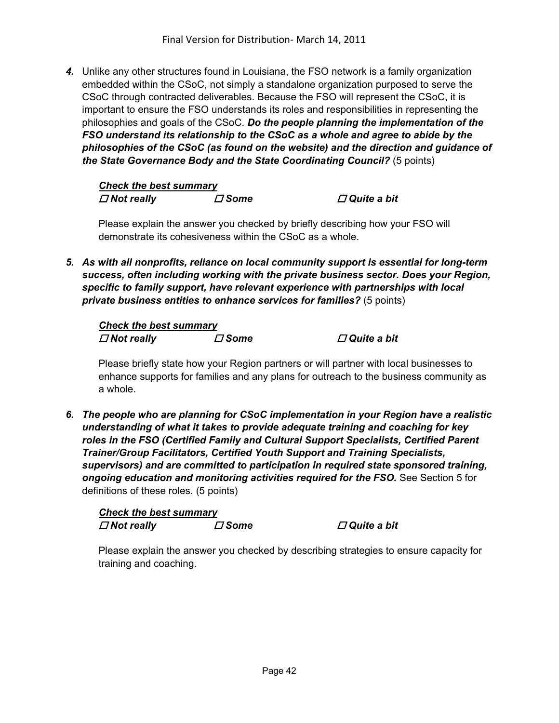*4.* Unlike any other structures found in Louisiana, the FSO network is a family organization embedded within the CSoC, not simply a standalone organization purposed to serve the CSoC through contracted deliverables. Because the FSO will represent the CSoC, it is important to ensure the FSO understands its roles and responsibilities in representing the philosophies and goals of the CSoC. *Do the people planning the implementation of the FSO understand its relationship to the CSoC as a whole and agree to abide by the philosophies of the CSoC (as found on the website) and the direction and guidance of the State Governance Body and the State Coordinating Council?* (5 points)

| <b>Check the best summary</b> |             |
|-------------------------------|-------------|
| $\Box$ Not really             | $\Box$ Some |

*∂ Ouite a bit* 

Please explain the answer you checked by briefly describing how your FSO will demonstrate its cohesiveness within the CSoC as a whole.

*5. As with all nonprofits, reliance on local community support is essential for long-term success, often including working with the private business sector. Does your Region, specific to family support, have relevant experience with partnerships with local private business entities to enhance services for families?* (5 points)

*Check the best summary Not really Some Quite a bit* 

Please briefly state how your Region partners or will partner with local businesses to enhance supports for families and any plans for outreach to the business community as a whole.

*6. The people who are planning for CSoC implementation in your Region have a realistic understanding of what it takes to provide adequate training and coaching for key roles in the FSO (Certified Family and Cultural Support Specialists, Certified Parent Trainer/Group Facilitators, Certified Youth Support and Training Specialists, supervisors) and are committed to participation in required state sponsored training, ongoing education and monitoring activities required for the FSO.* See Section 5 for definitions of these roles. (5 points)

| <b>Check the best summary</b> |             |
|-------------------------------|-------------|
| $\Box$ Not really             | $\Box$ Some |

*<i>∆* Quite a bit

Please explain the answer you checked by describing strategies to ensure capacity for training and coaching.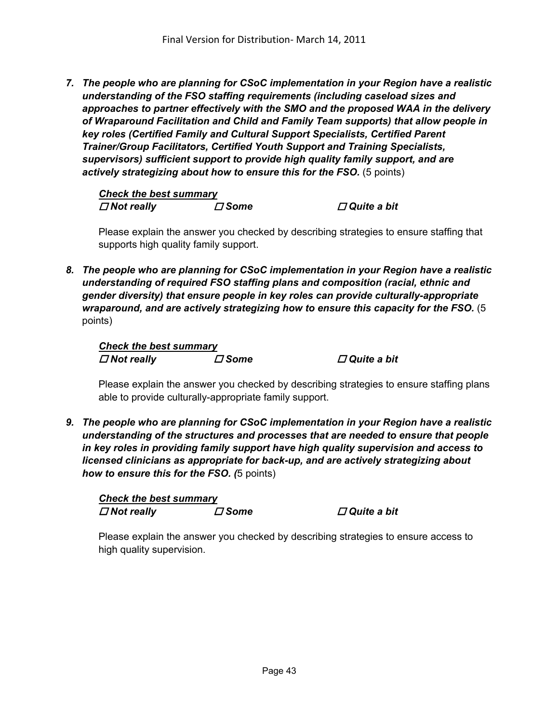*7. The people who are planning for CSoC implementation in your Region have a realistic understanding of the FSO staffing requirements (including caseload sizes and approaches to partner effectively with the SMO and the proposed WAA in the delivery of Wraparound Facilitation and Child and Family Team supports) that allow people in key roles (Certified Family and Cultural Support Specialists, Certified Parent Trainer/Group Facilitators, Certified Youth Support and Training Specialists, supervisors) sufficient support to provide high quality family support, and are actively strategizing about how to ensure this for the FSO.* (5 points)

*Check the best summary*  $\Box$  *Not really <i>D* **Some** *D* **Quite a bit** *D* 

Please explain the answer you checked by describing strategies to ensure staffing that supports high quality family support.

*8. The people who are planning for CSoC implementation in your Region have a realistic understanding of required FSO staffing plans and composition (racial, ethnic and gender diversity) that ensure people in key roles can provide culturally-appropriate wraparound, and are actively strategizing how to ensure this capacity for the FSO.* (5 points)

*Check the best summary Not really Some Quite a bit* 

Please explain the answer you checked by describing strategies to ensure staffing plans able to provide culturally-appropriate family support.

*9. The people who are planning for CSoC implementation in your Region have a realistic understanding of the structures and processes that are needed to ensure that people in key roles in providing family support have high quality supervision and access to licensed clinicians as appropriate for back-up, and are actively strategizing about how to ensure this for the FSO. (*5 points)

*Check the best summary*  $\Box$  *Not really*  $\Box$  *Some*  $\Box$  *Quite a bit* 

Please explain the answer you checked by describing strategies to ensure access to high quality supervision.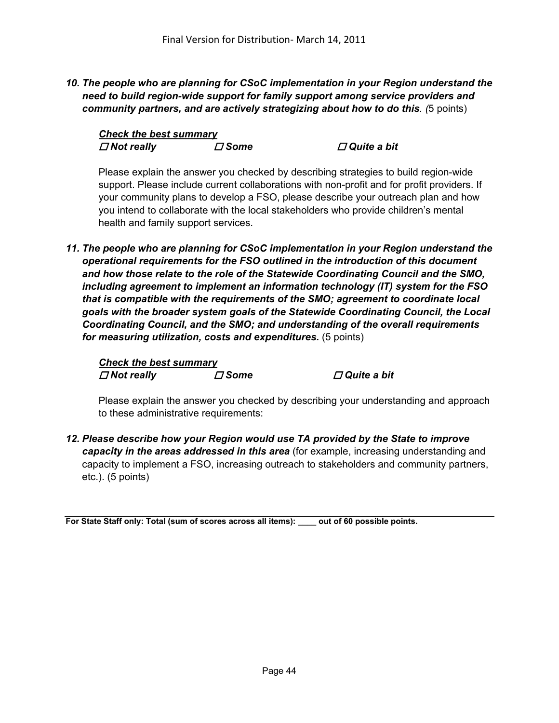*10. The people who are planning for CSoC implementation in your Region understand the need to build region-wide support for family support among service providers and community partners, and are actively strategizing about how to do this. (*5 points)

| <b>Check the best summary</b> |             |
|-------------------------------|-------------|
| $\Box$ Not really             | $\Box$ Some |

*<i>D* Quite a bit

Please explain the answer you checked by describing strategies to build region-wide support. Please include current collaborations with non-profit and for profit providers. If your community plans to develop a FSO, please describe your outreach plan and how you intend to collaborate with the local stakeholders who provide children's mental health and family support services.

*11. The people who are planning for CSoC implementation in your Region understand the operational requirements for the FSO outlined in the introduction of this document and how those relate to the role of the Statewide Coordinating Council and the SMO, including agreement to implement an information technology (IT) system for the FSO that is compatible with the requirements of the SMO; agreement to coordinate local goals with the broader system goals of the Statewide Coordinating Council, the Local Coordinating Council, and the SMO; and understanding of the overall requirements for measuring utilization, costs and expenditures.* (5 points)

*Check the best summary Not really Some Quite a bit* 

Please explain the answer you checked by describing your understanding and approach to these administrative requirements:

*12. Please describe how your Region would use TA provided by the State to improve capacity in the areas addressed in this area* (for example, increasing understanding and capacity to implement a FSO, increasing outreach to stakeholders and community partners, etc.). (5 points)

**For State Staff only: Total (sum of scores across all items): \_\_\_\_ out of 60 possible points.**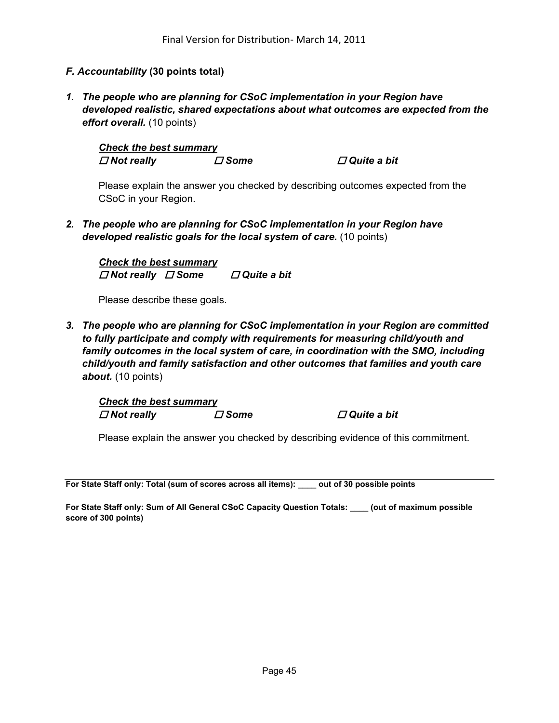#### *F. Accountability* **(30 points total)**

*1. The people who are planning for CSoC implementation in your Region have developed realistic, shared expectations about what outcomes are expected from the effort overall.* (10 points)

*Check the best summary*  $\Box$  *Not really*  $\Box$  *Some*  $\Box$  *Quite a bit* 

Please explain the answer you checked by describing outcomes expected from the CSoC in your Region.

*2. The people who are planning for CSoC implementation in your Region have developed realistic goals for the local system of care.* (10 points)

*Check the best summary Not really Some Quite a bit* 

Please describe these goals.

*3. The people who are planning for CSoC implementation in your Region are committed to fully participate and comply with requirements for measuring child/youth and family outcomes in the local system of care, in coordination with the SMO, including child/youth and family satisfaction and other outcomes that families and youth care about.* (10 points)

*Check the best summary Not really Some Quite a bit* 

Please explain the answer you checked by describing evidence of this commitment.

**For State Staff only: Total (sum of scores across all items): \_\_\_\_ out of 30 possible points** 

**For State Staff only: Sum of All General CSoC Capacity Question Totals: \_\_\_\_ (out of maximum possible score of 300 points)**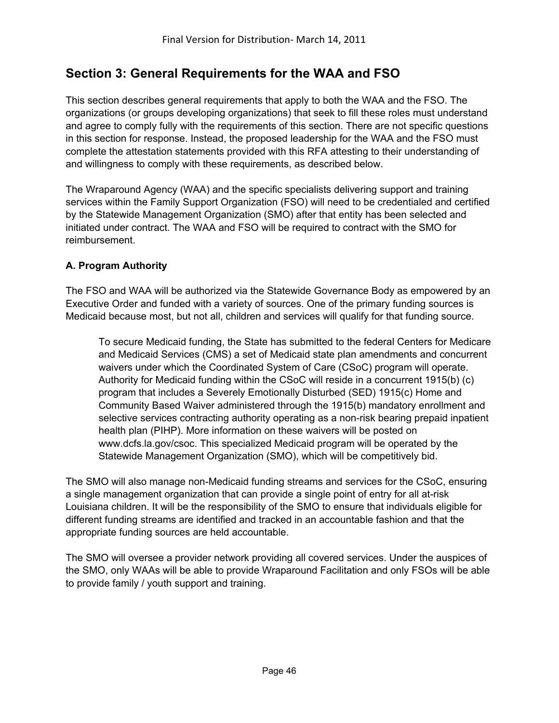# **Section 3: General Requirements for the WAA and FSO**

This section describes general requirements that apply to both the WAA and the FSO. The organizations (or groups developing organizations) that seek to fill these roles must understand and agree to comply fully with the requirements of this section. There are not specific questions in this section for response. Instead, the proposed leadership for the WAA and the FSO must complete the attestation statements provided with this RFA attesting to their understanding of and willingness to comply with these requirements, as described below.

The Wraparound Agency (WAA) and the specific specialists delivering support and training services within the Family Support Organization (FSO) will need to be credentialed and certified by the Statewide Management Organization (SMO) after that entity has been selected and initiated under contract. The WAA and FSO will be required to contract with the SMO for reimbursement.

## **A. Program Authority**

The FSO and WAA will be authorized via the Statewide Governance Body as empowered by an Executive Order and funded with a variety of sources. One of the primary funding sources is Medicaid because most, but not all, children and services will qualify for that funding source.

To secure Medicaid funding, the State has submitted to the federal Centers for Medicare and Medicaid Services (CMS) a set of Medicaid state plan amendments and concurrent waivers under which the Coordinated System of Care (CSoC) program will operate. Authority for Medicaid funding within the CSoC will reside in a concurrent 1915(b) (c) program that includes a Severely Emotionally Disturbed (SED) 1915(c) Home and Community Based Waiver administered through the 1915(b) mandatory enrollment and selective services contracting authority operating as a non-risk bearing prepaid inpatient health plan (PIHP). More information on these waivers will be posted on www.dcfs.la.gov/csoc. This specialized Medicaid program will be operated by the Statewide Management Organization (SMO), which will be competitively bid.

The SMO will also manage non-Medicaid funding streams and services for the CSoC, ensuring a single management organization that can provide a single point of entry for all at-risk Louisiana children. It will be the responsibility of the SMO to ensure that individuals eligible for different funding streams are identified and tracked in an accountable fashion and that the appropriate funding sources are held accountable.

The SMO will oversee a provider network providing all covered services. Under the auspices of the SMO, only WAAs will be able to provide Wraparound Facilitation and only FSOs will be able to provide family / youth support and training.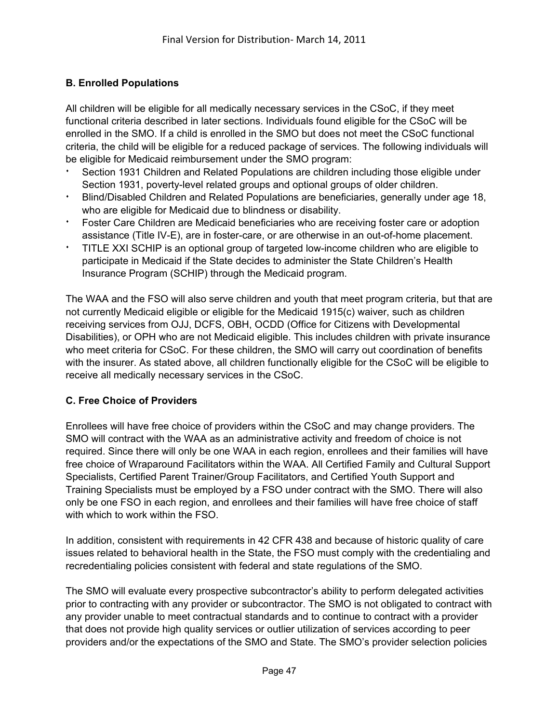## **B. Enrolled Populations**

All children will be eligible for all medically necessary services in the CSoC, if they meet functional criteria described in later sections. Individuals found eligible for the CSoC will be enrolled in the SMO. If a child is enrolled in the SMO but does not meet the CSoC functional criteria, the child will be eligible for a reduced package of services. The following individuals will be eligible for Medicaid reimbursement under the SMO program:

- Section 1931 Children and Related Populations are children including those eligible under Section 1931, poverty-level related groups and optional groups of older children.
- <sup>i</sup> Blind/Disabled Children and Related Populations are beneficiaries, generally under age 18, who are eligible for Medicaid due to blindness or disability.
- <sup>i</sup> Foster Care Children are Medicaid beneficiaries who are receiving foster care or adoption assistance (Title IV-E), are in foster-care, or are otherwise in an out-of-home placement.
- <sup>i</sup> TITLE XXI SCHIP is an optional group of targeted low-income children who are eligible to participate in Medicaid if the State decides to administer the State Children's Health Insurance Program (SCHIP) through the Medicaid program.

The WAA and the FSO will also serve children and youth that meet program criteria, but that are not currently Medicaid eligible or eligible for the Medicaid 1915(c) waiver, such as children receiving services from OJJ, DCFS, OBH, OCDD (Office for Citizens with Developmental Disabilities), or OPH who are not Medicaid eligible. This includes children with private insurance who meet criteria for CSoC. For these children, the SMO will carry out coordination of benefits with the insurer. As stated above, all children functionally eligible for the CSoC will be eligible to receive all medically necessary services in the CSoC.

#### **C. Free Choice of Providers**

Enrollees will have free choice of providers within the CSoC and may change providers. The SMO will contract with the WAA as an administrative activity and freedom of choice is not required. Since there will only be one WAA in each region, enrollees and their families will have free choice of Wraparound Facilitators within the WAA. All Certified Family and Cultural Support Specialists, Certified Parent Trainer/Group Facilitators, and Certified Youth Support and Training Specialists must be employed by a FSO under contract with the SMO. There will also only be one FSO in each region, and enrollees and their families will have free choice of staff with which to work within the FSO.

In addition, consistent with requirements in 42 CFR 438 and because of historic quality of care issues related to behavioral health in the State, the FSO must comply with the credentialing and recredentialing policies consistent with federal and state regulations of the SMO.

The SMO will evaluate every prospective subcontractor's ability to perform delegated activities prior to contracting with any provider or subcontractor. The SMO is not obligated to contract with any provider unable to meet contractual standards and to continue to contract with a provider that does not provide high quality services or outlier utilization of services according to peer providers and/or the expectations of the SMO and State. The SMO's provider selection policies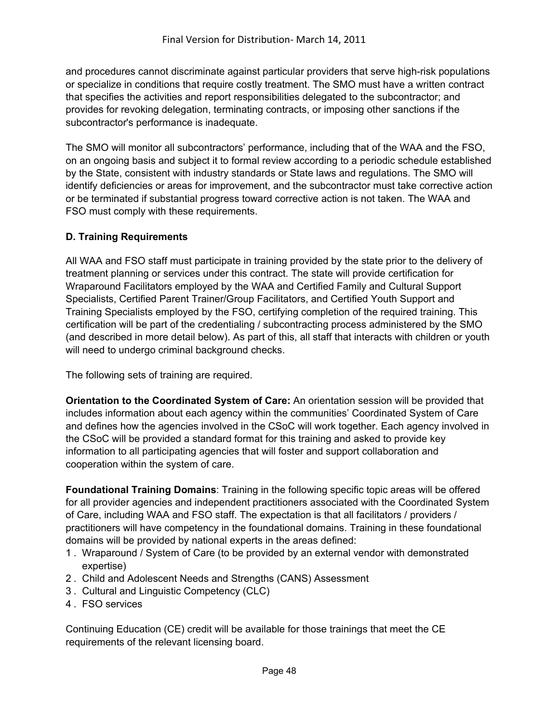and procedures cannot discriminate against particular providers that serve high-risk populations or specialize in conditions that require costly treatment. The SMO must have a written contract that specifies the activities and report responsibilities delegated to the subcontractor; and provides for revoking delegation, terminating contracts, or imposing other sanctions if the subcontractor's performance is inadequate.

The SMO will monitor all subcontractors' performance, including that of the WAA and the FSO, on an ongoing basis and subject it to formal review according to a periodic schedule established by the State, consistent with industry standards or State laws and regulations. The SMO will identify deficiencies or areas for improvement, and the subcontractor must take corrective action or be terminated if substantial progress toward corrective action is not taken. The WAA and FSO must comply with these requirements.

## **D. Training Requirements**

All WAA and FSO staff must participate in training provided by the state prior to the delivery of treatment planning or services under this contract. The state will provide certification for Wraparound Facilitators employed by the WAA and Certified Family and Cultural Support Specialists, Certified Parent Trainer/Group Facilitators, and Certified Youth Support and Training Specialists employed by the FSO, certifying completion of the required training. This certification will be part of the credentialing / subcontracting process administered by the SMO (and described in more detail below). As part of this, all staff that interacts with children or youth will need to undergo criminal background checks.

The following sets of training are required.

**Orientation to the Coordinated System of Care:** An orientation session will be provided that includes information about each agency within the communities' Coordinated System of Care and defines how the agencies involved in the CSoC will work together. Each agency involved in the CSoC will be provided a standard format for this training and asked to provide key information to all participating agencies that will foster and support collaboration and cooperation within the system of care.

**Foundational Training Domains**: Training in the following specific topic areas will be offered for all provider agencies and independent practitioners associated with the Coordinated System of Care, including WAA and FSO staff. The expectation is that all facilitators / providers / practitioners will have competency in the foundational domains. Training in these foundational domains will be provided by national experts in the areas defined:

- 1 . Wraparound / System of Care (to be provided by an external vendor with demonstrated expertise)
- 2 . Child and Adolescent Needs and Strengths (CANS) Assessment
- 3 . Cultural and Linguistic Competency (CLC)
- 4 . FSO services

Continuing Education (CE) credit will be available for those trainings that meet the CE requirements of the relevant licensing board.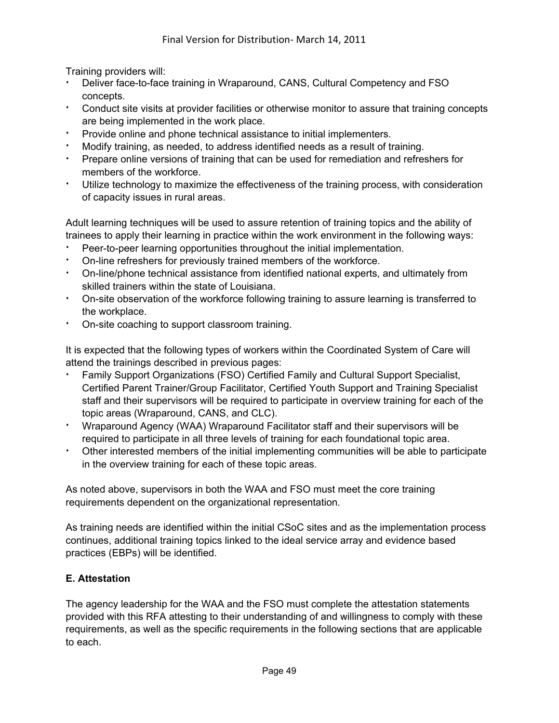Training providers will:

- Deliver face-to-face training in Wraparound, CANS, Cultural Competency and FSO concepts.
- <sup>i</sup> Conduct site visits at provider facilities or otherwise monitor to assure that training concepts are being implemented in the work place.
- Provide online and phone technical assistance to initial implementers.
- Modify training, as needed, to address identified needs as a result of training.
- Prepare online versions of training that can be used for remediation and refreshers for members of the workforce.
- Utilize technology to maximize the effectiveness of the training process, with consideration of capacity issues in rural areas.

Adult learning techniques will be used to assure retention of training topics and the ability of trainees to apply their learning in practice within the work environment in the following ways:

- Peer-to-peer learning opportunities throughout the initial implementation.
- On-line refreshers for previously trained members of the workforce.
- <sup>i</sup> On-line/phone technical assistance from identified national experts, and ultimately from skilled trainers within the state of Louisiana.
- <sup>i</sup> On-site observation of the workforce following training to assure learning is transferred to the workplace.
- On-site coaching to support classroom training.

It is expected that the following types of workers within the Coordinated System of Care will attend the trainings described in previous pages:

- Family Support Organizations (FSO) Certified Family and Cultural Support Specialist, Certified Parent Trainer/Group Facilitator, Certified Youth Support and Training Specialist staff and their supervisors will be required to participate in overview training for each of the topic areas (Wraparound, CANS, and CLC).
- <sup>i</sup> Wraparound Agency (WAA) Wraparound Facilitator staff and their supervisors will be required to participate in all three levels of training for each foundational topic area.
- Other interested members of the initial implementing communities will be able to participate in the overview training for each of these topic areas.

As noted above, supervisors in both the WAA and FSO must meet the core training requirements dependent on the organizational representation.

As training needs are identified within the initial CSoC sites and as the implementation process continues, additional training topics linked to the ideal service array and evidence based practices (EBPs) will be identified.

## **E. Attestation**

The agency leadership for the WAA and the FSO must complete the attestation statements provided with this RFA attesting to their understanding of and willingness to comply with these requirements, as well as the specific requirements in the following sections that are applicable to each.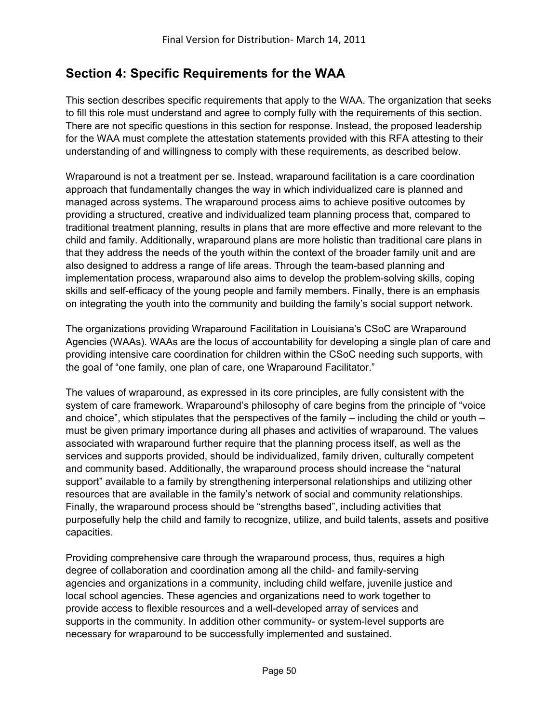# **Section 4: Specific Requirements for the WAA**

This section describes specific requirements that apply to the WAA. The organization that seeks to fill this role must understand and agree to comply fully with the requirements of this section. There are not specific questions in this section for response. Instead, the proposed leadership for the WAA must complete the attestation statements provided with this RFA attesting to their understanding of and willingness to comply with these requirements, as described below.

Wraparound is not a treatment per se. Instead, wraparound facilitation is a care coordination approach that fundamentally changes the way in which individualized care is planned and managed across systems. The wraparound process aims to achieve positive outcomes by providing a structured, creative and individualized team planning process that, compared to traditional treatment planning, results in plans that are more effective and more relevant to the child and family. Additionally, wraparound plans are more holistic than traditional care plans in that they address the needs of the youth within the context of the broader family unit and are also designed to address a range of life areas. Through the team-based planning and implementation process, wraparound also aims to develop the problem-solving skills, coping skills and self-efficacy of the young people and family members. Finally, there is an emphasis on integrating the youth into the community and building the family's social support network.

The organizations providing Wraparound Facilitation in Louisiana's CSoC are Wraparound Agencies (WAAs). WAAs are the locus of accountability for developing a single plan of care and providing intensive care coordination for children within the CSoC needing such supports, with the goal of "one family, one plan of care, one Wraparound Facilitator."

The values of wraparound, as expressed in its core principles, are fully consistent with the system of care framework. Wraparound's philosophy of care begins from the principle of "voice and choice", which stipulates that the perspectives of the family – including the child or youth – must be given primary importance during all phases and activities of wraparound. The values associated with wraparound further require that the planning process itself, as well as the services and supports provided, should be individualized, family driven, culturally competent and community based. Additionally, the wraparound process should increase the "natural support" available to a family by strengthening interpersonal relationships and utilizing other resources that are available in the family's network of social and community relationships. Finally, the wraparound process should be "strengths based", including activities that purposefully help the child and family to recognize, utilize, and build talents, assets and positive capacities.

Providing comprehensive care through the wraparound process, thus, requires a high degree of collaboration and coordination among all the child- and family-serving agencies and organizations in a community, including child welfare, juvenile justice and local school agencies. These agencies and organizations need to work together to provide access to flexible resources and a well-developed array of services and supports in the community. In addition other community- or system-level supports are necessary for wraparound to be successfully implemented and sustained.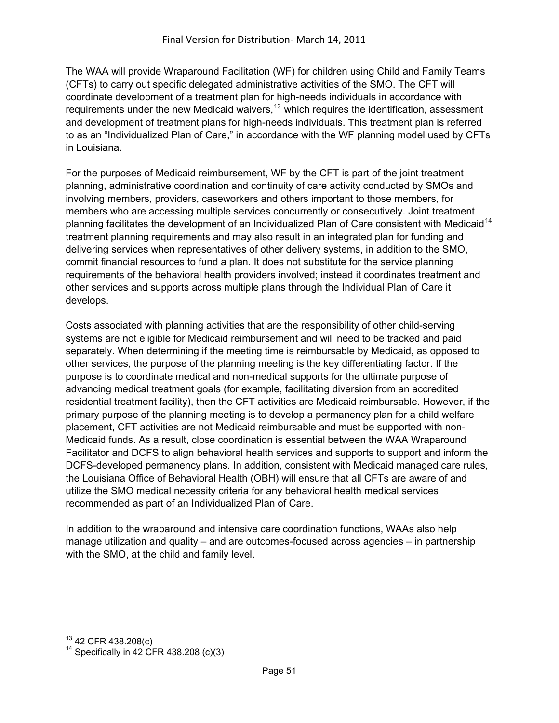The WAA will provide Wraparound Facilitation (WF) for children using Child and Family Teams (CFTs) to carry out specific delegated administrative activities of the SMO. The CFT will coordinate development of a treatment plan for high-needs individuals in accordance with requirements under the new Medicaid waivers,  $13$  which requires the identification, assessment and development of treatment plans for high-needs individuals. This treatment plan is referred to as an "Individualized Plan of Care," in accordance with the WF planning model used by CFTs in Louisiana.

For the purposes of Medicaid reimbursement, WF by the CFT is part of the joint treatment planning, administrative coordination and continuity of care activity conducted by SMOs and involving members, providers, caseworkers and others important to those members, for members who are accessing multiple services concurrently or consecutively. Joint treatment planning facilitates the development of an Individualized Plan of Care consistent with Medicaid<sup>[14](#page-50-1)</sup> treatment planning requirements and may also result in an integrated plan for funding and delivering services when representatives of other delivery systems, in addition to the SMO, commit financial resources to fund a plan. It does not substitute for the service planning requirements of the behavioral health providers involved; instead it coordinates treatment and other services and supports across multiple plans through the Individual Plan of Care it develops.

Costs associated with planning activities that are the responsibility of other child-serving systems are not eligible for Medicaid reimbursement and will need to be tracked and paid separately. When determining if the meeting time is reimbursable by Medicaid, as opposed to other services, the purpose of the planning meeting is the key differentiating factor. If the purpose is to coordinate medical and non-medical supports for the ultimate purpose of advancing medical treatment goals (for example, facilitating diversion from an accredited residential treatment facility), then the CFT activities are Medicaid reimbursable. However, if the primary purpose of the planning meeting is to develop a permanency plan for a child welfare placement, CFT activities are not Medicaid reimbursable and must be supported with non-Medicaid funds. As a result, close coordination is essential between the WAA Wraparound Facilitator and DCFS to align behavioral health services and supports to support and inform the DCFS-developed permanency plans. In addition, consistent with Medicaid managed care rules, the Louisiana Office of Behavioral Health (OBH) will ensure that all CFTs are aware of and utilize the SMO medical necessity criteria for any behavioral health medical services recommended as part of an Individualized Plan of Care.

In addition to the wraparound and intensive care coordination functions, WAAs also help manage utilization and quality – and are outcomes-focused across agencies – in partnership with the SMO, at the child and family level.

<span id="page-50-0"></span><sup>&</sup>lt;sup>13</sup> 42 CFR 438.208(c)

<span id="page-50-1"></span><sup>&</sup>lt;sup>14</sup> Specifically in 42 CFR 438.208 (c)(3)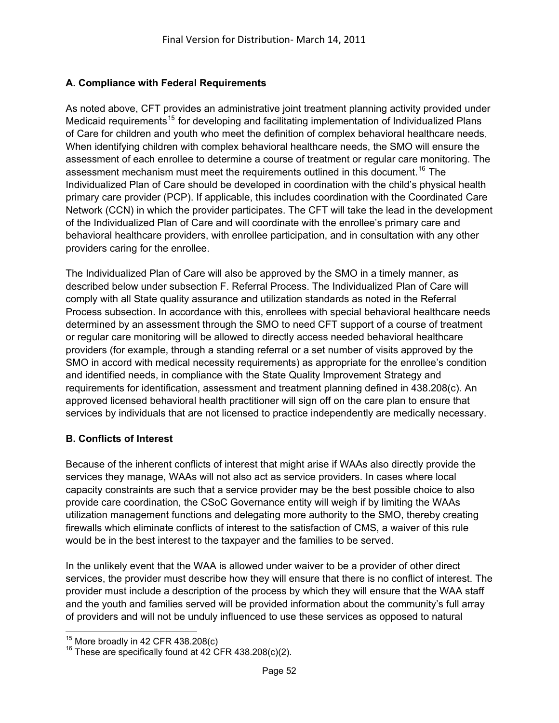## **A. Compliance with Federal Requirements**

As noted above, CFT provides an administrative joint treatment planning activity provided under Medicaid requirements<sup>[15](#page-51-0)</sup> for developing and facilitating implementation of Individualized Plans of Care for children and youth who meet the definition of complex behavioral healthcare needs . When identifying children with complex behavioral healthcare needs, the SMO will ensure the assessment of each enrollee to determine a course of treatment or regular care monitoring. The assessment mechanism must meet the requirements outlined in this document.<sup>[16](#page-51-1)</sup> The Individualized Plan of Care should be developed in coordination with the child's physical health primary care provider (PCP). If applicable, this includes coordination with the Coordinated Care Network (CCN) in which the provider participates. The CFT will take the lead in the development of the Individualized Plan of Care and will coordinate with the enrollee's primary care and behavioral healthcare providers, with enrollee participation, and in consultation with any other providers caring for the enrollee.

The Individualized Plan of Care will also be approved by the SMO in a timely manner, as described below under subsection F. Referral Process. The Individualized Plan of Care will comply with all State quality assurance and utilization standards as noted in the Referral Process subsection. In accordance with this, enrollees with special behavioral healthcare needs determined by an assessment through the SMO to need CFT support of a course of treatment or regular care monitoring will be allowed to directly access needed behavioral healthcare providers (for example, through a standing referral or a set number of visits approved by the SMO in accord with medical necessity requirements) as appropriate for the enrollee's condition and identified needs, in compliance with the State Quality Improvement Strategy and requirements for identification, assessment and treatment planning defined in 438.208(c). An approved licensed behavioral health practitioner will sign off on the care plan to ensure that services by individuals that are not licensed to practice independently are medically necessary.

#### **B. Conflicts of Interest**

Because of the inherent conflicts of interest that might arise if WAAs also directly provide the services they manage, WAAs will not also act as service providers. In cases where local capacity constraints are such that a service provider may be the best possible choice to also provide care coordination, the CSoC Governance entity will weigh if by limiting the WAAs utilization management functions and delegating more authority to the SMO, thereby creating firewalls which eliminate conflicts of interest to the satisfaction of CMS, a waiver of this rule would be in the best interest to the taxpayer and the families to be served.

In the unlikely event that the WAA is allowed under waiver to be a provider of other direct services, the provider must describe how they will ensure that there is no conflict of interest. The provider must include a description of the process by which they will ensure that the WAA staff and the youth and families served will be provided information about the community's full array of providers and will not be unduly influenced to use these services as opposed to natural

<span id="page-51-0"></span> $\overline{a}$  $15$  More broadly in 42 CFR 438.208(c)

<span id="page-51-1"></span><sup>&</sup>lt;sup>16</sup> These are specifically found at 42 CFR 438.208(c)(2).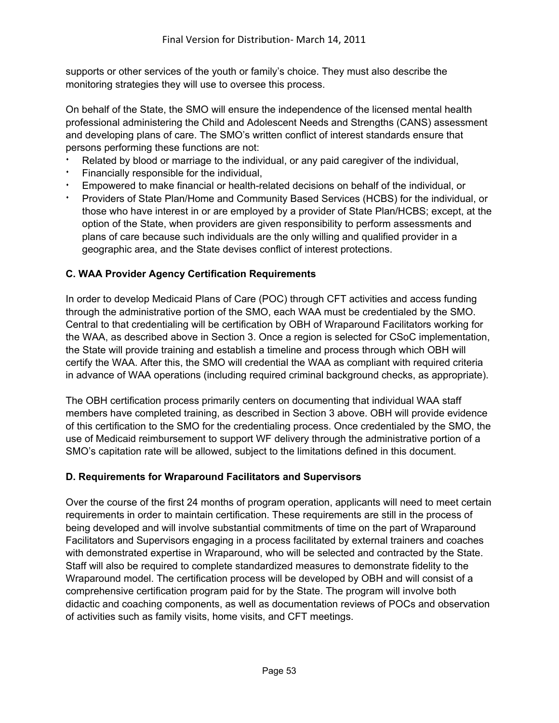supports or other services of the youth or family's choice. They must also describe the monitoring strategies they will use to oversee this process.

On behalf of the State, the SMO will ensure the independence of the licensed mental health professional administering the Child and Adolescent Needs and Strengths (CANS) assessment and developing plans of care. The SMO's written conflict of interest standards ensure that persons performing these functions are not:

- Related by blood or marriage to the individual, or any paid caregiver of the individual,
- Financially responsible for the individual,
- Empowered to make financial or health-related decisions on behalf of the individual, or
- <sup>i</sup> Providers of State Plan/Home and Community Based Services (HCBS) for the individual, or those who have interest in or are employed by a provider of State Plan/HCBS; except, at the option of the State, when providers are given responsibility to perform assessments and plans of care because such individuals are the only willing and qualified provider in a geographic area, and the State devises conflict of interest protections.

## **C. WAA Provider Agency Certification Requirements**

In order to develop Medicaid Plans of Care (POC) through CFT activities and access funding through the administrative portion of the SMO, each WAA must be credentialed by the SMO. Central to that credentialing will be certification by OBH of Wraparound Facilitators working for the WAA, as described above in Section 3. Once a region is selected for CSoC implementation, the State will provide training and establish a timeline and process through which OBH will certify the WAA. After this, the SMO will credential the WAA as compliant with required criteria in advance of WAA operations (including required criminal background checks, as appropriate).

The OBH certification process primarily centers on documenting that individual WAA staff members have completed training, as described in Section 3 above. OBH will provide evidence of this certification to the SMO for the credentialing process. Once credentialed by the SMO, the use of Medicaid reimbursement to support WF delivery through the administrative portion of a SMO's capitation rate will be allowed, subject to the limitations defined in this document.

#### **D. Requirements for Wraparound Facilitators and Supervisors**

Over the course of the first 24 months of program operation, applicants will need to meet certain requirements in order to maintain certification. These requirements are still in the process of being developed and will involve substantial commitments of time on the part of Wraparound Facilitators and Supervisors engaging in a process facilitated by external trainers and coaches with demonstrated expertise in Wraparound, who will be selected and contracted by the State. Staff will also be required to complete standardized measures to demonstrate fidelity to the Wraparound model. The certification process will be developed by OBH and will consist of a comprehensive certification program paid for by the State. The program will involve both didactic and coaching components, as well as documentation reviews of POCs and observation of activities such as family visits, home visits, and CFT meetings.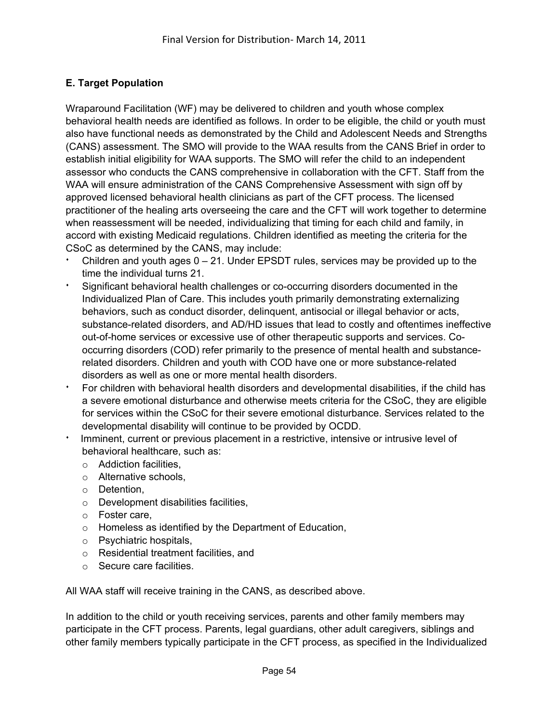## **E. Target Population**

Wraparound Facilitation (WF) may be delivered to children and youth whose complex behavioral health needs are identified as follows. In order to be eligible, the child or youth must also have functional needs as demonstrated by the Child and Adolescent Needs and Strengths (CANS) assessment. The SMO will provide to the WAA results from the CANS Brief in order to establish initial eligibility for WAA supports. The SMO will refer the child to an independent assessor who conducts the CANS comprehensive in collaboration with the CFT. Staff from the WAA will ensure administration of the CANS Comprehensive Assessment with sign off by approved licensed behavioral health clinicians as part of the CFT process. The licensed practitioner of the healing arts overseeing the care and the CFT will work together to determine when reassessment will be needed, individualizing that timing for each child and family, in accord with existing Medicaid regulations. Children identified as meeting the criteria for the CSoC as determined by the CANS, may include:

- Children and youth ages  $0 21$ . Under EPSDT rules, services may be provided up to the time the individual turns 21.
- Significant behavioral health challenges or co-occurring disorders documented in the Individualized Plan of Care. This includes youth primarily demonstrating externalizing behaviors, such as conduct disorder, delinquent, antisocial or illegal behavior or acts, substance-related disorders, and AD/HD issues that lead to costly and oftentimes ineffective out-of-home services or excessive use of other therapeutic supports and services. Cooccurring disorders (COD) refer primarily to the presence of mental health and substancerelated disorders. Children and youth with COD have one or more substance-related disorders as well as one or more mental health disorders.
- <sup>i</sup> For children with behavioral health disorders and developmental disabilities, if the child has a severe emotional disturbance and otherwise meets criteria for the CSoC, they are eligible for services within the CSoC for their severe emotional disturbance. Services related to the developmental disability will continue to be provided by OCDD.
- Imminent, current or previous placement in a restrictive, intensive or intrusive level of behavioral healthcare, such as:
	- o Addiction facilities,
	- o Alternative schools,
	- o Detention,
	- o Development disabilities facilities,
	- o Foster care,
	- o Homeless as identified by the Department of Education,
	- o Psychiatric hospitals,
	- o Residential treatment facilities, and
	- o Secure care facilities.

All WAA staff will receive training in the CANS, as described above.

In addition to the child or youth receiving services, parents and other family members may participate in the CFT process. Parents, legal guardians, other adult caregivers, siblings and other family members typically participate in the CFT process, as specified in the Individualized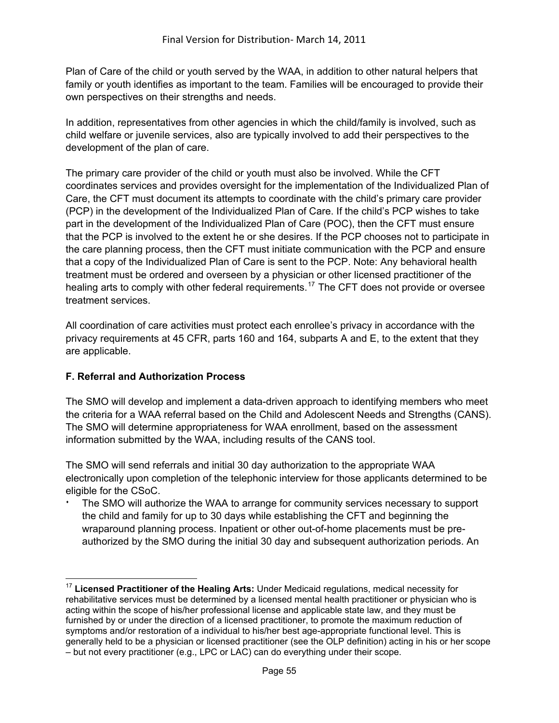Plan of Care of the child or youth served by the WAA, in addition to other natural helpers that family or youth identifies as important to the team. Families will be encouraged to provide their own perspectives on their strengths and needs.

In addition, representatives from other agencies in which the child/family is involved, such as child welfare or juvenile services, also are typically involved to add their perspectives to the development of the plan of care.

The primary care provider of the child or youth must also be involved. While the CFT coordinates services and provides oversight for the implementation of the Individualized Plan of Care, the CFT must document its attempts to coordinate with the child's primary care provider (PCP) in the development of the Individualized Plan of Care. If the child's PCP wishes to take part in the development of the Individualized Plan of Care (POC), then the CFT must ensure that the PCP is involved to the extent he or she desires. If the PCP chooses not to participate in the care planning process, then the CFT must initiate communication with the PCP and ensure that a copy of the Individualized Plan of Care is sent to the PCP. Note: Any behavioral health treatment must be ordered and overseen by a physician or other licensed practitioner of the healing arts to comply with other federal requirements.<sup>[17](#page-54-0)</sup> The CFT does not provide or oversee treatment services.

All coordination of care activities must protect each enrollee's privacy in accordance with the privacy requirements at 45 CFR, parts 160 and 164, subparts A and E, to the extent that they are applicable.

#### **F. Referral and Authorization Process**

The SMO will develop and implement a data-driven approach to identifying members who meet the criteria for a WAA referral based on the Child and Adolescent Needs and Strengths (CANS). The SMO will determine appropriateness for WAA enrollment, based on the assessment information submitted by the WAA, including results of the CANS tool.

The SMO will send referrals and initial 30 day authorization to the appropriate WAA electronically upon completion of the telephonic interview for those applicants determined to be eligible for the CSoC.

The SMO will authorize the WAA to arrange for community services necessary to support the child and family for up to 30 days while establishing the CFT and beginning the wraparound planning process. Inpatient or other out-of-home placements must be preauthorized by the SMO during the initial 30 day and subsequent authorization periods. An

<span id="page-54-0"></span> $\overline{a}$ <sup>17</sup> **Licensed Practitioner of the Healing Arts:** Under Medicaid regulations, medical necessity for rehabilitative services must be determined by a licensed mental health practitioner or physician who is acting within the scope of his/her professional license and applicable state law, and they must be furnished by or under the direction of a licensed practitioner, to promote the maximum reduction of symptoms and/or restoration of a individual to his/her best age-appropriate functional level. This is generally held to be a physician or licensed practitioner (see the OLP definition) acting in his or her scope – but not every practitioner (e.g., LPC or LAC) can do everything under their scope.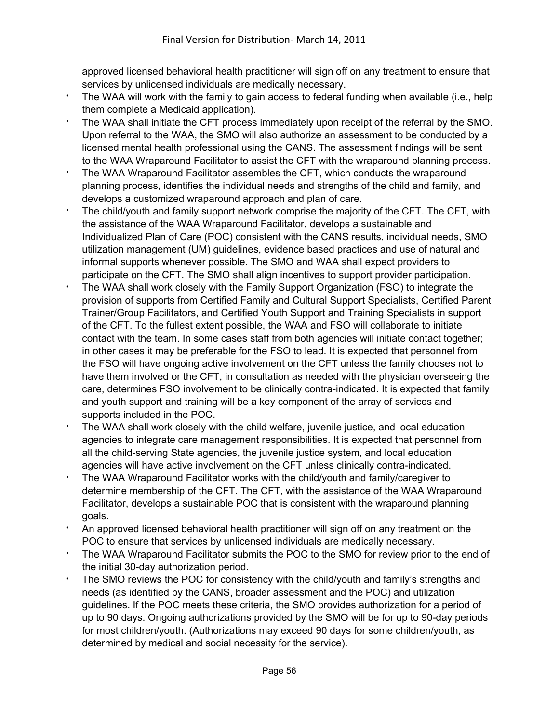approved licensed behavioral health practitioner will sign off on any treatment to ensure that services by unlicensed individuals are medically necessary.

- The WAA will work with the family to gain access to federal funding when available (i.e., help them complete a Medicaid application).
- The WAA shall initiate the CFT process immediately upon receipt of the referral by the SMO. Upon referral to the WAA, the SMO will also authorize an assessment to be conducted by a licensed mental health professional using the CANS. The assessment findings will be sent to the WAA Wraparound Facilitator to assist the CFT with the wraparound planning process.
- The WAA Wraparound Facilitator assembles the CFT, which conducts the wraparound planning process, identifies the individual needs and strengths of the child and family, and develops a customized wraparound approach and plan of care.
- The child/youth and family support network comprise the majority of the CFT. The CFT, with the assistance of the WAA Wraparound Facilitator, develops a sustainable and Individualized Plan of Care (POC) consistent with the CANS results, individual needs, SMO utilization management (UM) guidelines, evidence based practices and use of natural and informal supports whenever possible. The SMO and WAA shall expect providers to participate on the CFT. The SMO shall align incentives to support provider participation.
- The WAA shall work closely with the Family Support Organization (FSO) to integrate the provision of supports from Certified Family and Cultural Support Specialists, Certified Parent Trainer/Group Facilitators, and Certified Youth Support and Training Specialists in support of the CFT. To the fullest extent possible, the WAA and FSO will collaborate to initiate contact with the team. In some cases staff from both agencies will initiate contact together; in other cases it may be preferable for the FSO to lead. It is expected that personnel from the FSO will have ongoing active involvement on the CFT unless the family chooses not to have them involved or the CFT, in consultation as needed with the physician overseeing the care, determines FSO involvement to be clinically contra-indicated. It is expected that family and youth support and training will be a key component of the array of services and supports included in the POC.
- The WAA shall work closely with the child welfare, juvenile justice, and local education agencies to integrate care management responsibilities. It is expected that personnel from all the child-serving State agencies, the juvenile justice system, and local education agencies will have active involvement on the CFT unless clinically contra-indicated.
- The WAA Wraparound Facilitator works with the child/youth and family/caregiver to determine membership of the CFT. The CFT, with the assistance of the WAA Wraparound Facilitator, develops a sustainable POC that is consistent with the wraparound planning goals.
- An approved licensed behavioral health practitioner will sign off on any treatment on the POC to ensure that services by unlicensed individuals are medically necessary.
- The WAA Wraparound Facilitator submits the POC to the SMO for review prior to the end of the initial 30-day authorization period.
- The SMO reviews the POC for consistency with the child/youth and family's strengths and needs (as identified by the CANS, broader assessment and the POC) and utilization guidelines. If the POC meets these criteria, the SMO provides authorization for a period of up to 90 days. Ongoing authorizations provided by the SMO will be for up to 90-day periods for most children/youth. (Authorizations may exceed 90 days for some children/youth, as determined by medical and social necessity for the service).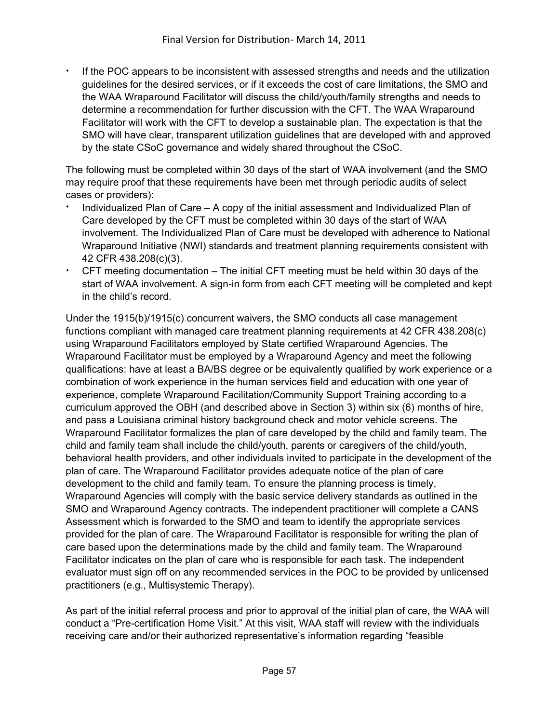If the POC appears to be inconsistent with assessed strengths and needs and the utilization guidelines for the desired services, or if it exceeds the cost of care limitations, the SMO and the WAA Wraparound Facilitator will discuss the child/youth/family strengths and needs to determine a recommendation for further discussion with the CFT. The WAA Wraparound Facilitator will work with the CFT to develop a sustainable plan. The expectation is that the SMO will have clear, transparent utilization guidelines that are developed with and approved by the state CSoC governance and widely shared throughout the CSoC.

The following must be completed within 30 days of the start of WAA involvement (and the SMO may require proof that these requirements have been met through periodic audits of select cases or providers):

- <sup>i</sup> Individualized Plan of Care A copy of the initial assessment and Individualized Plan of Care developed by the CFT must be completed within 30 days of the start of WAA involvement. The Individualized Plan of Care must be developed with adherence to National Wraparound Initiative (NWI) standards and treatment planning requirements consistent with 42 CFR 438.208(c)(3).
- $\cdot$  CFT meeting documentation The initial CFT meeting must be held within 30 days of the start of WAA involvement. A sign-in form from each CFT meeting will be completed and kept in the child's record.

Under the 1915(b)/1915(c) concurrent waivers, the SMO conducts all case management functions compliant with managed care treatment planning requirements at 42 CFR 438.208(c) using Wraparound Facilitators employed by State certified Wraparound Agencies. The Wraparound Facilitator must be employed by a Wraparound Agency and meet the following qualifications: have at least a BA/BS degree or be equivalently qualified by work experience or a combination of work experience in the human services field and education with one year of experience, complete Wraparound Facilitation/Community Support Training according to a curriculum approved the OBH (and described above in Section 3) within six (6) months of hire, and pass a Louisiana criminal history background check and motor vehicle screens. The Wraparound Facilitator formalizes the plan of care developed by the child and family team. The child and family team shall include the child/youth, parents or caregivers of the child/youth, behavioral health providers, and other individuals invited to participate in the development of the plan of care. The Wraparound Facilitator provides adequate notice of the plan of care development to the child and family team. To ensure the planning process is timely, Wraparound Agencies will comply with the basic service delivery standards as outlined in the SMO and Wraparound Agency contracts. The independent practitioner will complete a CANS Assessment which is forwarded to the SMO and team to identify the appropriate services provided for the plan of care. The Wraparound Facilitator is responsible for writing the plan of care based upon the determinations made by the child and family team. The Wraparound Facilitator indicates on the plan of care who is responsible for each task. The independent evaluator must sign off on any recommended services in the POC to be provided by unlicensed practitioners (e.g., Multisystemic Therapy).

As part of the initial referral process and prior to approval of the initial plan of care, the WAA will conduct a "Pre-certification Home Visit." At this visit, WAA staff will review with the individuals receiving care and/or their authorized representative's information regarding "feasible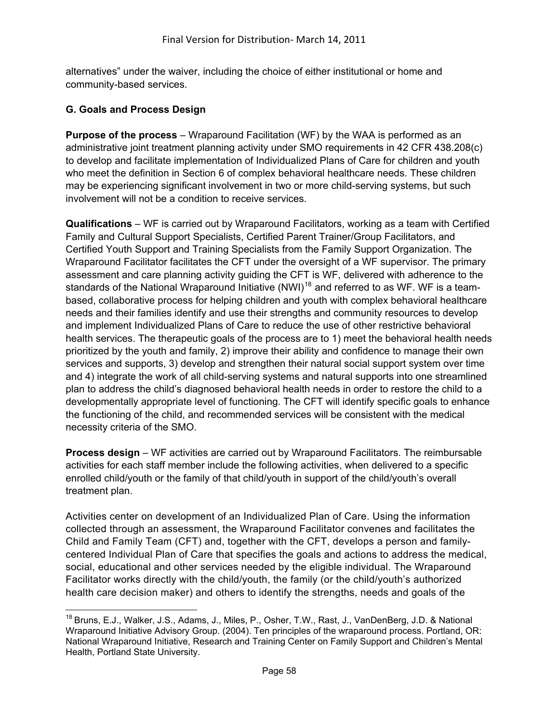alternatives" under the waiver, including the choice of either institutional or home and community-based services.

#### **G. Goals and Process Design**

**Purpose of the process** – Wraparound Facilitation (WF) by the WAA is performed as an administrative joint treatment planning activity under SMO requirements in 42 CFR 438.208(c) to develop and facilitate implementation of Individualized Plans of Care for children and youth who meet the definition in Section 6 of complex behavioral healthcare needs. These children may be experiencing significant involvement in two or more child-serving systems, but such involvement will not be a condition to receive services.

**Qualifications** – WF is carried out by Wraparound Facilitators, working as a team with Certified Family and Cultural Support Specialists, Certified Parent Trainer/Group Facilitators, and Certified Youth Support and Training Specialists from the Family Support Organization. The Wraparound Facilitator facilitates the CFT under the oversight of a WF supervisor. The primary assessment and care planning activity guiding the CFT is WF, delivered with adherence to the standards of the National Wraparound Initiative (NWI)<sup>[18](#page-57-0)</sup> and referred to as WF. WF is a teambased, collaborative process for helping children and youth with complex behavioral healthcare needs and their families identify and use their strengths and community resources to develop and implement Individualized Plans of Care to reduce the use of other restrictive behavioral health services. The therapeutic goals of the process are to 1) meet the behavioral health needs prioritized by the youth and family, 2) improve their ability and confidence to manage their own services and supports, 3) develop and strengthen their natural social support system over time and 4) integrate the work of all child-serving systems and natural supports into one streamlined plan to address the child's diagnosed behavioral health needs in order to restore the child to a developmentally appropriate level of functioning. The CFT will identify specific goals to enhance the functioning of the child, and recommended services will be consistent with the medical necessity criteria of the SMO.

**Process design** – WF activities are carried out by Wraparound Facilitators. The reimbursable activities for each staff member include the following activities, when delivered to a specific enrolled child/youth or the family of that child/youth in support of the child/youth's overall treatment plan.

Activities center on development of an Individualized Plan of Care. Using the information collected through an assessment, the Wraparound Facilitator convenes and facilitates the Child and Family Team (CFT) and, together with the CFT, develops a person and familycentered Individual Plan of Care that specifies the goals and actions to address the medical, social, educational and other services needed by the eligible individual. The Wraparound Facilitator works directly with the child/youth, the family (or the child/youth's authorized health care decision maker) and others to identify the strengths, needs and goals of the

<span id="page-57-0"></span> $\overline{a}$ <sup>18</sup> Bruns, E.J., Walker, J.S., Adams, J., Miles, P., Osher, T.W., Rast, J., VanDenBerg, J.D. & National Wraparound Initiative Advisory Group. (2004). Ten principles of the wraparound process. Portland, OR: National Wraparound Initiative, Research and Training Center on Family Support and Children's Mental Health, Portland State University.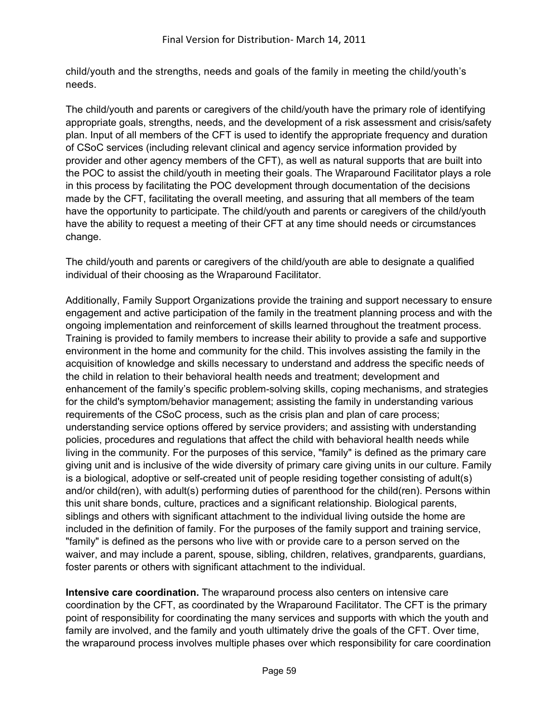child/youth and the strengths, needs and goals of the family in meeting the child/youth's needs.

The child/youth and parents or caregivers of the child/youth have the primary role of identifying appropriate goals, strengths, needs, and the development of a risk assessment and crisis/safety plan. Input of all members of the CFT is used to identify the appropriate frequency and duration of CSoC services (including relevant clinical and agency service information provided by provider and other agency members of the CFT), as well as natural supports that are built into the POC to assist the child/youth in meeting their goals. The Wraparound Facilitator plays a role in this process by facilitating the POC development through documentation of the decisions made by the CFT, facilitating the overall meeting, and assuring that all members of the team have the opportunity to participate. The child/youth and parents or caregivers of the child/youth have the ability to request a meeting of their CFT at any time should needs or circumstances change.

The child/youth and parents or caregivers of the child/youth are able to designate a qualified individual of their choosing as the Wraparound Facilitator.

Additionally, Family Support Organizations provide the training and support necessary to ensure engagement and active participation of the family in the treatment planning process and with the ongoing implementation and reinforcement of skills learned throughout the treatment process. Training is provided to family members to increase their ability to provide a safe and supportive environment in the home and community for the child. This involves assisting the family in the acquisition of knowledge and skills necessary to understand and address the specific needs of the child in relation to their behavioral health needs and treatment; development and enhancement of the family's specific problem-solving skills, coping mechanisms, and strategies for the child's symptom/behavior management; assisting the family in understanding various requirements of the CSoC process, such as the crisis plan and plan of care process; understanding service options offered by service providers; and assisting with understanding policies, procedures and regulations that affect the child with behavioral health needs while living in the community. For the purposes of this service, "family" is defined as the primary care giving unit and is inclusive of the wide diversity of primary care giving units in our culture. Family is a biological, adoptive or self-created unit of people residing together consisting of adult(s) and/or child(ren), with adult(s) performing duties of parenthood for the child(ren). Persons within this unit share bonds, culture, practices and a significant relationship. Biological parents, siblings and others with significant attachment to the individual living outside the home are included in the definition of family. For the purposes of the family support and training service, "family" is defined as the persons who live with or provide care to a person served on the waiver, and may include a parent, spouse, sibling, children, relatives, grandparents, guardians, foster parents or others with significant attachment to the individual.

**Intensive care coordination.** The wraparound process also centers on intensive care coordination by the CFT, as coordinated by the Wraparound Facilitator. The CFT is the primary point of responsibility for coordinating the many services and supports with which the youth and family are involved, and the family and youth ultimately drive the goals of the CFT. Over time, the wraparound process involves multiple phases over which responsibility for care coordination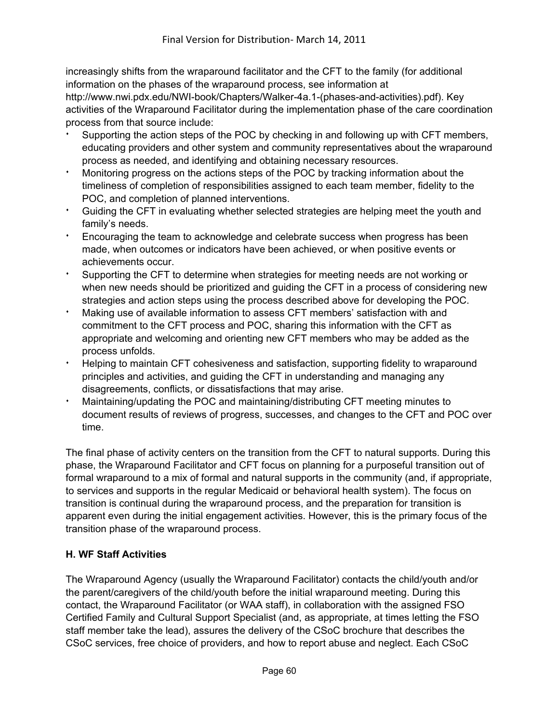increasingly shifts from the wraparound facilitator and the CFT to the family (for additional information on the phases of the wraparound process, see information at

http://www.nwi.pdx.edu/NWI-book/Chapters/Walker-4a.1-(phases-and-activities).pdf). Key activities of the Wraparound Facilitator during the implementation phase of the care coordination process from that source include:

- Supporting the action steps of the POC by checking in and following up with CFT members, educating providers and other system and community representatives about the wraparound process as needed, and identifying and obtaining necessary resources.
- Monitoring progress on the actions steps of the POC by tracking information about the timeliness of completion of responsibilities assigned to each team member, fidelity to the POC, and completion of planned interventions.
- <sup>i</sup> Guiding the CFT in evaluating whether selected strategies are helping meet the youth and family's needs.
- Encouraging the team to acknowledge and celebrate success when progress has been made, when outcomes or indicators have been achieved, or when positive events or achievements occur.
- Supporting the CFT to determine when strategies for meeting needs are not working or when new needs should be prioritized and guiding the CFT in a process of considering new strategies and action steps using the process described above for developing the POC.
- Making use of available information to assess CFT members' satisfaction with and commitment to the CFT process and POC, sharing this information with the CFT as appropriate and welcoming and orienting new CFT members who may be added as the process unfolds.
- <sup>i</sup> Helping to maintain CFT cohesiveness and satisfaction, supporting fidelity to wraparound principles and activities, and guiding the CFT in understanding and managing any disagreements, conflicts, or dissatisfactions that may arise.
- Maintaining/updating the POC and maintaining/distributing CFT meeting minutes to document results of reviews of progress, successes, and changes to the CFT and POC over time.

The final phase of activity centers on the transition from the CFT to natural supports. During this phase, the Wraparound Facilitator and CFT focus on planning for a purposeful transition out of formal wraparound to a mix of formal and natural supports in the community (and, if appropriate, to services and supports in the regular Medicaid or behavioral health system). The focus on transition is continual during the wraparound process, and the preparation for transition is apparent even during the initial engagement activities. However, this is the primary focus of the transition phase of the wraparound process.

## **H. WF Staff Activities**

The Wraparound Agency (usually the Wraparound Facilitator) contacts the child/youth and/or the parent/caregivers of the child/youth before the initial wraparound meeting. During this contact, the Wraparound Facilitator (or WAA staff), in collaboration with the assigned FSO Certified Family and Cultural Support Specialist (and, as appropriate, at times letting the FSO staff member take the lead), assures the delivery of the CSoC brochure that describes the CSoC services, free choice of providers, and how to report abuse and neglect. Each CSoC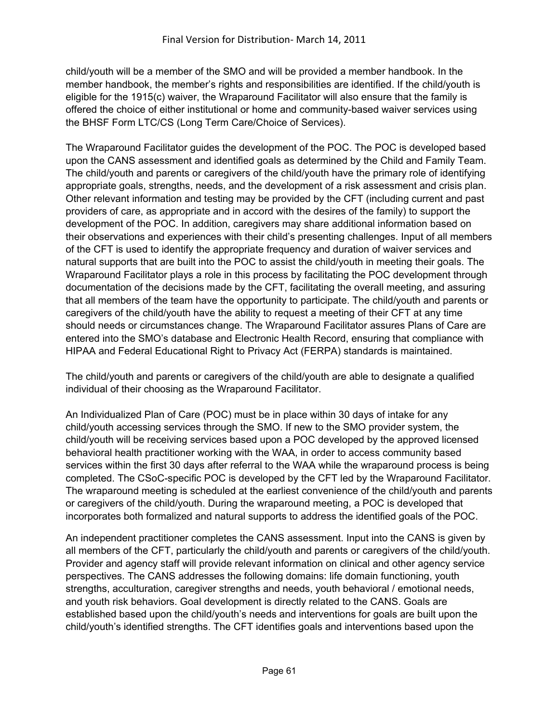child/youth will be a member of the SMO and will be provided a member handbook. In the member handbook, the member's rights and responsibilities are identified. If the child/youth is eligible for the 1915(c) waiver, the Wraparound Facilitator will also ensure that the family is offered the choice of either institutional or home and community-based waiver services using the BHSF Form LTC/CS (Long Term Care/Choice of Services).

The Wraparound Facilitator guides the development of the POC. The POC is developed based upon the CANS assessment and identified goals as determined by the Child and Family Team. The child/youth and parents or caregivers of the child/youth have the primary role of identifying appropriate goals, strengths, needs, and the development of a risk assessment and crisis plan. Other relevant information and testing may be provided by the CFT (including current and past providers of care, as appropriate and in accord with the desires of the family) to support the development of the POC. In addition, caregivers may share additional information based on their observations and experiences with their child's presenting challenges. Input of all members of the CFT is used to identify the appropriate frequency and duration of waiver services and natural supports that are built into the POC to assist the child/youth in meeting their goals. The Wraparound Facilitator plays a role in this process by facilitating the POC development through documentation of the decisions made by the CFT, facilitating the overall meeting, and assuring that all members of the team have the opportunity to participate. The child/youth and parents or caregivers of the child/youth have the ability to request a meeting of their CFT at any time should needs or circumstances change. The Wraparound Facilitator assures Plans of Care are entered into the SMO's database and Electronic Health Record, ensuring that compliance with HIPAA and Federal Educational Right to Privacy Act (FERPA) standards is maintained.

The child/youth and parents or caregivers of the child/youth are able to designate a qualified individual of their choosing as the Wraparound Facilitator.

An Individualized Plan of Care (POC) must be in place within 30 days of intake for any child/youth accessing services through the SMO. If new to the SMO provider system, the child/youth will be receiving services based upon a POC developed by the approved licensed behavioral health practitioner working with the WAA, in order to access community based services within the first 30 days after referral to the WAA while the wraparound process is being completed. The CSoC-specific POC is developed by the CFT led by the Wraparound Facilitator. The wraparound meeting is scheduled at the earliest convenience of the child/youth and parents or caregivers of the child/youth. During the wraparound meeting, a POC is developed that incorporates both formalized and natural supports to address the identified goals of the POC.

An independent practitioner completes the CANS assessment. Input into the CANS is given by all members of the CFT, particularly the child/youth and parents or caregivers of the child/youth. Provider and agency staff will provide relevant information on clinical and other agency service perspectives. The CANS addresses the following domains: life domain functioning, youth strengths, acculturation, caregiver strengths and needs, youth behavioral / emotional needs, and youth risk behaviors. Goal development is directly related to the CANS. Goals are established based upon the child/youth's needs and interventions for goals are built upon the child/youth's identified strengths. The CFT identifies goals and interventions based upon the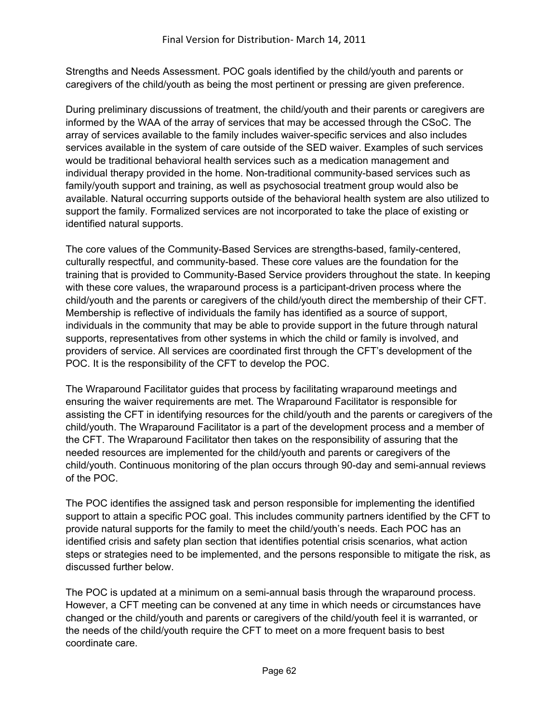Strengths and Needs Assessment. POC goals identified by the child/youth and parents or caregivers of the child/youth as being the most pertinent or pressing are given preference.

During preliminary discussions of treatment, the child/youth and their parents or caregivers are informed by the WAA of the array of services that may be accessed through the CSoC. The array of services available to the family includes waiver-specific services and also includes services available in the system of care outside of the SED waiver. Examples of such services would be traditional behavioral health services such as a medication management and individual therapy provided in the home. Non-traditional community-based services such as family/youth support and training, as well as psychosocial treatment group would also be available. Natural occurring supports outside of the behavioral health system are also utilized to support the family. Formalized services are not incorporated to take the place of existing or identified natural supports.

The core values of the Community-Based Services are strengths-based, family-centered, culturally respectful, and community-based. These core values are the foundation for the training that is provided to Community-Based Service providers throughout the state. In keeping with these core values, the wraparound process is a participant-driven process where the child/youth and the parents or caregivers of the child/youth direct the membership of their CFT. Membership is reflective of individuals the family has identified as a source of support, individuals in the community that may be able to provide support in the future through natural supports, representatives from other systems in which the child or family is involved, and providers of service. All services are coordinated first through the CFT's development of the POC. It is the responsibility of the CFT to develop the POC.

The Wraparound Facilitator guides that process by facilitating wraparound meetings and ensuring the waiver requirements are met. The Wraparound Facilitator is responsible for assisting the CFT in identifying resources for the child/youth and the parents or caregivers of the child/youth. The Wraparound Facilitator is a part of the development process and a member of the CFT. The Wraparound Facilitator then takes on the responsibility of assuring that the needed resources are implemented for the child/youth and parents or caregivers of the child/youth. Continuous monitoring of the plan occurs through 90-day and semi-annual reviews of the POC.

The POC identifies the assigned task and person responsible for implementing the identified support to attain a specific POC goal. This includes community partners identified by the CFT to provide natural supports for the family to meet the child/youth's needs. Each POC has an identified crisis and safety plan section that identifies potential crisis scenarios, what action steps or strategies need to be implemented, and the persons responsible to mitigate the risk, as discussed further below.

The POC is updated at a minimum on a semi-annual basis through the wraparound process. However, a CFT meeting can be convened at any time in which needs or circumstances have changed or the child/youth and parents or caregivers of the child/youth feel it is warranted, or the needs of the child/youth require the CFT to meet on a more frequent basis to best coordinate care.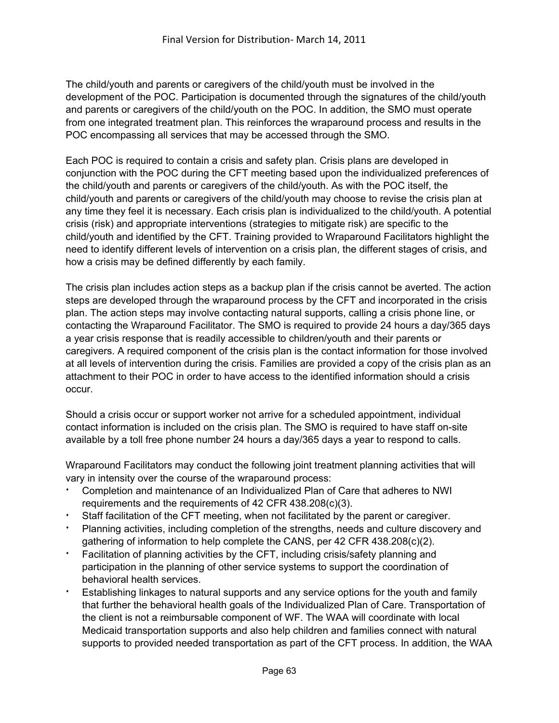The child/youth and parents or caregivers of the child/youth must be involved in the development of the POC. Participation is documented through the signatures of the child/youth and parents or caregivers of the child/youth on the POC. In addition, the SMO must operate from one integrated treatment plan. This reinforces the wraparound process and results in the POC encompassing all services that may be accessed through the SMO.

Each POC is required to contain a crisis and safety plan. Crisis plans are developed in conjunction with the POC during the CFT meeting based upon the individualized preferences of the child/youth and parents or caregivers of the child/youth. As with the POC itself, the child/youth and parents or caregivers of the child/youth may choose to revise the crisis plan at any time they feel it is necessary. Each crisis plan is individualized to the child/youth. A potential crisis (risk) and appropriate interventions (strategies to mitigate risk) are specific to the child/youth and identified by the CFT. Training provided to Wraparound Facilitators highlight the need to identify different levels of intervention on a crisis plan, the different stages of crisis, and how a crisis may be defined differently by each family.

The crisis plan includes action steps as a backup plan if the crisis cannot be averted. The action steps are developed through the wraparound process by the CFT and incorporated in the crisis plan. The action steps may involve contacting natural supports, calling a crisis phone line, or contacting the Wraparound Facilitator. The SMO is required to provide 24 hours a day/365 days a year crisis response that is readily accessible to children/youth and their parents or caregivers. A required component of the crisis plan is the contact information for those involved at all levels of intervention during the crisis. Families are provided a copy of the crisis plan as an attachment to their POC in order to have access to the identified information should a crisis occur.

Should a crisis occur or support worker not arrive for a scheduled appointment, individual contact information is included on the crisis plan. The SMO is required to have staff on-site available by a toll free phone number 24 hours a day/365 days a year to respond to calls.

Wraparound Facilitators may conduct the following joint treatment planning activities that will vary in intensity over the course of the wraparound process:

- <sup>i</sup> Completion and maintenance of an Individualized Plan of Care that adheres to NWI requirements and the requirements of 42 CFR 438.208(c)(3).
- Staff facilitation of the CFT meeting, when not facilitated by the parent or caregiver.
- Planning activities, including completion of the strengths, needs and culture discovery and gathering of information to help complete the CANS, per 42 CFR 438.208(c)(2).
- Facilitation of planning activities by the CFT, including crisis/safety planning and participation in the planning of other service systems to support the coordination of behavioral health services.
- Establishing linkages to natural supports and any service options for the youth and family that further the behavioral health goals of the Individualized Plan of Care. Transportation of the client is not a reimbursable component of WF. The WAA will coordinate with local Medicaid transportation supports and also help children and families connect with natural supports to provided needed transportation as part of the CFT process. In addition, the WAA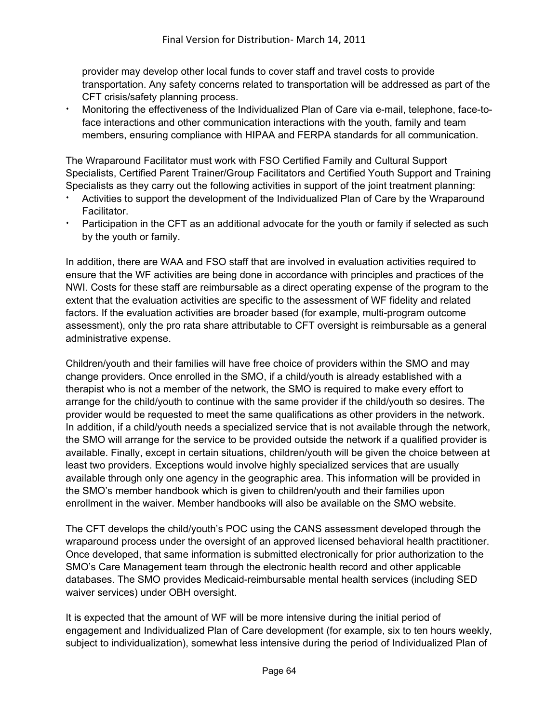provider may develop other local funds to cover staff and travel costs to provide transportation. Any safety concerns related to transportation will be addressed as part of the CFT crisis/safety planning process.

Monitoring the effectiveness of the Individualized Plan of Care via e-mail, telephone, face-toface interactions and other communication interactions with the youth, family and team members, ensuring compliance with HIPAA and FERPA standards for all communication.

The Wraparound Facilitator must work with FSO Certified Family and Cultural Support Specialists, Certified Parent Trainer/Group Facilitators and Certified Youth Support and Training Specialists as they carry out the following activities in support of the joint treatment planning:

- Activities to support the development of the Individualized Plan of Care by the Wraparound Facilitator.
- Participation in the CFT as an additional advocate for the youth or family if selected as such by the youth or family.

In addition, there are WAA and FSO staff that are involved in evaluation activities required to ensure that the WF activities are being done in accordance with principles and practices of the NWI. Costs for these staff are reimbursable as a direct operating expense of the program to the extent that the evaluation activities are specific to the assessment of WF fidelity and related factors. If the evaluation activities are broader based (for example, multi-program outcome assessment), only the pro rata share attributable to CFT oversight is reimbursable as a general administrative expense.

Children/youth and their families will have free choice of providers within the SMO and may change providers. Once enrolled in the SMO, if a child/youth is already established with a therapist who is not a member of the network, the SMO is required to make every effort to arrange for the child/youth to continue with the same provider if the child/youth so desires. The provider would be requested to meet the same qualifications as other providers in the network. In addition, if a child/youth needs a specialized service that is not available through the network, the SMO will arrange for the service to be provided outside the network if a qualified provider is available. Finally, except in certain situations, children/youth will be given the choice between at least two providers. Exceptions would involve highly specialized services that are usually available through only one agency in the geographic area. This information will be provided in the SMO's member handbook which is given to children/youth and their families upon enrollment in the waiver. Member handbooks will also be available on the SMO website.

The CFT develops the child/youth's POC using the CANS assessment developed through the wraparound process under the oversight of an approved licensed behavioral health practitioner. Once developed, that same information is submitted electronically for prior authorization to the SMO's Care Management team through the electronic health record and other applicable databases. The SMO provides Medicaid-reimbursable mental health services (including SED waiver services) under OBH oversight.

It is expected that the amount of WF will be more intensive during the initial period of engagement and Individualized Plan of Care development (for example, six to ten hours weekly, subject to individualization), somewhat less intensive during the period of Individualized Plan of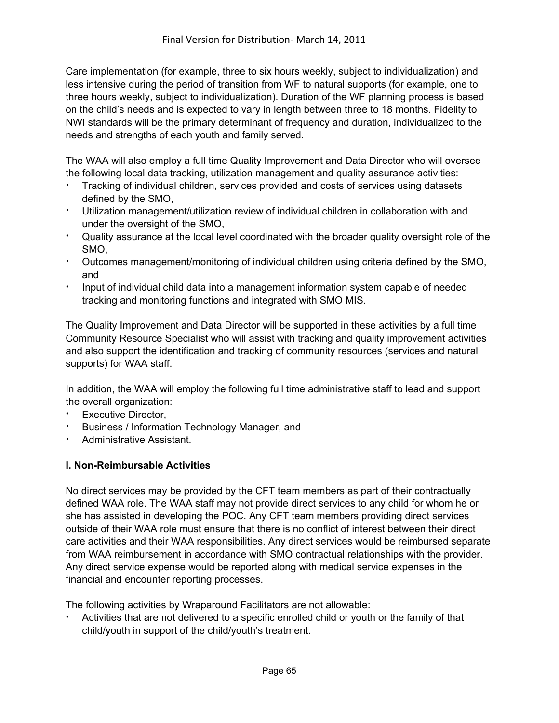Care implementation (for example, three to six hours weekly, subject to individualization) and less intensive during the period of transition from WF to natural supports (for example, one to three hours weekly, subject to individualization). Duration of the WF planning process is based on the child's needs and is expected to vary in length between three to 18 months. Fidelity to NWI standards will be the primary determinant of frequency and duration, individualized to the needs and strengths of each youth and family served.

The WAA will also employ a full time Quality Improvement and Data Director who will oversee the following local data tracking, utilization management and quality assurance activities:

- Tracking of individual children, services provided and costs of services using datasets defined by the SMO,
- Utilization management/utilization review of individual children in collaboration with and under the oversight of the SMO,
- <sup>i</sup> Quality assurance at the local level coordinated with the broader quality oversight role of the SMO,
- <sup>t</sup> Outcomes management/monitoring of individual children using criteria defined by the SMO, and
- <sup>i</sup> Input of individual child data into a management information system capable of needed tracking and monitoring functions and integrated with SMO MIS.

The Quality Improvement and Data Director will be supported in these activities by a full time Community Resource Specialist who will assist with tracking and quality improvement activities and also support the identification and tracking of community resources (services and natural supports) for WAA staff.

In addition, the WAA will employ the following full time administrative staff to lead and support the overall organization:

- Executive Director,
- Business / Information Technology Manager, and
- Administrative Assistant.

#### **I. Non-Reimbursable Activities**

No direct services may be provided by the CFT team members as part of their contractually defined WAA role. The WAA staff may not provide direct services to any child for whom he or she has assisted in developing the POC. Any CFT team members providing direct services outside of their WAA role must ensure that there is no conflict of interest between their direct care activities and their WAA responsibilities. Any direct services would be reimbursed separate from WAA reimbursement in accordance with SMO contractual relationships with the provider. Any direct service expense would be reported along with medical service expenses in the financial and encounter reporting processes.

The following activities by Wraparound Facilitators are not allowable:

Activities that are not delivered to a specific enrolled child or youth or the family of that child/youth in support of the child/youth's treatment.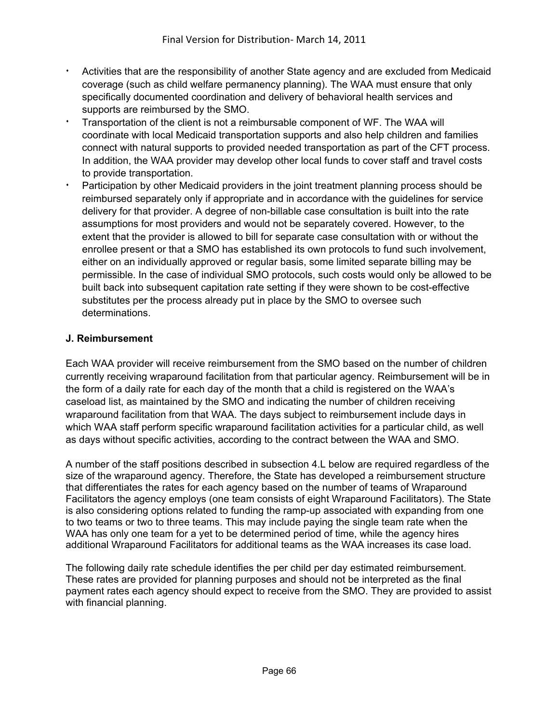- Activities that are the responsibility of another State agency and are excluded from Medicaid coverage (such as child welfare permanency planning). The WAA must ensure that only specifically documented coordination and delivery of behavioral health services and supports are reimbursed by the SMO.
- <sup>i</sup> Transportation of the client is not a reimbursable component of WF. The WAA will coordinate with local Medicaid transportation supports and also help children and families connect with natural supports to provided needed transportation as part of the CFT process. In addition, the WAA provider may develop other local funds to cover staff and travel costs to provide transportation.
- Participation by other Medicaid providers in the joint treatment planning process should be reimbursed separately only if appropriate and in accordance with the guidelines for service delivery for that provider. A degree of non-billable case consultation is built into the rate assumptions for most providers and would not be separately covered. However, to the extent that the provider is allowed to bill for separate case consultation with or without the enrollee present or that a SMO has established its own protocols to fund such involvement, either on an individually approved or regular basis, some limited separate billing may be permissible. In the case of individual SMO protocols, such costs would only be allowed to be built back into subsequent capitation rate setting if they were shown to be cost-effective substitutes per the process already put in place by the SMO to oversee such determinations.

## **J. Reimbursement**

Each WAA provider will receive reimbursement from the SMO based on the number of children currently receiving wraparound facilitation from that particular agency. Reimbursement will be in the form of a daily rate for each day of the month that a child is registered on the WAA's caseload list, as maintained by the SMO and indicating the number of children receiving wraparound facilitation from that WAA. The days subject to reimbursement include days in which WAA staff perform specific wraparound facilitation activities for a particular child, as well as days without specific activities, according to the contract between the WAA and SMO.

A number of the staff positions described in subsection 4.L below are required regardless of the size of the wraparound agency. Therefore, the State has developed a reimbursement structure that differentiates the rates for each agency based on the number of teams of Wraparound Facilitators the agency employs (one team consists of eight Wraparound Facilitators). The State is also considering options related to funding the ramp-up associated with expanding from one to two teams or two to three teams. This may include paying the single team rate when the WAA has only one team for a yet to be determined period of time, while the agency hires additional Wraparound Facilitators for additional teams as the WAA increases its case load.

The following daily rate schedule identifies the per child per day estimated reimbursement. These rates are provided for planning purposes and should not be interpreted as the final payment rates each agency should expect to receive from the SMO. They are provided to assist with financial planning.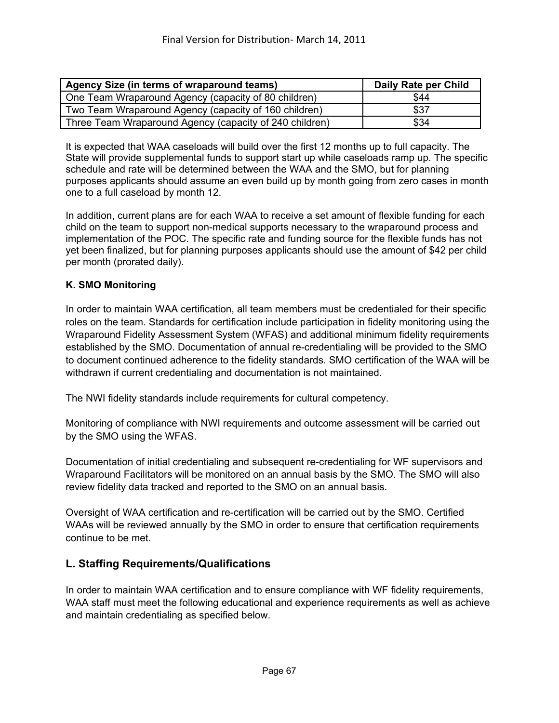| Agency Size (in terms of wraparound teams)              | Daily Rate per Child |
|---------------------------------------------------------|----------------------|
| One Team Wraparound Agency (capacity of 80 children)    | \$44                 |
| Two Team Wraparound Agency (capacity of 160 children)   | \$37                 |
| Three Team Wraparound Agency (capacity of 240 children) | \$34                 |

It is expected that WAA caseloads will build over the first 12 months up to full capacity. The State will provide supplemental funds to support start up while caseloads ramp up. The specific schedule and rate will be determined between the WAA and the SMO, but for planning purposes applicants should assume an even build up by month going from zero cases in month one to a full caseload by month 12.

In addition, current plans are for each WAA to receive a set amount of flexible funding for each child on the team to support non-medical supports necessary to the wraparound process and implementation of the POC. The specific rate and funding source for the flexible funds has not yet been finalized, but for planning purposes applicants should use the amount of \$42 per child per month (prorated daily).

#### **K. SMO Monitoring**

In order to maintain WAA certification, all team members must be credentialed for their specific roles on the team. Standards for certification include participation in fidelity monitoring using the Wraparound Fidelity Assessment System (WFAS) and additional minimum fidelity requirements established by the SMO. Documentation of annual re-credentialing will be provided to the SMO to document continued adherence to the fidelity standards. SMO certification of the WAA will be withdrawn if current credentialing and documentation is not maintained.

The NWI fidelity standards include requirements for cultural competency.

Monitoring of compliance with NWI requirements and outcome assessment will be carried out by the SMO using the WFAS.

Documentation of initial credentialing and subsequent re-credentialing for WF supervisors and Wraparound Facilitators will be monitored on an annual basis by the SMO. The SMO will also review fidelity data tracked and reported to the SMO on an annual basis.

Oversight of WAA certification and re-certification will be carried out by the SMO. Certified WAAs will be reviewed annually by the SMO in order to ensure that certification requirements continue to be met.

## **L. Staffing Requirements/Qualifications**

In order to maintain WAA certification and to ensure compliance with WF fidelity requirements, WAA staff must meet the following educational and experience requirements as well as achieve and maintain credentialing as specified below.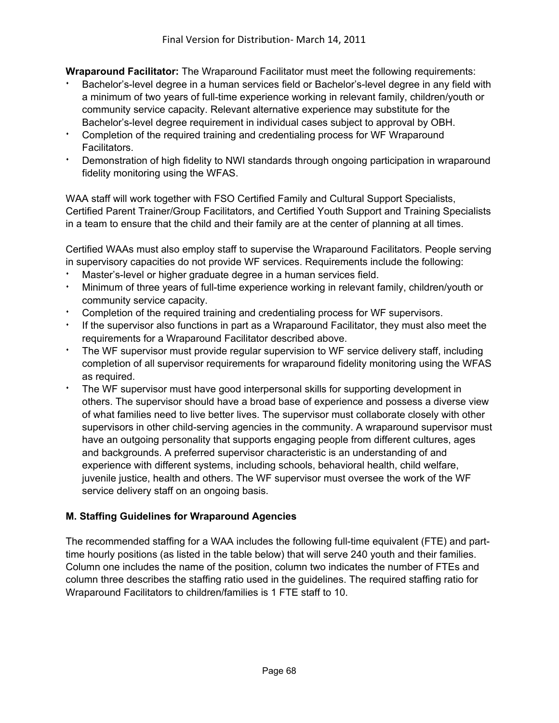**Wraparound Facilitator:** The Wraparound Facilitator must meet the following requirements:

- Bachelor's-level degree in a human services field or Bachelor's-level degree in any field with a minimum of two years of full-time experience working in relevant family, children/youth or community service capacity. Relevant alternative experience may substitute for the Bachelor's-level degree requirement in individual cases subject to approval by OBH.
- Completion of the required training and credentialing process for WF Wraparound Facilitators.
- **EXED FIGHTS Inconstration of high fidelity to NWI standards through ongoing participation in wraparound** fidelity monitoring using the WFAS.

WAA staff will work together with FSO Certified Family and Cultural Support Specialists, Certified Parent Trainer/Group Facilitators, and Certified Youth Support and Training Specialists in a team to ensure that the child and their family are at the center of planning at all times.

Certified WAAs must also employ staff to supervise the Wraparound Facilitators. People serving in supervisory capacities do not provide WF services. Requirements include the following:

- Master's-level or higher graduate degree in a human services field.
- Minimum of three years of full-time experience working in relevant family, children/youth or community service capacity.
- Completion of the required training and credentialing process for WF supervisors.
- If the supervisor also functions in part as a Wraparound Facilitator, they must also meet the requirements for a Wraparound Facilitator described above.
- The WF supervisor must provide regular supervision to WF service delivery staff, including completion of all supervisor requirements for wraparound fidelity monitoring using the WFAS as required.
- The WF supervisor must have good interpersonal skills for supporting development in others. The supervisor should have a broad base of experience and possess a diverse view of what families need to live better lives. The supervisor must collaborate closely with other supervisors in other child-serving agencies in the community. A wraparound supervisor must have an outgoing personality that supports engaging people from different cultures, ages and backgrounds. A preferred supervisor characteristic is an understanding of and experience with different systems, including schools, behavioral health, child welfare, juvenile justice, health and others. The WF supervisor must oversee the work of the WF service delivery staff on an ongoing basis.

#### **M. Staffing Guidelines for Wraparound Agencies**

The recommended staffing for a WAA includes the following full-time equivalent (FTE) and parttime hourly positions (as listed in the table below) that will serve 240 youth and their families. Column one includes the name of the position, column two indicates the number of FTEs and column three describes the staffing ratio used in the guidelines. The required staffing ratio for Wraparound Facilitators to children/families is 1 FTE staff to 10.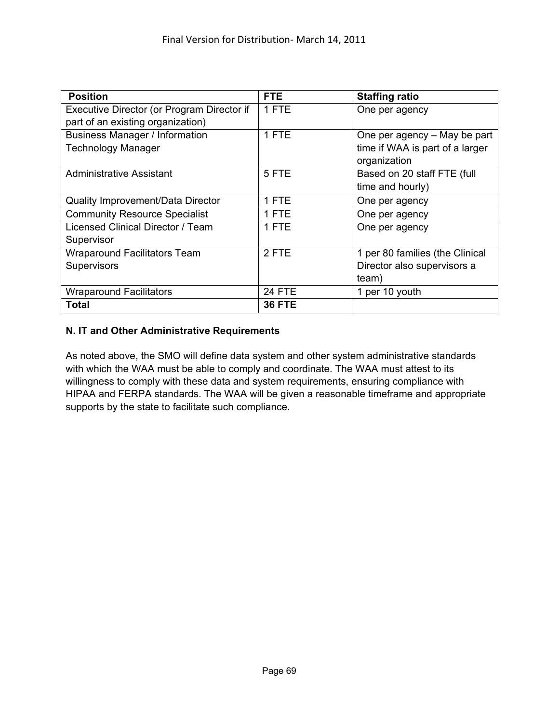| <b>Position</b>                            | <b>FTE</b>    | <b>Staffing ratio</b>           |
|--------------------------------------------|---------------|---------------------------------|
| Executive Director (or Program Director if | 1 FTE         | One per agency                  |
| part of an existing organization)          |               |                                 |
| <b>Business Manager / Information</b>      | 1 FTE         | One per agency – May be part    |
| <b>Technology Manager</b>                  |               | time if WAA is part of a larger |
|                                            |               | organization                    |
| <b>Administrative Assistant</b>            | 5 FTE         | Based on 20 staff FTE (full     |
|                                            |               | time and hourly)                |
| <b>Quality Improvement/Data Director</b>   | 1 FTE         | One per agency                  |
| <b>Community Resource Specialist</b>       | 1 FTE         | One per agency                  |
| Licensed Clinical Director / Team          | 1 FTE         | One per agency                  |
| Supervisor                                 |               |                                 |
| <b>Wraparound Facilitators Team</b>        | 2 FTE         | 1 per 80 families (the Clinical |
| Supervisors                                |               | Director also supervisors a     |
|                                            |               | team)                           |
| <b>Wraparound Facilitators</b>             | <b>24 FTE</b> | 1 per 10 youth                  |
| Total                                      | <b>36 FTE</b> |                                 |

#### **N. IT and Other Administrative Requirements**

As noted above, the SMO will define data system and other system administrative standards with which the WAA must be able to comply and coordinate. The WAA must attest to its willingness to comply with these data and system requirements, ensuring compliance with HIPAA and FERPA standards. The WAA will be given a reasonable timeframe and appropriate supports by the state to facilitate such compliance.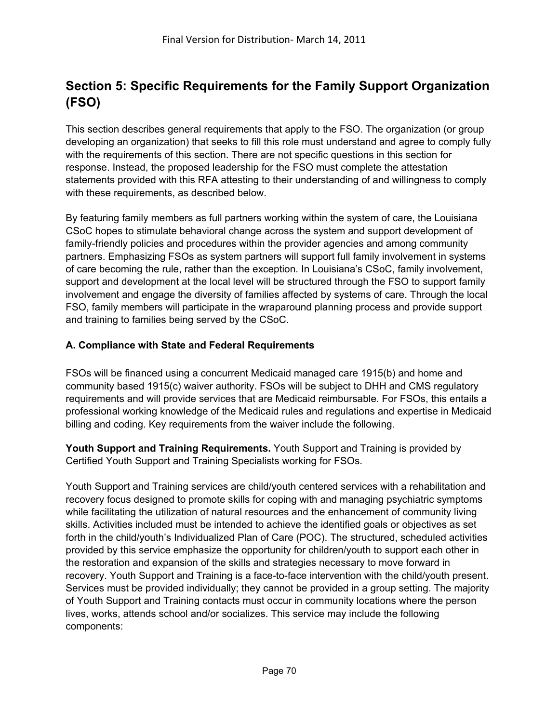# **Section 5: Specific Requirements for the Family Support Organization (FSO)**

This section describes general requirements that apply to the FSO. The organization (or group developing an organization) that seeks to fill this role must understand and agree to comply fully with the requirements of this section. There are not specific questions in this section for response. Instead, the proposed leadership for the FSO must complete the attestation statements provided with this RFA attesting to their understanding of and willingness to comply with these requirements, as described below.

By featuring family members as full partners working within the system of care, the Louisiana CSoC hopes to stimulate behavioral change across the system and support development of family-friendly policies and procedures within the provider agencies and among community partners. Emphasizing FSOs as system partners will support full family involvement in systems of care becoming the rule, rather than the exception. In Louisiana's CSoC, family involvement, support and development at the local level will be structured through the FSO to support family involvement and engage the diversity of families affected by systems of care. Through the local FSO, family members will participate in the wraparound planning process and provide support and training to families being served by the CSoC.

## **A. Compliance with State and Federal Requirements**

FSOs will be financed using a concurrent Medicaid managed care 1915(b) and home and community based 1915(c) waiver authority. FSOs will be subject to DHH and CMS regulatory requirements and will provide services that are Medicaid reimbursable. For FSOs, this entails a professional working knowledge of the Medicaid rules and regulations and expertise in Medicaid billing and coding. Key requirements from the waiver include the following.

**Youth Support and Training Requirements.** Youth Support and Training is provided by Certified Youth Support and Training Specialists working for FSOs.

Youth Support and Training services are child/youth centered services with a rehabilitation and recovery focus designed to promote skills for coping with and managing psychiatric symptoms while facilitating the utilization of natural resources and the enhancement of community living skills. Activities included must be intended to achieve the identified goals or objectives as set forth in the child/youth's Individualized Plan of Care (POC). The structured, scheduled activities provided by this service emphasize the opportunity for children/youth to support each other in the restoration and expansion of the skills and strategies necessary to move forward in recovery. Youth Support and Training is a face-to-face intervention with the child/youth present. Services must be provided individually; they cannot be provided in a group setting. The majority of Youth Support and Training contacts must occur in community locations where the person lives, works, attends school and/or socializes. This service may include the following components: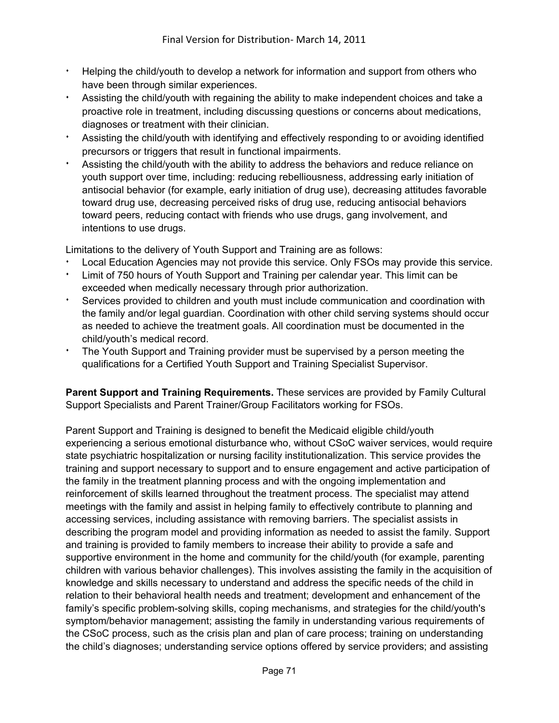- Helping the child/youth to develop a network for information and support from others who have been through similar experiences.
- Assisting the child/youth with regaining the ability to make independent choices and take a proactive role in treatment, including discussing questions or concerns about medications, diagnoses or treatment with their clinician.
- Assisting the child/youth with identifying and effectively responding to or avoiding identified precursors or triggers that result in functional impairments.
- Assisting the child/youth with the ability to address the behaviors and reduce reliance on youth support over time, including: reducing rebelliousness, addressing early initiation of antisocial behavior (for example, early initiation of drug use), decreasing attitudes favorable toward drug use, decreasing perceived risks of drug use, reducing antisocial behaviors toward peers, reducing contact with friends who use drugs, gang involvement, and intentions to use drugs.

Limitations to the delivery of Youth Support and Training are as follows:

- Local Education Agencies may not provide this service. Only FSOs may provide this service.
- Limit of 750 hours of Youth Support and Training per calendar year. This limit can be exceeded when medically necessary through prior authorization.
- <sup>i</sup> Services provided to children and youth must include communication and coordination with the family and/or legal guardian. Coordination with other child serving systems should occur as needed to achieve the treatment goals. All coordination must be documented in the child/youth's medical record.
- The Youth Support and Training provider must be supervised by a person meeting the qualifications for a Certified Youth Support and Training Specialist Supervisor.

**Parent Support and Training Requirements.** These services are provided by Family Cultural Support Specialists and Parent Trainer/Group Facilitators working for FSOs.

Parent Support and Training is designed to benefit the Medicaid eligible child/youth experiencing a serious emotional disturbance who, without CSoC waiver services, would require state psychiatric hospitalization or nursing facility institutionalization. This service provides the training and support necessary to support and to ensure engagement and active participation of the family in the treatment planning process and with the ongoing implementation and reinforcement of skills learned throughout the treatment process. The specialist may attend meetings with the family and assist in helping family to effectively contribute to planning and accessing services, including assistance with removing barriers. The specialist assists in describing the program model and providing information as needed to assist the family. Support and training is provided to family members to increase their ability to provide a safe and supportive environment in the home and community for the child/youth (for example, parenting children with various behavior challenges). This involves assisting the family in the acquisition of knowledge and skills necessary to understand and address the specific needs of the child in relation to their behavioral health needs and treatment; development and enhancement of the family's specific problem-solving skills, coping mechanisms, and strategies for the child/youth's symptom/behavior management; assisting the family in understanding various requirements of the CSoC process, such as the crisis plan and plan of care process; training on understanding the child's diagnoses; understanding service options offered by service providers; and assisting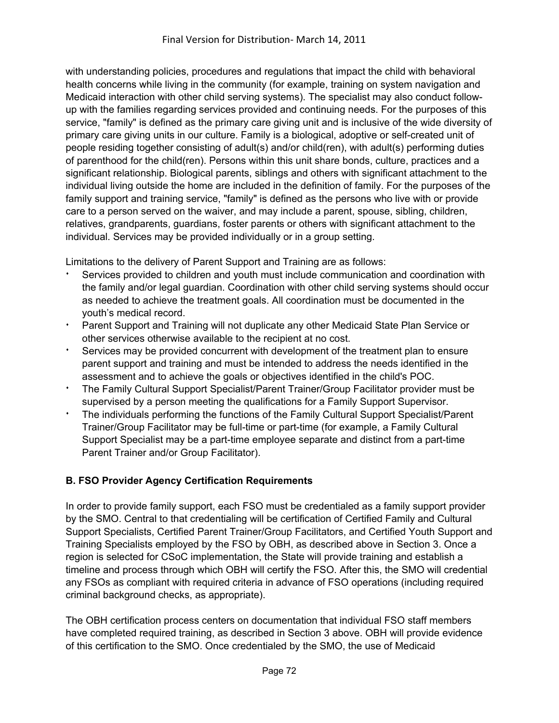with understanding policies, procedures and regulations that impact the child with behavioral health concerns while living in the community (for example, training on system navigation and Medicaid interaction with other child serving systems). The specialist may also conduct followup with the families regarding services provided and continuing needs. For the purposes of this service, "family" is defined as the primary care giving unit and is inclusive of the wide diversity of primary care giving units in our culture. Family is a biological, adoptive or self-created unit of people residing together consisting of adult(s) and/or child(ren), with adult(s) performing duties of parenthood for the child(ren). Persons within this unit share bonds, culture, practices and a significant relationship. Biological parents, siblings and others with significant attachment to the individual living outside the home are included in the definition of family. For the purposes of the family support and training service, "family" is defined as the persons who live with or provide care to a person served on the waiver, and may include a parent, spouse, sibling, children, relatives, grandparents, guardians, foster parents or others with significant attachment to the individual. Services may be provided individually or in a group setting.

Limitations to the delivery of Parent Support and Training are as follows:

- Services provided to children and youth must include communication and coordination with the family and/or legal guardian. Coordination with other child serving systems should occur as needed to achieve the treatment goals. All coordination must be documented in the youth's medical record.
- Parent Support and Training will not duplicate any other Medicaid State Plan Service or other services otherwise available to the recipient at no cost.
- <sup>i</sup> Services may be provided concurrent with development of the treatment plan to ensure parent support and training and must be intended to address the needs identified in the assessment and to achieve the goals or objectives identified in the child's POC.
- <sup>\*</sup> The Family Cultural Support Specialist/Parent Trainer/Group Facilitator provider must be supervised by a person meeting the qualifications for a Family Support Supervisor.
- <sup>i</sup> The individuals performing the functions of the Family Cultural Support Specialist/Parent Trainer/Group Facilitator may be full-time or part-time (for example, a Family Cultural Support Specialist may be a part-time employee separate and distinct from a part-time Parent Trainer and/or Group Facilitator).

## **B. FSO Provider Agency Certification Requirements**

In order to provide family support, each FSO must be credentialed as a family support provider by the SMO. Central to that credentialing will be certification of Certified Family and Cultural Support Specialists, Certified Parent Trainer/Group Facilitators, and Certified Youth Support and Training Specialists employed by the FSO by OBH, as described above in Section 3. Once a region is selected for CSoC implementation, the State will provide training and establish a timeline and process through which OBH will certify the FSO. After this, the SMO will credential any FSOs as compliant with required criteria in advance of FSO operations (including required criminal background checks, as appropriate).

The OBH certification process centers on documentation that individual FSO staff members have completed required training, as described in Section 3 above. OBH will provide evidence of this certification to the SMO. Once credentialed by the SMO, the use of Medicaid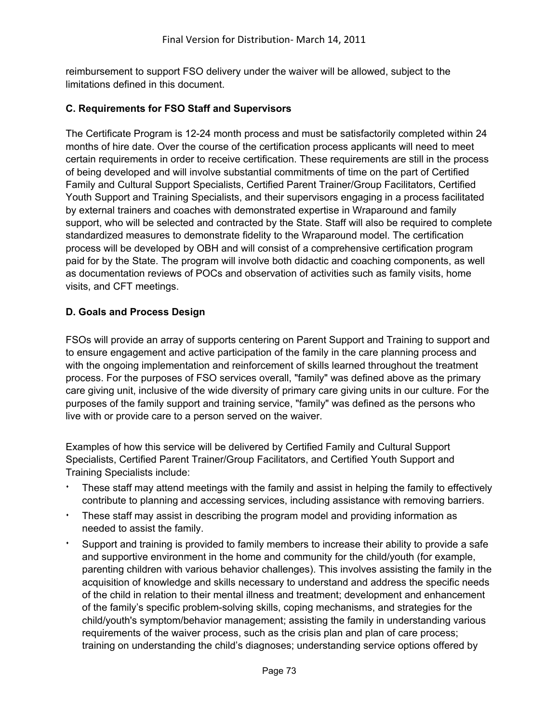reimbursement to support FSO delivery under the waiver will be allowed, subject to the limitations defined in this document.

#### **C. Requirements for FSO Staff and Supervisors**

The Certificate Program is 12-24 month process and must be satisfactorily completed within 24 months of hire date. Over the course of the certification process applicants will need to meet certain requirements in order to receive certification. These requirements are still in the process of being developed and will involve substantial commitments of time on the part of Certified Family and Cultural Support Specialists, Certified Parent Trainer/Group Facilitators, Certified Youth Support and Training Specialists, and their supervisors engaging in a process facilitated by external trainers and coaches with demonstrated expertise in Wraparound and family support, who will be selected and contracted by the State. Staff will also be required to complete standardized measures to demonstrate fidelity to the Wraparound model. The certification process will be developed by OBH and will consist of a comprehensive certification program paid for by the State. The program will involve both didactic and coaching components, as well as documentation reviews of POCs and observation of activities such as family visits, home visits, and CFT meetings.

#### **D. Goals and Process Design**

FSOs will provide an array of supports centering on Parent Support and Training to support and to ensure engagement and active participation of the family in the care planning process and with the ongoing implementation and reinforcement of skills learned throughout the treatment process. For the purposes of FSO services overall, "family" was defined above as the primary care giving unit, inclusive of the wide diversity of primary care giving units in our culture. For the purposes of the family support and training service, "family" was defined as the persons who live with or provide care to a person served on the waiver.

Examples of how this service will be delivered by Certified Family and Cultural Support Specialists, Certified Parent Trainer/Group Facilitators, and Certified Youth Support and Training Specialists include:

- These staff may attend meetings with the family and assist in helping the family to effectively contribute to planning and accessing services, including assistance with removing barriers.
- These staff may assist in describing the program model and providing information as needed to assist the family.
- Support and training is provided to family members to increase their ability to provide a safe and supportive environment in the home and community for the child/youth (for example, parenting children with various behavior challenges). This involves assisting the family in the acquisition of knowledge and skills necessary to understand and address the specific needs of the child in relation to their mental illness and treatment; development and enhancement of the family's specific problem-solving skills, coping mechanisms, and strategies for the child/youth's symptom/behavior management; assisting the family in understanding various requirements of the waiver process, such as the crisis plan and plan of care process; training on understanding the child's diagnoses; understanding service options offered by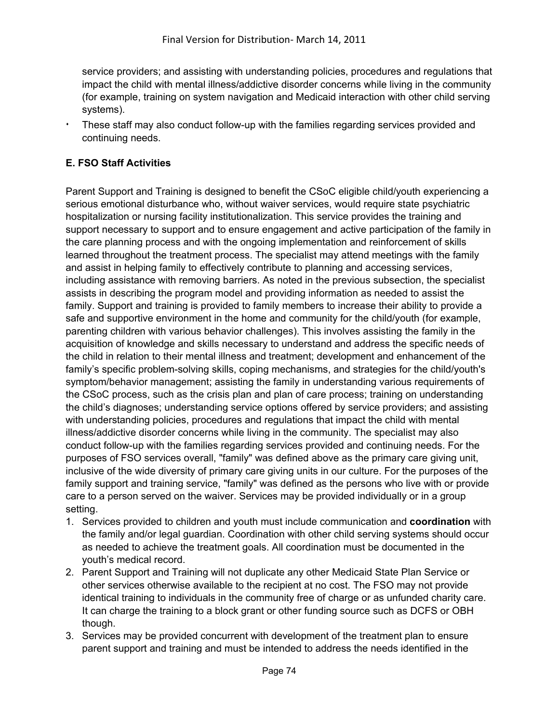service providers; and assisting with understanding policies, procedures and regulations that impact the child with mental illness/addictive disorder concerns while living in the community (for example, training on system navigation and Medicaid interaction with other child serving systems).

These staff may also conduct follow-up with the families regarding services provided and continuing needs.

## **E. FSO Staff Activities**

Parent Support and Training is designed to benefit the CSoC eligible child/youth experiencing a serious emotional disturbance who, without waiver services, would require state psychiatric hospitalization or nursing facility institutionalization. This service provides the training and support necessary to support and to ensure engagement and active participation of the family in the care planning process and with the ongoing implementation and reinforcement of skills learned throughout the treatment process. The specialist may attend meetings with the family and assist in helping family to effectively contribute to planning and accessing services, including assistance with removing barriers. As noted in the previous subsection, the specialist assists in describing the program model and providing information as needed to assist the family. Support and training is provided to family members to increase their ability to provide a safe and supportive environment in the home and community for the child/youth (for example, parenting children with various behavior challenges). This involves assisting the family in the acquisition of knowledge and skills necessary to understand and address the specific needs of the child in relation to their mental illness and treatment; development and enhancement of the family's specific problem-solving skills, coping mechanisms, and strategies for the child/youth's symptom/behavior management; assisting the family in understanding various requirements of the CSoC process, such as the crisis plan and plan of care process; training on understanding the child's diagnoses; understanding service options offered by service providers; and assisting with understanding policies, procedures and regulations that impact the child with mental illness/addictive disorder concerns while living in the community. The specialist may also conduct follow-up with the families regarding services provided and continuing needs. For the purposes of FSO services overall, "family" was defined above as the primary care giving unit, inclusive of the wide diversity of primary care giving units in our culture. For the purposes of the family support and training service, "family" was defined as the persons who live with or provide care to a person served on the waiver. Services may be provided individually or in a group setting.

- 1. Services provided to children and youth must include communication and **coordination** with the family and/or legal guardian. Coordination with other child serving systems should occur as needed to achieve the treatment goals. All coordination must be documented in the youth's medical record.
- 2. Parent Support and Training will not duplicate any other Medicaid State Plan Service or other services otherwise available to the recipient at no cost. The FSO may not provide identical training to individuals in the community free of charge or as unfunded charity care. It can charge the training to a block grant or other funding source such as DCFS or OBH though.
- 3. Services may be provided concurrent with development of the treatment plan to ensure parent support and training and must be intended to address the needs identified in the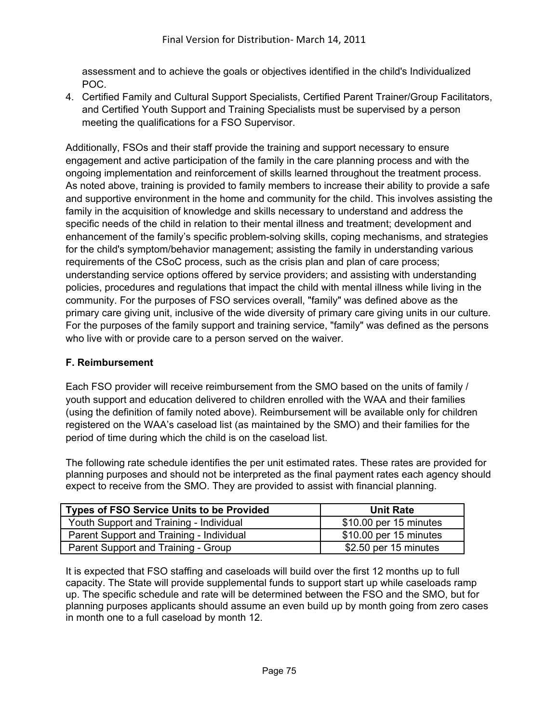assessment and to achieve the goals or objectives identified in the child's Individualized POC.

4. Certified Family and Cultural Support Specialists, Certified Parent Trainer/Group Facilitators, and Certified Youth Support and Training Specialists must be supervised by a person meeting the qualifications for a FSO Supervisor.

Additionally, FSOs and their staff provide the training and support necessary to ensure engagement and active participation of the family in the care planning process and with the ongoing implementation and reinforcement of skills learned throughout the treatment process. As noted above, training is provided to family members to increase their ability to provide a safe and supportive environment in the home and community for the child. This involves assisting the family in the acquisition of knowledge and skills necessary to understand and address the specific needs of the child in relation to their mental illness and treatment; development and enhancement of the family's specific problem-solving skills, coping mechanisms, and strategies for the child's symptom/behavior management; assisting the family in understanding various requirements of the CSoC process, such as the crisis plan and plan of care process; understanding service options offered by service providers; and assisting with understanding policies, procedures and regulations that impact the child with mental illness while living in the community. For the purposes of FSO services overall, "family" was defined above as the primary care giving unit, inclusive of the wide diversity of primary care giving units in our culture. For the purposes of the family support and training service, "family" was defined as the persons who live with or provide care to a person served on the waiver.

### **F. Reimbursement**

Each FSO provider will receive reimbursement from the SMO based on the units of family / youth support and education delivered to children enrolled with the WAA and their families (using the definition of family noted above). Reimbursement will be available only for children registered on the WAA's caseload list (as maintained by the SMO) and their families for the period of time during which the child is on the caseload list.

The following rate schedule identifies the per unit estimated rates. These rates are provided for planning purposes and should not be interpreted as the final payment rates each agency should expect to receive from the SMO. They are provided to assist with financial planning.

| <b>Types of FSO Service Units to be Provided</b> | <b>Unit Rate</b>       |
|--------------------------------------------------|------------------------|
| Youth Support and Training - Individual          | \$10.00 per 15 minutes |
| Parent Support and Training - Individual         | \$10.00 per 15 minutes |
| Parent Support and Training - Group              | \$2.50 per 15 minutes  |

It is expected that FSO staffing and caseloads will build over the first 12 months up to full capacity. The State will provide supplemental funds to support start up while caseloads ramp up. The specific schedule and rate will be determined between the FSO and the SMO, but for planning purposes applicants should assume an even build up by month going from zero cases in month one to a full caseload by month 12.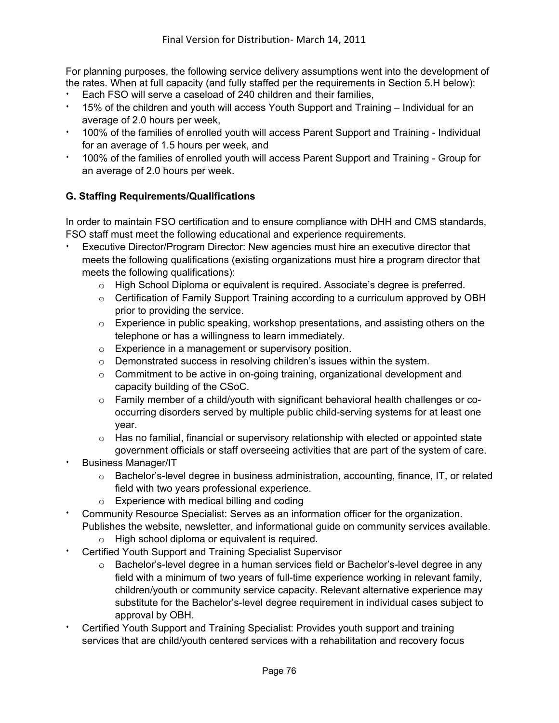For planning purposes, the following service delivery assumptions went into the development of the rates. When at full capacity (and fully staffed per the requirements in Section 5.H below):

- Each FSO will serve a caseload of 240 children and their families,
- 15% of the children and youth will access Youth Support and Training Individual for an average of 2.0 hours per week,
- 100% of the families of enrolled youth will access Parent Support and Training Individual for an average of 1.5 hours per week, and
- <sup>i</sup> 100% of the families of enrolled youth will access Parent Support and Training Group for an average of 2.0 hours per week.

# **G. Staffing Requirements/Qualifications**

In order to maintain FSO certification and to ensure compliance with DHH and CMS standards, FSO staff must meet the following educational and experience requirements.

- Executive Director/Program Director: New agencies must hire an executive director that meets the following qualifications (existing organizations must hire a program director that meets the following qualifications):
	- $\circ$  High School Diploma or equivalent is required. Associate's degree is preferred.
	- o Certification of Family Support Training according to a curriculum approved by OBH prior to providing the service.
	- o Experience in public speaking, workshop presentations, and assisting others on the telephone or has a willingness to learn immediately.
	- o Experience in a management or supervisory position.
	- o Demonstrated success in resolving children's issues within the system.
	- $\circ$  Commitment to be active in on-going training, organizational development and capacity building of the CSoC.
	- $\circ$  Family member of a child/youth with significant behavioral health challenges or cooccurring disorders served by multiple public child-serving systems for at least one year.
	- $\circ$  Has no familial, financial or supervisory relationship with elected or appointed state government officials or staff overseeing activities that are part of the system of care.
- Business Manager/IT
	- o Bachelor's-level degree in business administration, accounting, finance, IT, or related field with two years professional experience.
	- o Experience with medical billing and coding
- Community Resource Specialist: Serves as an information officer for the organization. Publishes the website, newsletter, and informational guide on community services available.
	- o High school diploma or equivalent is required.
- **Certified Youth Support and Training Specialist Supervisor** 
	- o Bachelor's-level degree in a human services field or Bachelor's-level degree in any field with a minimum of two years of full-time experience working in relevant family, children/youth or community service capacity. Relevant alternative experience may substitute for the Bachelor's-level degree requirement in individual cases subject to approval by OBH.
- Certified Youth Support and Training Specialist: Provides youth support and training services that are child/youth centered services with a rehabilitation and recovery focus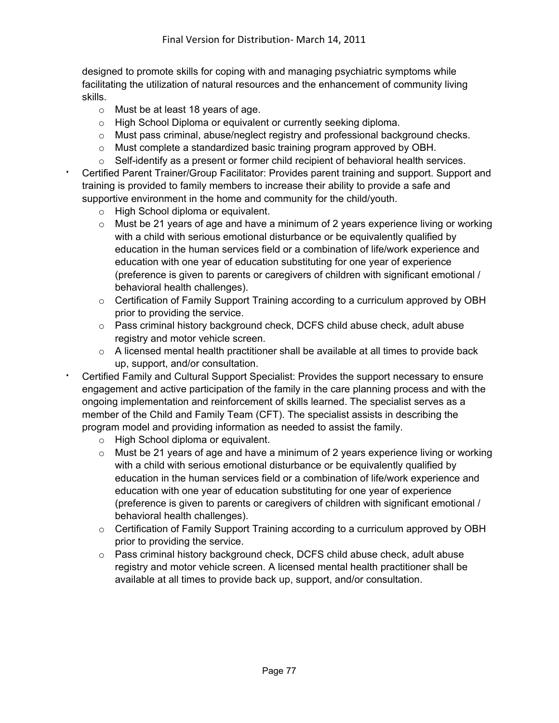designed to promote skills for coping with and managing psychiatric symptoms while facilitating the utilization of natural resources and the enhancement of community living skills.

- o Must be at least 18 years of age.
- o High School Diploma or equivalent or currently seeking diploma.
- o Must pass criminal, abuse/neglect registry and professional background checks.
- o Must complete a standardized basic training program approved by OBH.
- o Self-identify as a present or former child recipient of behavioral health services. <sup>i</sup> Certified Parent Trainer/Group Facilitator: Provides parent training and support. Support and training is provided to family members to increase their ability to provide a safe and supportive environment in the home and community for the child/youth.
	- o High School diploma or equivalent.
	- $\circ$  Must be 21 years of age and have a minimum of 2 years experience living or working with a child with serious emotional disturbance or be equivalently qualified by education in the human services field or a combination of life/work experience and education with one year of education substituting for one year of experience (preference is given to parents or caregivers of children with significant emotional / behavioral health challenges).
	- o Certification of Family Support Training according to a curriculum approved by OBH prior to providing the service.
	- o Pass criminal history background check, DCFS child abuse check, adult abuse registry and motor vehicle screen.
	- $\circ$  A licensed mental health practitioner shall be available at all times to provide back up, support, and/or consultation.
- Certified Family and Cultural Support Specialist: Provides the support necessary to ensure engagement and active participation of the family in the care planning process and with the ongoing implementation and reinforcement of skills learned. The specialist serves as a member of the Child and Family Team (CFT). The specialist assists in describing the program model and providing information as needed to assist the family.
	- o High School diploma or equivalent.
	- o Must be 21 years of age and have a minimum of 2 years experience living or working with a child with serious emotional disturbance or be equivalently qualified by education in the human services field or a combination of life/work experience and education with one year of education substituting for one year of experience (preference is given to parents or caregivers of children with significant emotional / behavioral health challenges).
	- $\circ$  Certification of Family Support Training according to a curriculum approved by OBH prior to providing the service.
	- $\circ$  Pass criminal history background check, DCFS child abuse check, adult abuse registry and motor vehicle screen. A licensed mental health practitioner shall be available at all times to provide back up, support, and/or consultation.